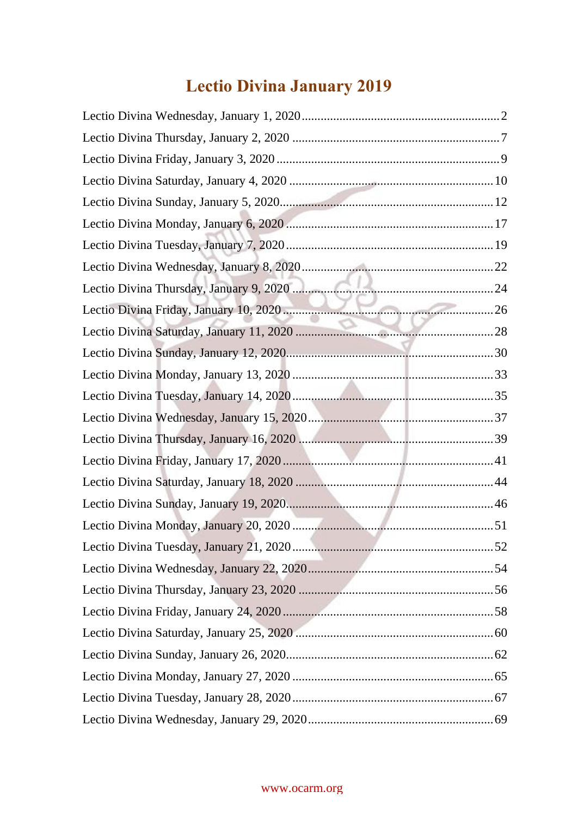# **Lectio Divina January 2019**

#### www.ocarm.org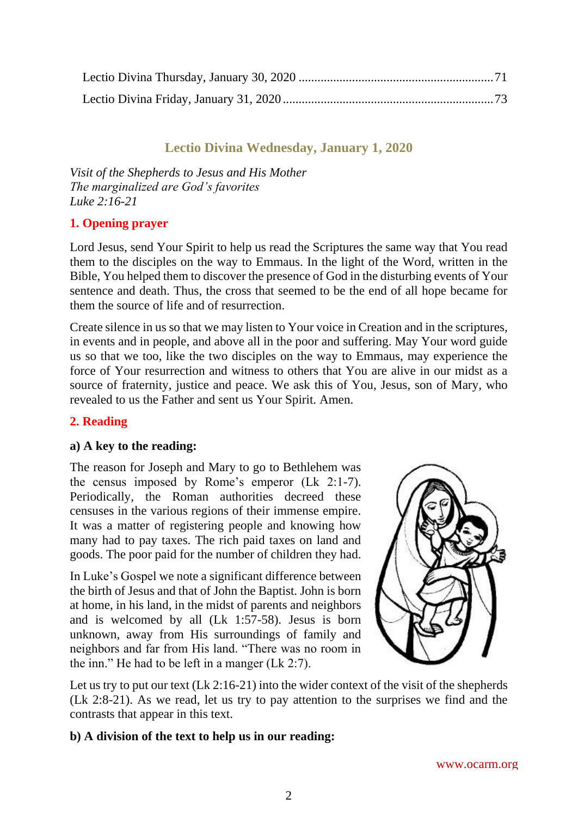# **Lectio Divina Wednesday, January 1, 2020**

<span id="page-1-0"></span>*Visit of the Shepherds to Jesus and His Mother The marginalized are God's favorites Luke 2:16-21*

## **1. Opening prayer**

Lord Jesus, send Your Spirit to help us read the Scriptures the same way that You read them to the disciples on the way to Emmaus. In the light of the Word, written in the Bible, You helped them to discover the presence of God in the disturbing events of Your sentence and death. Thus, the cross that seemed to be the end of all hope became for them the source of life and of resurrection.

Create silence in us so that we may listen to Your voice in Creation and in the scriptures, in events and in people, and above all in the poor and suffering. May Your word guide us so that we too, like the two disciples on the way to Emmaus, may experience the force of Your resurrection and witness to others that You are alive in our midst as a source of fraternity, justice and peace. We ask this of You, Jesus, son of Mary, who revealed to us the Father and sent us Your Spirit. Amen.

## **2. Reading**

## **a) A key to the reading:**

The reason for Joseph and Mary to go to Bethlehem was the census imposed by Rome's emperor (Lk 2:1-7). Periodically, the Roman authorities decreed these censuses in the various regions of their immense empire. It was a matter of registering people and knowing how many had to pay taxes. The rich paid taxes on land and goods. The poor paid for the number of children they had.

In Luke's Gospel we note a significant difference between the birth of Jesus and that of John the Baptist. John is born at home, in his land, in the midst of parents and neighbors and is welcomed by all (Lk 1:57-58). Jesus is born unknown, away from His surroundings of family and neighbors and far from His land. "There was no room in the inn." He had to be left in a manger (Lk 2:7).



Let us try to put our text (Lk 2:16-21) into the wider context of the visit of the shepherds (Lk 2:8-21). As we read, let us try to pay attention to the surprises we find and the contrasts that appear in this text.

## **b) A division of the text to help us in our reading:**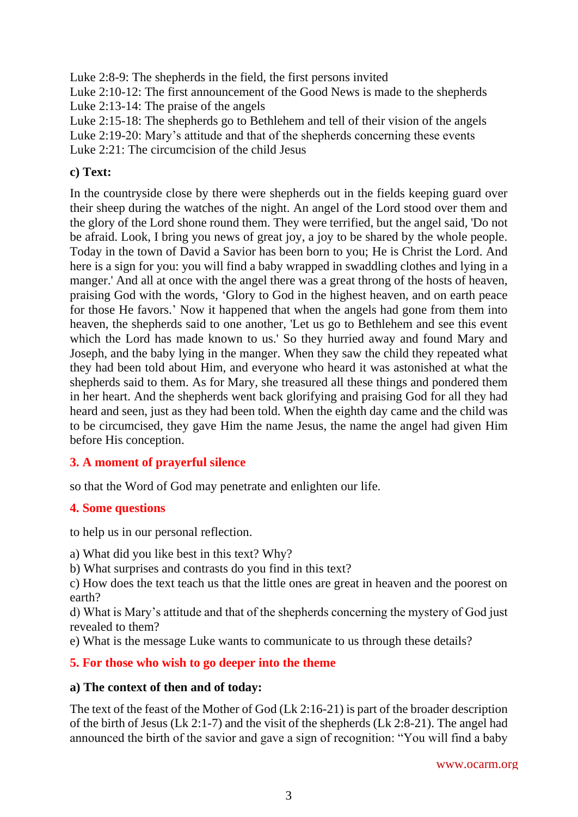Luke 2:8-9: The shepherds in the field, the first persons invited

Luke 2:10-12: The first announcement of the Good News is made to the shepherds Luke 2:13-14: The praise of the angels

Luke 2:15-18: The shepherds go to Bethlehem and tell of their vision of the angels Luke 2:19-20: Mary's attitude and that of the shepherds concerning these events Luke 2:21: The circumcision of the child Jesus

# **c) Text:**

In the countryside close by there were shepherds out in the fields keeping guard over their sheep during the watches of the night. An angel of the Lord stood over them and the glory of the Lord shone round them. They were terrified, but the angel said, 'Do not be afraid. Look, I bring you news of great joy, a joy to be shared by the whole people. Today in the town of David a Savior has been born to you; He is Christ the Lord. And here is a sign for you: you will find a baby wrapped in swaddling clothes and lying in a manger.' And all at once with the angel there was a great throng of the hosts of heaven, praising God with the words, 'Glory to God in the highest heaven, and on earth peace for those He favors.' Now it happened that when the angels had gone from them into heaven, the shepherds said to one another, 'Let us go to Bethlehem and see this event which the Lord has made known to us.' So they hurried away and found Mary and Joseph, and the baby lying in the manger. When they saw the child they repeated what they had been told about Him, and everyone who heard it was astonished at what the shepherds said to them. As for Mary, she treasured all these things and pondered them in her heart. And the shepherds went back glorifying and praising God for all they had heard and seen, just as they had been told. When the eighth day came and the child was to be circumcised, they gave Him the name Jesus, the name the angel had given Him before His conception.

# **3. A moment of prayerful silence**

so that the Word of God may penetrate and enlighten our life.

## **4. Some questions**

to help us in our personal reflection.

a) What did you like best in this text? Why?

b) What surprises and contrasts do you find in this text?

c) How does the text teach us that the little ones are great in heaven and the poorest on earth?

d) What is Mary's attitude and that of the shepherds concerning the mystery of God just revealed to them?

e) What is the message Luke wants to communicate to us through these details?

## **5. For those who wish to go deeper into the theme**

## **a) The context of then and of today:**

The text of the feast of the Mother of God (Lk 2:16-21) is part of the broader description of the birth of Jesus (Lk 2:1-7) and the visit of the shepherds (Lk 2:8-21). The angel had announced the birth of the savior and gave a sign of recognition: "You will find a baby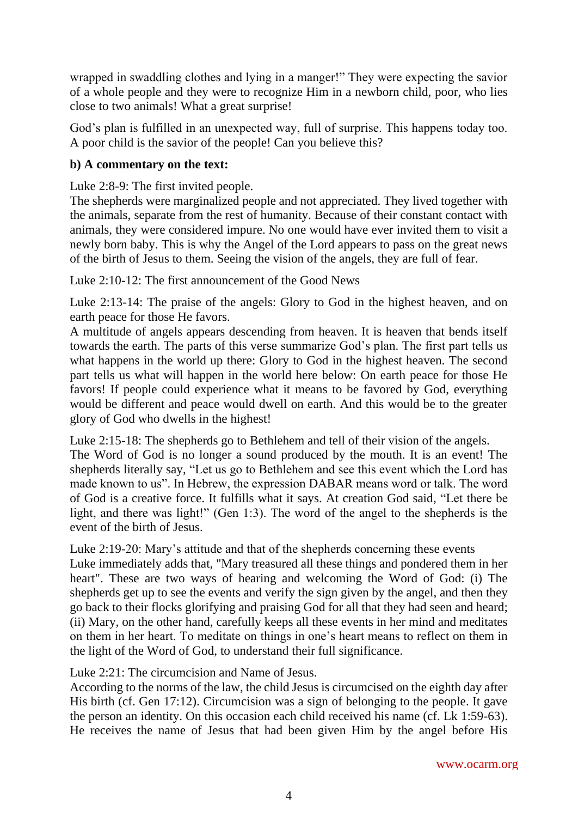wrapped in swaddling clothes and lying in a manger!" They were expecting the savior of a whole people and they were to recognize Him in a newborn child, poor, who lies close to two animals! What a great surprise!

God's plan is fulfilled in an unexpected way, full of surprise. This happens today too. A poor child is the savior of the people! Can you believe this?

# **b) A commentary on the text:**

Luke 2:8-9: The first invited people.

The shepherds were marginalized people and not appreciated. They lived together with the animals, separate from the rest of humanity. Because of their constant contact with animals, they were considered impure. No one would have ever invited them to visit a newly born baby. This is why the Angel of the Lord appears to pass on the great news of the birth of Jesus to them. Seeing the vision of the angels, they are full of fear.

Luke 2:10-12: The first announcement of the Good News

Luke 2:13-14: The praise of the angels: Glory to God in the highest heaven, and on earth peace for those He favors.

A multitude of angels appears descending from heaven. It is heaven that bends itself towards the earth. The parts of this verse summarize God's plan. The first part tells us what happens in the world up there: Glory to God in the highest heaven. The second part tells us what will happen in the world here below: On earth peace for those He favors! If people could experience what it means to be favored by God, everything would be different and peace would dwell on earth. And this would be to the greater glory of God who dwells in the highest!

Luke 2:15-18: The shepherds go to Bethlehem and tell of their vision of the angels. The Word of God is no longer a sound produced by the mouth. It is an event! The shepherds literally say, "Let us go to Bethlehem and see this event which the Lord has made known to us". In Hebrew, the expression DABAR means word or talk. The word of God is a creative force. It fulfills what it says. At creation God said, "Let there be light, and there was light!" (Gen 1:3). The word of the angel to the shepherds is the event of the birth of Jesus.

Luke 2:19-20: Mary's attitude and that of the shepherds concerning these events

Luke immediately adds that, "Mary treasured all these things and pondered them in her heart". These are two ways of hearing and welcoming the Word of God: (i) The shepherds get up to see the events and verify the sign given by the angel, and then they go back to their flocks glorifying and praising God for all that they had seen and heard; (ii) Mary, on the other hand, carefully keeps all these events in her mind and meditates on them in her heart. To meditate on things in one's heart means to reflect on them in the light of the Word of God, to understand their full significance.

Luke 2:21: The circumcision and Name of Jesus.

According to the norms of the law, the child Jesus is circumcised on the eighth day after His birth (cf. Gen 17:12). Circumcision was a sign of belonging to the people. It gave the person an identity. On this occasion each child received his name (cf. Lk 1:59-63). He receives the name of Jesus that had been given Him by the angel before His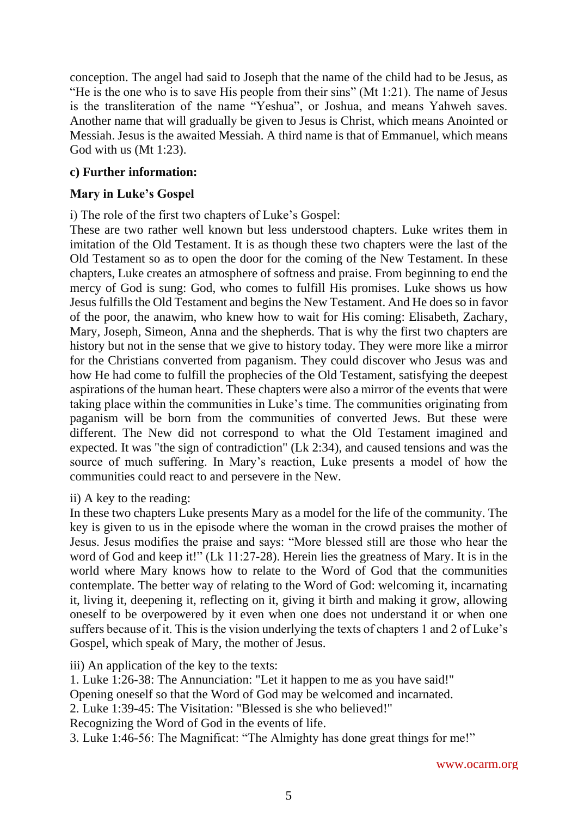conception. The angel had said to Joseph that the name of the child had to be Jesus, as "He is the one who is to save His people from their sins" (Mt 1:21). The name of Jesus is the transliteration of the name "Yeshua", or Joshua, and means Yahweh saves. Another name that will gradually be given to Jesus is Christ, which means Anointed or Messiah. Jesus is the awaited Messiah. A third name is that of Emmanuel, which means God with us (Mt 1:23).

# **c) Further information:**

# **Mary in Luke's Gospel**

i) The role of the first two chapters of Luke's Gospel:

These are two rather well known but less understood chapters. Luke writes them in imitation of the Old Testament. It is as though these two chapters were the last of the Old Testament so as to open the door for the coming of the New Testament. In these chapters, Luke creates an atmosphere of softness and praise. From beginning to end the mercy of God is sung: God, who comes to fulfill His promises. Luke shows us how Jesus fulfills the Old Testament and begins the New Testament. And He does so in favor of the poor, the anawim, who knew how to wait for His coming: Elisabeth, Zachary, Mary, Joseph, Simeon, Anna and the shepherds. That is why the first two chapters are history but not in the sense that we give to history today. They were more like a mirror for the Christians converted from paganism. They could discover who Jesus was and how He had come to fulfill the prophecies of the Old Testament, satisfying the deepest aspirations of the human heart. These chapters were also a mirror of the events that were taking place within the communities in Luke's time. The communities originating from paganism will be born from the communities of converted Jews. But these were different. The New did not correspond to what the Old Testament imagined and expected. It was "the sign of contradiction" (Lk 2:34), and caused tensions and was the source of much suffering. In Mary's reaction, Luke presents a model of how the communities could react to and persevere in the New.

## ii) A key to the reading:

In these two chapters Luke presents Mary as a model for the life of the community. The key is given to us in the episode where the woman in the crowd praises the mother of Jesus. Jesus modifies the praise and says: "More blessed still are those who hear the word of God and keep it!" (Lk 11:27-28). Herein lies the greatness of Mary. It is in the world where Mary knows how to relate to the Word of God that the communities contemplate. The better way of relating to the Word of God: welcoming it, incarnating it, living it, deepening it, reflecting on it, giving it birth and making it grow, allowing oneself to be overpowered by it even when one does not understand it or when one suffers because of it. This is the vision underlying the texts of chapters 1 and 2 of Luke's Gospel, which speak of Mary, the mother of Jesus.

iii) An application of the key to the texts:

1. Luke 1:26-38: The Annunciation: "Let it happen to me as you have said!"

Opening oneself so that the Word of God may be welcomed and incarnated.

2. Luke 1:39-45: The Visitation: "Blessed is she who believed!"

Recognizing the Word of God in the events of life.

3. Luke 1:46-56: The Magnificat: "The Almighty has done great things for me!"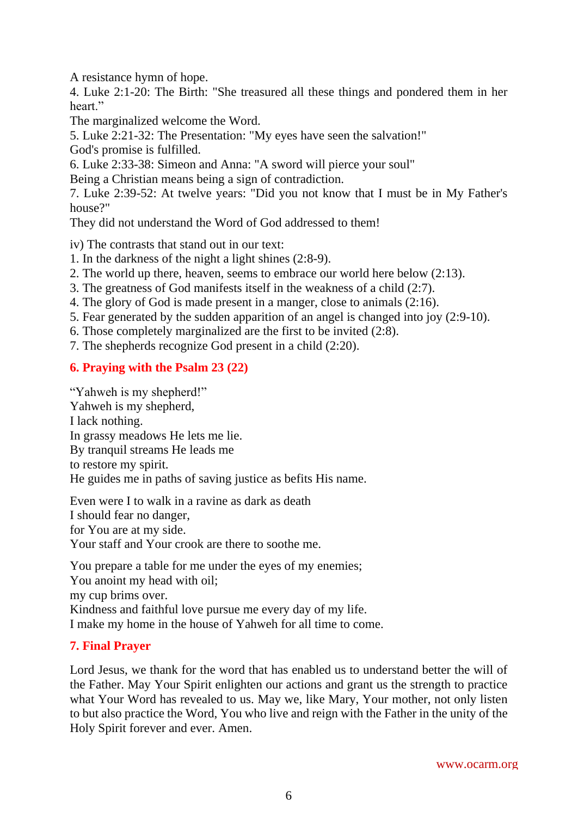A resistance hymn of hope.

4. Luke 2:1-20: The Birth: "She treasured all these things and pondered them in her heart."

The marginalized welcome the Word.

5. Luke 2:21-32: The Presentation: "My eyes have seen the salvation!"

God's promise is fulfilled.

6. Luke 2:33-38: Simeon and Anna: "A sword will pierce your soul"

Being a Christian means being a sign of contradiction.

7. Luke 2:39-52: At twelve years: "Did you not know that I must be in My Father's house?"

They did not understand the Word of God addressed to them!

iv) The contrasts that stand out in our text:

- 1. In the darkness of the night a light shines (2:8-9).
- 2. The world up there, heaven, seems to embrace our world here below (2:13).
- 3. The greatness of God manifests itself in the weakness of a child (2:7).
- 4. The glory of God is made present in a manger, close to animals (2:16).
- 5. Fear generated by the sudden apparition of an angel is changed into joy (2:9-10).
- 6. Those completely marginalized are the first to be invited (2:8).
- 7. The shepherds recognize God present in a child (2:20).

# **6. Praying with the Psalm 23 (22)**

"Yahweh is my shepherd!" Yahweh is my shepherd, I lack nothing. In grassy meadows He lets me lie. By tranquil streams He leads me to restore my spirit. He guides me in paths of saving justice as befits His name.

Even were I to walk in a ravine as dark as death I should fear no danger, for You are at my side. Your staff and Your crook are there to soothe me.

You prepare a table for me under the eyes of my enemies; You anoint my head with oil; my cup brims over. Kindness and faithful love pursue me every day of my life. I make my home in the house of Yahweh for all time to come.

## **7. Final Prayer**

Lord Jesus, we thank for the word that has enabled us to understand better the will of the Father. May Your Spirit enlighten our actions and grant us the strength to practice what Your Word has revealed to us. May we, like Mary, Your mother, not only listen to but also practice the Word, You who live and reign with the Father in the unity of the Holy Spirit forever and ever. Amen.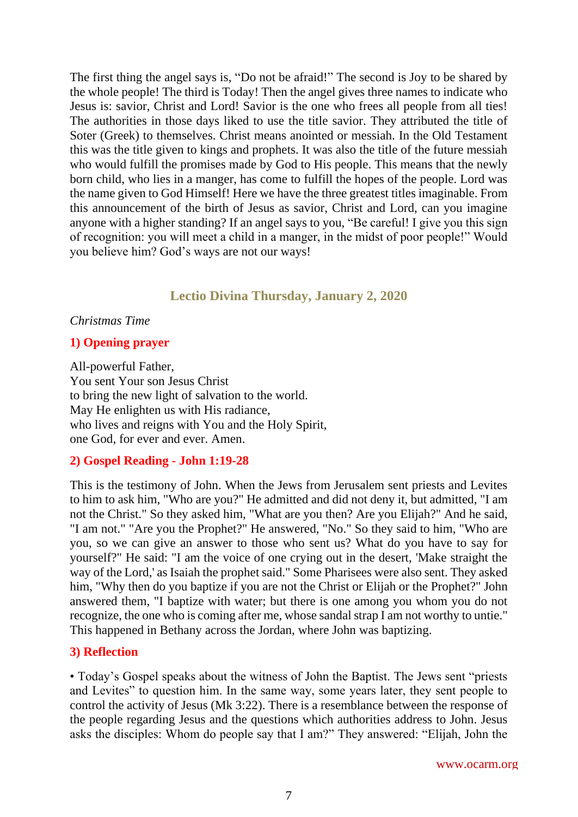The first thing the angel says is, "Do not be afraid!" The second is Joy to be shared by the whole people! The third is Today! Then the angel gives three names to indicate who Jesus is: savior, Christ and Lord! Savior is the one who frees all people from all ties! The authorities in those days liked to use the title savior. They attributed the title of Soter (Greek) to themselves. Christ means anointed or messiah. In the Old Testament this was the title given to kings and prophets. It was also the title of the future messiah who would fulfill the promises made by God to His people. This means that the newly born child, who lies in a manger, has come to fulfill the hopes of the people. Lord was the name given to God Himself! Here we have the three greatest titles imaginable. From this announcement of the birth of Jesus as savior, Christ and Lord, can you imagine anyone with a higher standing? If an angel says to you, "Be careful! I give you this sign of recognition: you will meet a child in a manger, in the midst of poor people!" Would you believe him? God's ways are not our ways!

# **Lectio Divina Thursday, January 2, 2020**

#### <span id="page-6-0"></span>*Christmas Time*

## **1) Opening prayer**

All-powerful Father, You sent Your son Jesus Christ to bring the new light of salvation to the world. May He enlighten us with His radiance, who lives and reigns with You and the Holy Spirit, one God, for ever and ever. Amen.

#### **2) Gospel Reading - John 1:19-28**

This is the testimony of John. When the Jews from Jerusalem sent priests and Levites to him to ask him, "Who are you?" He admitted and did not deny it, but admitted, "I am not the Christ." So they asked him, "What are you then? Are you Elijah?" And he said, "I am not." "Are you the Prophet?" He answered, "No." So they said to him, "Who are you, so we can give an answer to those who sent us? What do you have to say for yourself?" He said: "I am the voice of one crying out in the desert, 'Make straight the way of the Lord,' as Isaiah the prophet said." Some Pharisees were also sent. They asked him, "Why then do you baptize if you are not the Christ or Elijah or the Prophet?" John answered them, "I baptize with water; but there is one among you whom you do not recognize, the one who is coming after me, whose sandal strap I am not worthy to untie." This happened in Bethany across the Jordan, where John was baptizing.

#### **3) Reflection**

• Today's Gospel speaks about the witness of John the Baptist. The Jews sent "priests and Levites" to question him. In the same way, some years later, they sent people to control the activity of Jesus (Mk 3:22). There is a resemblance between the response of the people regarding Jesus and the questions which authorities address to John. Jesus asks the disciples: Whom do people say that I am?" They answered: "Elijah, John the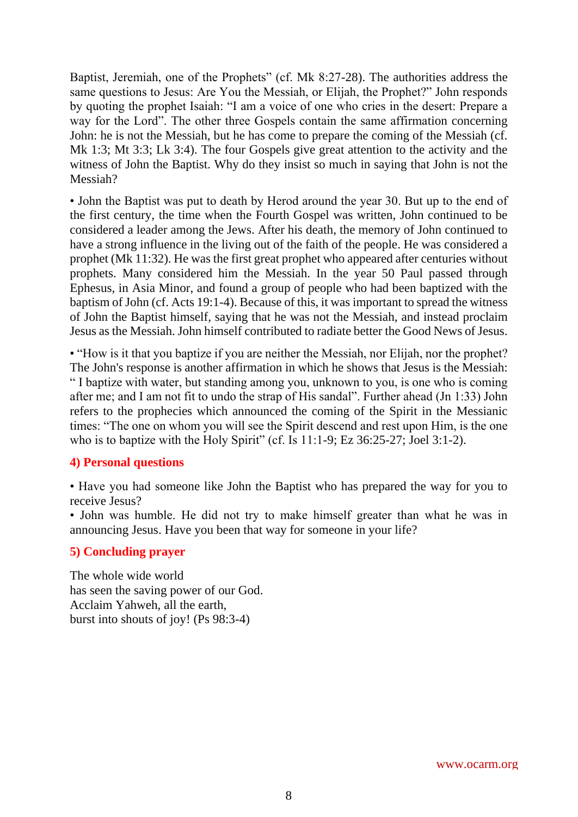Baptist, Jeremiah, one of the Prophets" (cf. Mk 8:27-28). The authorities address the same questions to Jesus: Are You the Messiah, or Elijah, the Prophet?" John responds by quoting the prophet Isaiah: "I am a voice of one who cries in the desert: Prepare a way for the Lord". The other three Gospels contain the same affirmation concerning John: he is not the Messiah, but he has come to prepare the coming of the Messiah (cf. Mk 1:3; Mt 3:3; Lk 3:4). The four Gospels give great attention to the activity and the witness of John the Baptist. Why do they insist so much in saying that John is not the Messiah?

• John the Baptist was put to death by Herod around the year 30. But up to the end of the first century, the time when the Fourth Gospel was written, John continued to be considered a leader among the Jews. After his death, the memory of John continued to have a strong influence in the living out of the faith of the people. He was considered a prophet (Mk 11:32). He was the first great prophet who appeared after centuries without prophets. Many considered him the Messiah. In the year 50 Paul passed through Ephesus, in Asia Minor, and found a group of people who had been baptized with the baptism of John (cf. Acts 19:1-4). Because of this, it was important to spread the witness of John the Baptist himself, saying that he was not the Messiah, and instead proclaim Jesus as the Messiah. John himself contributed to radiate better the Good News of Jesus.

• "How is it that you baptize if you are neither the Messiah, nor Elijah, nor the prophet? The John's response is another affirmation in which he shows that Jesus is the Messiah: " I baptize with water, but standing among you, unknown to you, is one who is coming after me; and I am not fit to undo the strap of His sandal". Further ahead (Jn 1:33) John refers to the prophecies which announced the coming of the Spirit in the Messianic times: "The one on whom you will see the Spirit descend and rest upon Him, is the one who is to baptize with the Holy Spirit" (cf. Is 11:1-9; Ez 36:25-27; Joel 3:1-2).

## **4) Personal questions**

• Have you had someone like John the Baptist who has prepared the way for you to receive Jesus?

• John was humble. He did not try to make himself greater than what he was in announcing Jesus. Have you been that way for someone in your life?

#### **5) Concluding prayer**

The whole wide world has seen the saving power of our God. Acclaim Yahweh, all the earth, burst into shouts of joy! (Ps 98:3-4)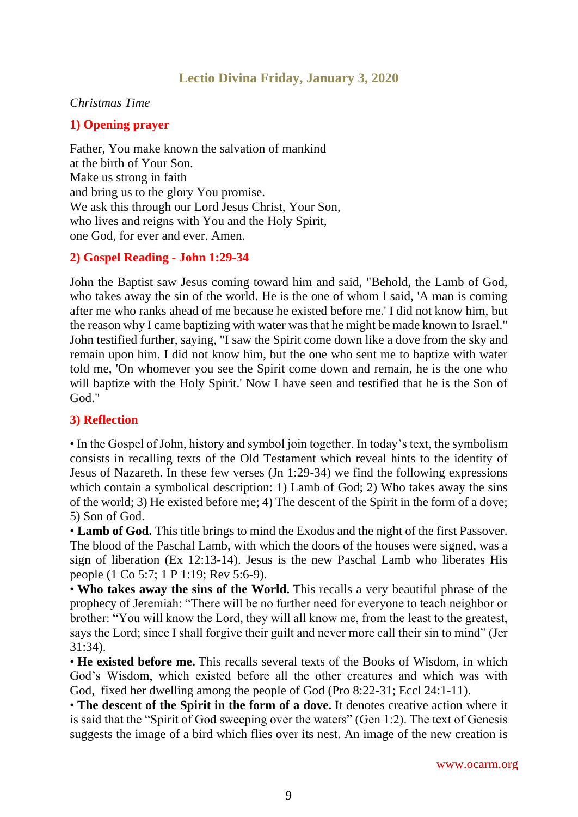# **Lectio Divina Friday, January 3, 2020**

#### <span id="page-8-0"></span>*Christmas Time*

#### **1) Opening prayer**

Father, You make known the salvation of mankind at the birth of Your Son. Make us strong in faith and bring us to the glory You promise. We ask this through our Lord Jesus Christ, Your Son, who lives and reigns with You and the Holy Spirit, one God, for ever and ever. Amen.

#### **2) Gospel Reading - John 1:29-34**

John the Baptist saw Jesus coming toward him and said, "Behold, the Lamb of God, who takes away the sin of the world. He is the one of whom I said, 'A man is coming after me who ranks ahead of me because he existed before me.' I did not know him, but the reason why I came baptizing with water was that he might be made known to Israel." John testified further, saying, "I saw the Spirit come down like a dove from the sky and remain upon him. I did not know him, but the one who sent me to baptize with water told me, 'On whomever you see the Spirit come down and remain, he is the one who will baptize with the Holy Spirit.' Now I have seen and testified that he is the Son of God."

#### **3) Reflection**

• In the Gospel of John, history and symbol join together. In today's text, the symbolism consists in recalling texts of the Old Testament which reveal hints to the identity of Jesus of Nazareth. In these few verses (Jn 1:29-34) we find the following expressions which contain a symbolical description: 1) Lamb of God; 2) Who takes away the sins of the world; 3) He existed before me; 4) The descent of the Spirit in the form of a dove; 5) Son of God.

• **Lamb of God.** This title brings to mind the Exodus and the night of the first Passover. The blood of the Paschal Lamb, with which the doors of the houses were signed, was a sign of liberation (Ex 12:13-14). Jesus is the new Paschal Lamb who liberates His people (1 Co 5:7; 1 P 1:19; Rev 5:6-9).

• **Who takes away the sins of the World.** This recalls a very beautiful phrase of the prophecy of Jeremiah: "There will be no further need for everyone to teach neighbor or brother: "You will know the Lord, they will all know me, from the least to the greatest, says the Lord; since I shall forgive their guilt and never more call their sin to mind" (Jer 31:34).

• **He existed before me.** This recalls several texts of the Books of Wisdom, in which God's Wisdom, which existed before all the other creatures and which was with God, fixed her dwelling among the people of God (Pro 8:22-31; Eccl 24:1-11).

• **The descent of the Spirit in the form of a dove.** It denotes creative action where it is said that the "Spirit of God sweeping over the waters" (Gen 1:2). The text of Genesis suggests the image of a bird which flies over its nest. An image of the new creation is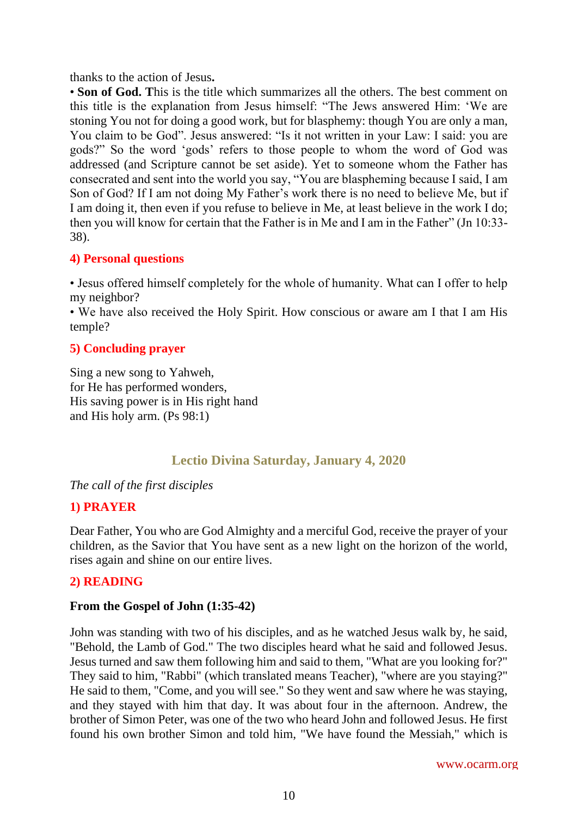thanks to the action of Jesus**.**

• **Son of God.** This is the title which summarizes all the others. The best comment on this title is the explanation from Jesus himself: "The Jews answered Him: 'We are stoning You not for doing a good work, but for blasphemy: though You are only a man, You claim to be God". Jesus answered: "Is it not written in your Law: I said: you are gods?" So the word 'gods' refers to those people to whom the word of God was addressed (and Scripture cannot be set aside). Yet to someone whom the Father has consecrated and sent into the world you say, "You are blaspheming because I said, I am Son of God? If I am not doing My Father's work there is no need to believe Me, but if I am doing it, then even if you refuse to believe in Me, at least believe in the work I do; then you will know for certain that the Father is in Me and I am in the Father" (Jn 10:33- 38).

## **4) Personal questions**

• Jesus offered himself completely for the whole of humanity. What can I offer to help my neighbor?

• We have also received the Holy Spirit. How conscious or aware am I that I am His temple?

# **5) Concluding prayer**

Sing a new song to Yahweh, for He has performed wonders, His saving power is in His right hand and His holy arm. (Ps 98:1)

# **Lectio Divina Saturday, January 4, 2020**

<span id="page-9-0"></span>*The call of the first disciples*

## **1) PRAYER**

Dear Father, You who are God Almighty and a merciful God, receive the prayer of your children, as the Savior that You have sent as a new light on the horizon of the world, rises again and shine on our entire lives.

## **2) READING**

## **From the Gospel of John (1:35-42)**

John was standing with two of his disciples, and as he watched Jesus walk by, he said, "Behold, the Lamb of God." The two disciples heard what he said and followed Jesus. Jesus turned and saw them following him and said to them, "What are you looking for?" They said to him, "Rabbi" (which translated means Teacher), "where are you staying?" He said to them, "Come, and you will see." So they went and saw where he was staying, and they stayed with him that day. It was about four in the afternoon. Andrew, the brother of Simon Peter, was one of the two who heard John and followed Jesus. He first found his own brother Simon and told him, "We have found the Messiah," which is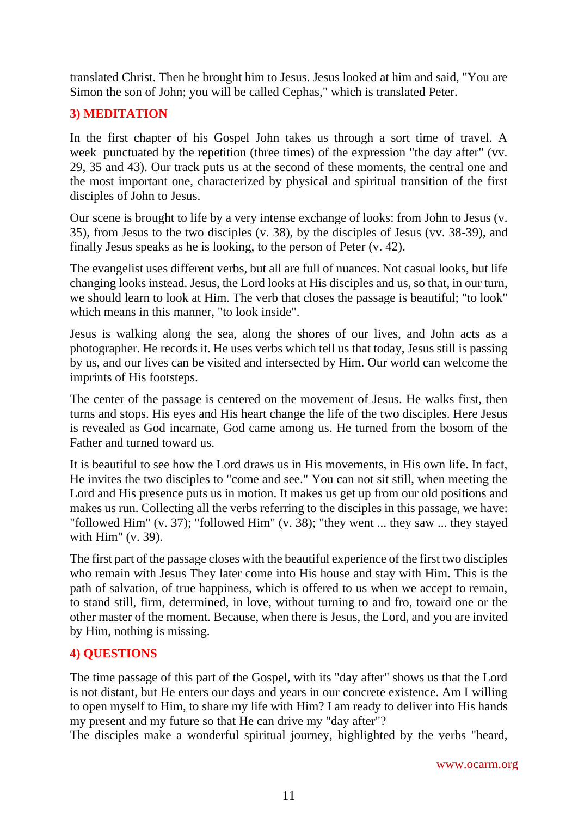translated Christ. Then he brought him to Jesus. Jesus looked at him and said, "You are Simon the son of John; you will be called Cephas," which is translated Peter.

# **3) MEDITATION**

In the first chapter of his Gospel John takes us through a sort time of travel. A week punctuated by the repetition (three times) of the expression "the day after" (vv. 29, 35 and 43). Our track puts us at the second of these moments, the central one and the most important one, characterized by physical and spiritual transition of the first disciples of John to Jesus.

Our scene is brought to life by a very intense exchange of looks: from John to Jesus (v. 35), from Jesus to the two disciples (v. 38), by the disciples of Jesus (vv. 38-39), and finally Jesus speaks as he is looking, to the person of Peter (v. 42).

The evangelist uses different verbs, but all are full of nuances. Not casual looks, but life changing looks instead. Jesus, the Lord looks at His disciples and us, so that, in our turn, we should learn to look at Him. The verb that closes the passage is beautiful; "to look" which means in this manner, "to look inside".

Jesus is walking along the sea, along the shores of our lives, and John acts as a photographer. He records it. He uses verbs which tell us that today, Jesus still is passing by us, and our lives can be visited and intersected by Him. Our world can welcome the imprints of His footsteps.

The center of the passage is centered on the movement of Jesus. He walks first, then turns and stops. His eyes and His heart change the life of the two disciples. Here Jesus is revealed as God incarnate, God came among us. He turned from the bosom of the Father and turned toward us.

It is beautiful to see how the Lord draws us in His movements, in His own life. In fact, He invites the two disciples to "come and see." You can not sit still, when meeting the Lord and His presence puts us in motion. It makes us get up from our old positions and makes us run. Collecting all the verbs referring to the disciples in this passage, we have: "followed Him" (v. 37); "followed Him" (v. 38); "they went ... they saw ... they stayed with Him" (v. 39).

The first part of the passage closes with the beautiful experience of the first two disciples who remain with Jesus They later come into His house and stay with Him. This is the path of salvation, of true happiness, which is offered to us when we accept to remain, to stand still, firm, determined, in love, without turning to and fro, toward one or the other master of the moment. Because, when there is Jesus, the Lord, and you are invited by Him, nothing is missing.

## **4) QUESTIONS**

The time passage of this part of the Gospel, with its "day after" shows us that the Lord is not distant, but He enters our days and years in our concrete existence. Am I willing to open myself to Him, to share my life with Him? I am ready to deliver into His hands my present and my future so that He can drive my "day after"?

The disciples make a wonderful spiritual journey, highlighted by the verbs "heard,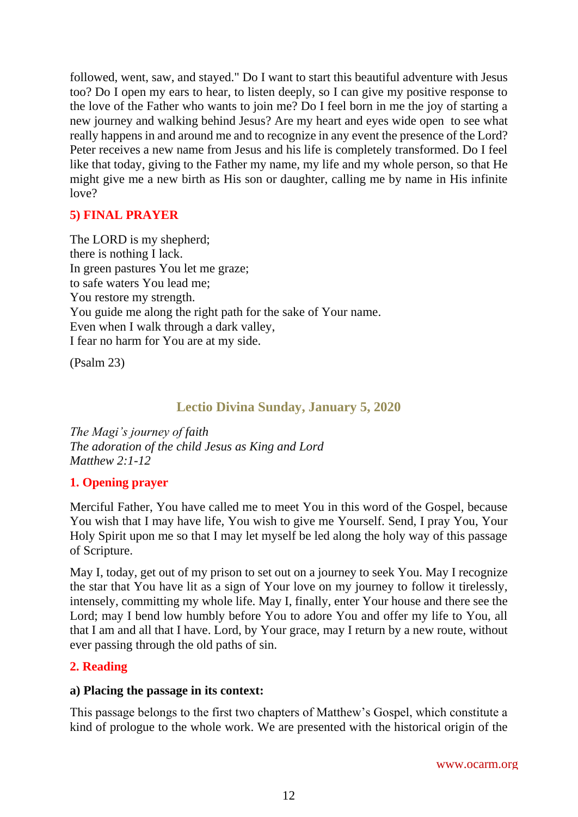followed, went, saw, and stayed." Do I want to start this beautiful adventure with Jesus too? Do I open my ears to hear, to listen deeply, so I can give my positive response to the love of the Father who wants to join me? Do I feel born in me the joy of starting a new journey and walking behind Jesus? Are my heart and eyes wide open to see what really happens in and around me and to recognize in any event the presence of the Lord? Peter receives a new name from Jesus and his life is completely transformed. Do I feel like that today, giving to the Father my name, my life and my whole person, so that He might give me a new birth as His son or daughter, calling me by name in His infinite love?

# **5) FINAL PRAYER**

The LORD is my shepherd; there is nothing I lack. In green pastures You let me graze; to safe waters You lead me; You restore my strength. You guide me along the right path for the sake of Your name. Even when I walk through a dark valley, I fear no harm for You are at my side.

(Psalm 23)

# **Lectio Divina Sunday, January 5, 2020**

<span id="page-11-0"></span>*The Magi's journey of faith The adoration of the child Jesus as King and Lord Matthew 2:1-12*

## **1. Opening prayer**

Merciful Father, You have called me to meet You in this word of the Gospel, because You wish that I may have life, You wish to give me Yourself. Send, I pray You, Your Holy Spirit upon me so that I may let myself be led along the holy way of this passage of Scripture.

May I, today, get out of my prison to set out on a journey to seek You. May I recognize the star that You have lit as a sign of Your love on my journey to follow it tirelessly, intensely, committing my whole life. May I, finally, enter Your house and there see the Lord; may I bend low humbly before You to adore You and offer my life to You, all that I am and all that I have. Lord, by Your grace, may I return by a new route, without ever passing through the old paths of sin.

## **2. Reading**

#### **a) Placing the passage in its context:**

This passage belongs to the first two chapters of Matthew's Gospel, which constitute a kind of prologue to the whole work. We are presented with the historical origin of the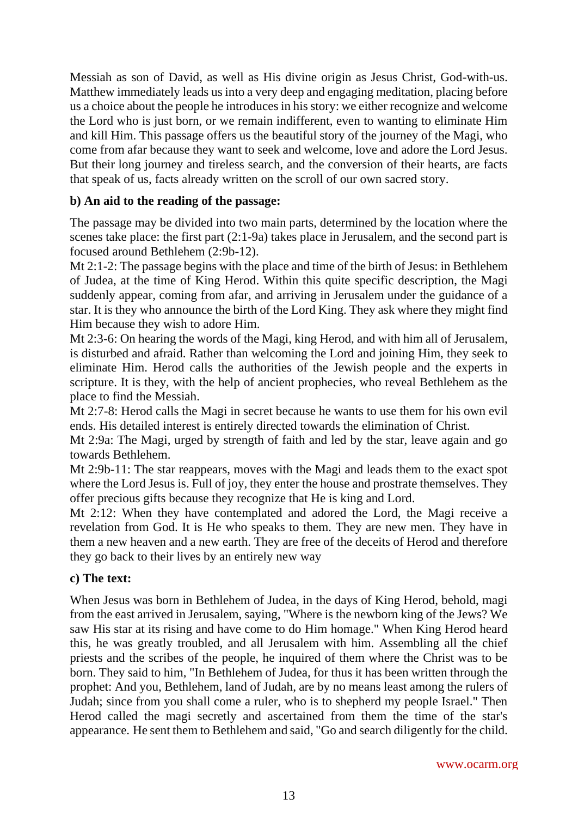Messiah as son of David, as well as His divine origin as Jesus Christ, God-with-us. Matthew immediately leads us into a very deep and engaging meditation, placing before us a choice about the people he introduces in his story: we either recognize and welcome the Lord who is just born, or we remain indifferent, even to wanting to eliminate Him and kill Him. This passage offers us the beautiful story of the journey of the Magi, who come from afar because they want to seek and welcome, love and adore the Lord Jesus. But their long journey and tireless search, and the conversion of their hearts, are facts that speak of us, facts already written on the scroll of our own sacred story.

## **b) An aid to the reading of the passage:**

The passage may be divided into two main parts, determined by the location where the scenes take place: the first part (2:1-9a) takes place in Jerusalem, and the second part is focused around Bethlehem (2:9b-12).

Mt 2:1-2: The passage begins with the place and time of the birth of Jesus: in Bethlehem of Judea, at the time of King Herod. Within this quite specific description, the Magi suddenly appear, coming from afar, and arriving in Jerusalem under the guidance of a star. It is they who announce the birth of the Lord King. They ask where they might find Him because they wish to adore Him.

Mt 2:3-6: On hearing the words of the Magi, king Herod, and with him all of Jerusalem, is disturbed and afraid. Rather than welcoming the Lord and joining Him, they seek to eliminate Him. Herod calls the authorities of the Jewish people and the experts in scripture. It is they, with the help of ancient prophecies, who reveal Bethlehem as the place to find the Messiah.

Mt 2:7-8: Herod calls the Magi in secret because he wants to use them for his own evil ends. His detailed interest is entirely directed towards the elimination of Christ.

Mt 2:9a: The Magi, urged by strength of faith and led by the star, leave again and go towards Bethlehem.

Mt 2:9b-11: The star reappears, moves with the Magi and leads them to the exact spot where the Lord Jesus is. Full of joy, they enter the house and prostrate themselves. They offer precious gifts because they recognize that He is king and Lord.

Mt 2:12: When they have contemplated and adored the Lord, the Magi receive a revelation from God. It is He who speaks to them. They are new men. They have in them a new heaven and a new earth. They are free of the deceits of Herod and therefore they go back to their lives by an entirely new way

## **c) The text:**

When Jesus was born in Bethlehem of Judea, in the days of King Herod, behold, magi from the east arrived in Jerusalem, saying, "Where is the newborn king of the Jews? We saw His star at its rising and have come to do Him homage." When King Herod heard this, he was greatly troubled, and all Jerusalem with him. Assembling all the chief priests and the scribes of the people, he inquired of them where the Christ was to be born. They said to him, "In Bethlehem of Judea, for thus it has been written through the prophet: And you, Bethlehem, land of Judah, are by no means least among the rulers of Judah; since from you shall come a ruler, who is to shepherd my people Israel." Then Herod called the magi secretly and ascertained from them the time of the star's appearance. He sent them to Bethlehem and said, "Go and search diligently for the child.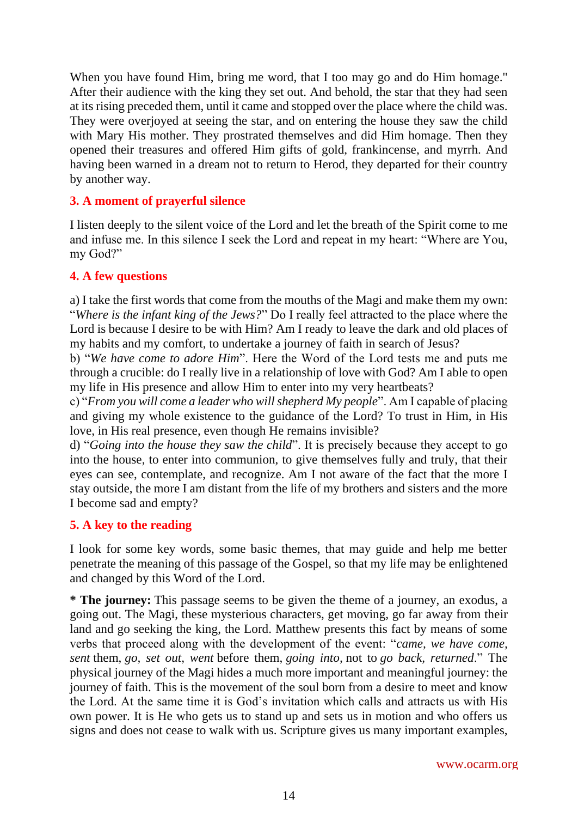When you have found Him, bring me word, that I too may go and do Him homage." After their audience with the king they set out. And behold, the star that they had seen at its rising preceded them, until it came and stopped over the place where the child was. They were overjoyed at seeing the star, and on entering the house they saw the child with Mary His mother. They prostrated themselves and did Him homage. Then they opened their treasures and offered Him gifts of gold, frankincense, and myrrh. And having been warned in a dream not to return to Herod, they departed for their country by another way.

# **3. A moment of prayerful silence**

I listen deeply to the silent voice of the Lord and let the breath of the Spirit come to me and infuse me. In this silence I seek the Lord and repeat in my heart: "Where are You, my God?"

## **4. A few questions**

a) I take the first words that come from the mouths of the Magi and make them my own: "*Where is the infant king of the Jews?*" Do I really feel attracted to the place where the Lord is because I desire to be with Him? Am I ready to leave the dark and old places of my habits and my comfort, to undertake a journey of faith in search of Jesus?

b) "*We have come to adore Him*". Here the Word of the Lord tests me and puts me through a crucible: do I really live in a relationship of love with God? Am I able to open my life in His presence and allow Him to enter into my very heartbeats?

c) "*From you will come a leader who will shepherd My people*". Am I capable of placing and giving my whole existence to the guidance of the Lord? To trust in Him, in His love, in His real presence, even though He remains invisible?

d) "*Going into the house they saw the child*". It is precisely because they accept to go into the house, to enter into communion, to give themselves fully and truly, that their eyes can see, contemplate, and recognize. Am I not aware of the fact that the more I stay outside, the more I am distant from the life of my brothers and sisters and the more I become sad and empty?

## **5. A key to the reading**

I look for some key words, some basic themes, that may guide and help me better penetrate the meaning of this passage of the Gospel, so that my life may be enlightened and changed by this Word of the Lord.

**\* The journey:** This passage seems to be given the theme of a journey, an exodus, a going out. The Magi, these mysterious characters, get moving, go far away from their land and go seeking the king, the Lord. Matthew presents this fact by means of some verbs that proceed along with the development of the event: "*came, we have come, sent* them, *go, set out, went* before them, *going into,* not to *go back, returned*." The physical journey of the Magi hides a much more important and meaningful journey: the journey of faith. This is the movement of the soul born from a desire to meet and know the Lord. At the same time it is God's invitation which calls and attracts us with His own power. It is He who gets us to stand up and sets us in motion and who offers us signs and does not cease to walk with us. Scripture gives us many important examples,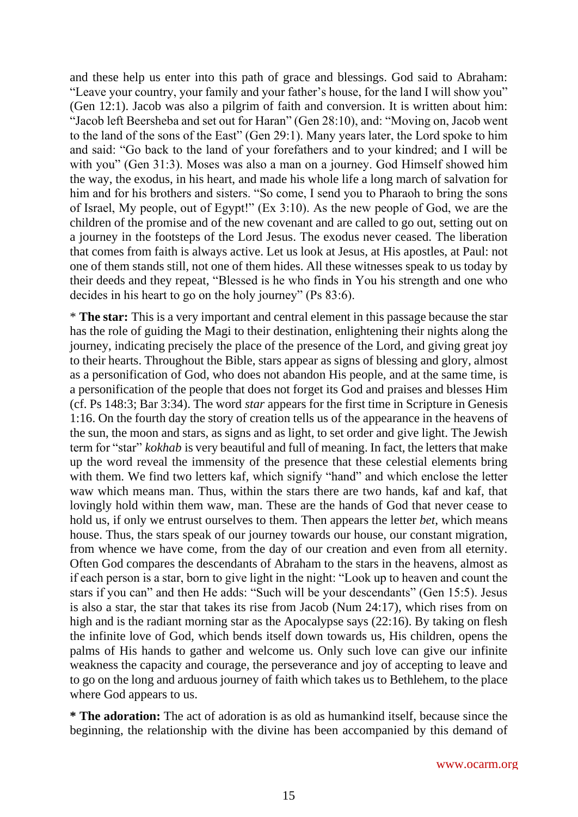and these help us enter into this path of grace and blessings. God said to Abraham: "Leave your country, your family and your father's house, for the land I will show you" (Gen 12:1). Jacob was also a pilgrim of faith and conversion. It is written about him: "Jacob left Beersheba and set out for Haran" (Gen 28:10), and: "Moving on, Jacob went to the land of the sons of the East" (Gen 29:1). Many years later, the Lord spoke to him and said: "Go back to the land of your forefathers and to your kindred; and I will be with you" (Gen 31:3). Moses was also a man on a journey. God Himself showed him the way, the exodus, in his heart, and made his whole life a long march of salvation for him and for his brothers and sisters. "So come, I send you to Pharaoh to bring the sons of Israel, My people, out of Egypt!" (Ex 3:10). As the new people of God, we are the children of the promise and of the new covenant and are called to go out, setting out on a journey in the footsteps of the Lord Jesus. The exodus never ceased. The liberation that comes from faith is always active. Let us look at Jesus, at His apostles, at Paul: not one of them stands still, not one of them hides. All these witnesses speak to us today by their deeds and they repeat, "Blessed is he who finds in You his strength and one who decides in his heart to go on the holy journey" (Ps 83:6).

\* **The star:** This is a very important and central element in this passage because the star has the role of guiding the Magi to their destination, enlightening their nights along the journey, indicating precisely the place of the presence of the Lord, and giving great joy to their hearts. Throughout the Bible, stars appear as signs of blessing and glory, almost as a personification of God, who does not abandon His people, and at the same time, is a personification of the people that does not forget its God and praises and blesses Him (cf. Ps 148:3; Bar 3:34). The word *star* appears for the first time in Scripture in Genesis 1:16. On the fourth day the story of creation tells us of the appearance in the heavens of the sun, the moon and stars, as signs and as light, to set order and give light. The Jewish term for "star" *kokhab* is very beautiful and full of meaning. In fact, the letters that make up the word reveal the immensity of the presence that these celestial elements bring with them. We find two letters kaf, which signify "hand" and which enclose the letter waw which means man. Thus, within the stars there are two hands, kaf and kaf, that lovingly hold within them waw, man. These are the hands of God that never cease to hold us, if only we entrust ourselves to them. Then appears the letter *bet*, which means house. Thus, the stars speak of our journey towards our house, our constant migration, from whence we have come, from the day of our creation and even from all eternity. Often God compares the descendants of Abraham to the stars in the heavens, almost as if each person is a star, born to give light in the night: "Look up to heaven and count the stars if you can" and then He adds: "Such will be your descendants" (Gen 15:5). Jesus is also a star, the star that takes its rise from Jacob (Num 24:17), which rises from on high and is the radiant morning star as the Apocalypse says (22:16). By taking on flesh the infinite love of God, which bends itself down towards us, His children, opens the palms of His hands to gather and welcome us. Only such love can give our infinite weakness the capacity and courage, the perseverance and joy of accepting to leave and to go on the long and arduous journey of faith which takes us to Bethlehem, to the place where God appears to us.

**\* The adoration:** The act of adoration is as old as humankind itself, because since the beginning, the relationship with the divine has been accompanied by this demand of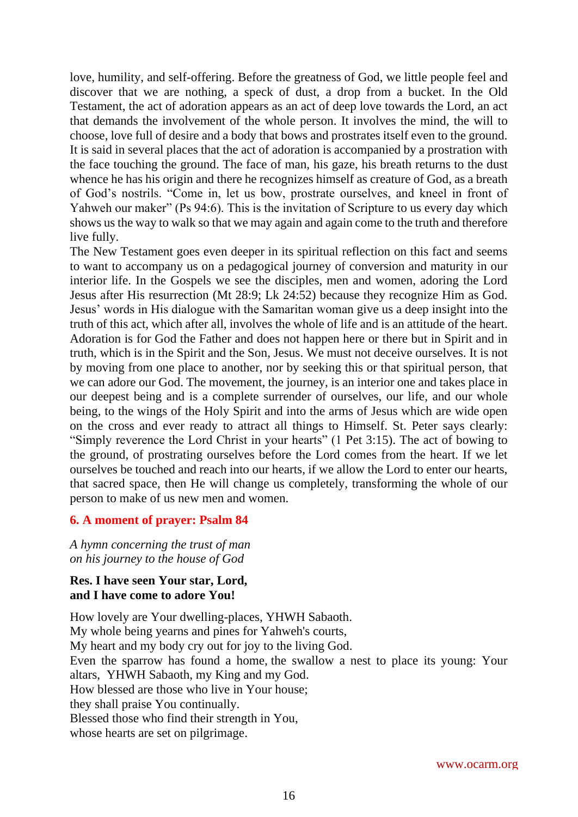love, humility, and self-offering. Before the greatness of God, we little people feel and discover that we are nothing, a speck of dust, a drop from a bucket. In the Old Testament, the act of adoration appears as an act of deep love towards the Lord, an act that demands the involvement of the whole person. It involves the mind, the will to choose, love full of desire and a body that bows and prostrates itself even to the ground. It is said in several places that the act of adoration is accompanied by a prostration with the face touching the ground. The face of man, his gaze, his breath returns to the dust whence he has his origin and there he recognizes himself as creature of God, as a breath of God's nostrils. "Come in, let us bow, prostrate ourselves, and kneel in front of Yahweh our maker" (Ps 94:6). This is the invitation of Scripture to us every day which shows us the way to walk so that we may again and again come to the truth and therefore live fully.

The New Testament goes even deeper in its spiritual reflection on this fact and seems to want to accompany us on a pedagogical journey of conversion and maturity in our interior life. In the Gospels we see the disciples, men and women, adoring the Lord Jesus after His resurrection (Mt 28:9; Lk 24:52) because they recognize Him as God. Jesus' words in His dialogue with the Samaritan woman give us a deep insight into the truth of this act, which after all, involves the whole of life and is an attitude of the heart. Adoration is for God the Father and does not happen here or there but in Spirit and in truth, which is in the Spirit and the Son, Jesus. We must not deceive ourselves. It is not by moving from one place to another, nor by seeking this or that spiritual person, that we can adore our God. The movement, the journey, is an interior one and takes place in our deepest being and is a complete surrender of ourselves, our life, and our whole being, to the wings of the Holy Spirit and into the arms of Jesus which are wide open on the cross and ever ready to attract all things to Himself. St. Peter says clearly: "Simply reverence the Lord Christ in your hearts" (1 Pet 3:15). The act of bowing to the ground, of prostrating ourselves before the Lord comes from the heart. If we let ourselves be touched and reach into our hearts, if we allow the Lord to enter our hearts, that sacred space, then He will change us completely, transforming the whole of our person to make of us new men and women.

#### **6. A moment of prayer: Psalm 84**

*A hymn concerning the trust of man on his journey to the house of God*

#### **Res. I have seen Your star, Lord, and I have come to adore You!**

How lovely are Your dwelling-places, YHWH Sabaoth. My whole being yearns and pines for Yahweh's courts, My heart and my body cry out for joy to the living God. Even the sparrow has found a home, the swallow a nest to place its young: Your altars, YHWH Sabaoth, my King and my God. How blessed are those who live in Your house; they shall praise You continually. Blessed those who find their strength in You, whose hearts are set on pilgrimage.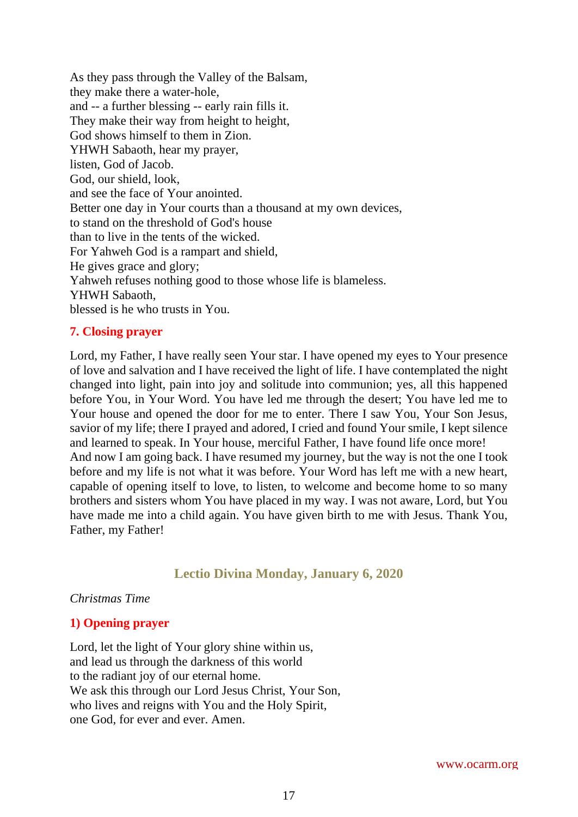As they pass through the Valley of the Balsam, they make there a water-hole, and -- a further blessing -- early rain fills it. They make their way from height to height, God shows himself to them in Zion. YHWH Sabaoth, hear my prayer, listen, God of Jacob. God, our shield, look, and see the face of Your anointed. Better one day in Your courts than a thousand at my own devices, to stand on the threshold of God's house than to live in the tents of the wicked. For Yahweh God is a rampart and shield, He gives grace and glory; Yahweh refuses nothing good to those whose life is blameless. YHWH Sabaoth, blessed is he who trusts in You.

#### **7. Closing prayer**

Lord, my Father, I have really seen Your star. I have opened my eyes to Your presence of love and salvation and I have received the light of life. I have contemplated the night changed into light, pain into joy and solitude into communion; yes, all this happened before You, in Your Word. You have led me through the desert; You have led me to Your house and opened the door for me to enter. There I saw You, Your Son Jesus, savior of my life; there I prayed and adored, I cried and found Your smile, I kept silence and learned to speak. In Your house, merciful Father, I have found life once more! And now I am going back. I have resumed my journey, but the way is not the one I took before and my life is not what it was before. Your Word has left me with a new heart, capable of opening itself to love, to listen, to welcome and become home to so many brothers and sisters whom You have placed in my way. I was not aware, Lord, but You have made me into a child again. You have given birth to me with Jesus. Thank You, Father, my Father!

# **Lectio Divina Monday, January 6, 2020**

#### <span id="page-16-0"></span>*Christmas Time*

## **1) Opening prayer**

Lord, let the light of Your glory shine within us, and lead us through the darkness of this world to the radiant joy of our eternal home. We ask this through our Lord Jesus Christ, Your Son, who lives and reigns with You and the Holy Spirit, one God, for ever and ever. Amen.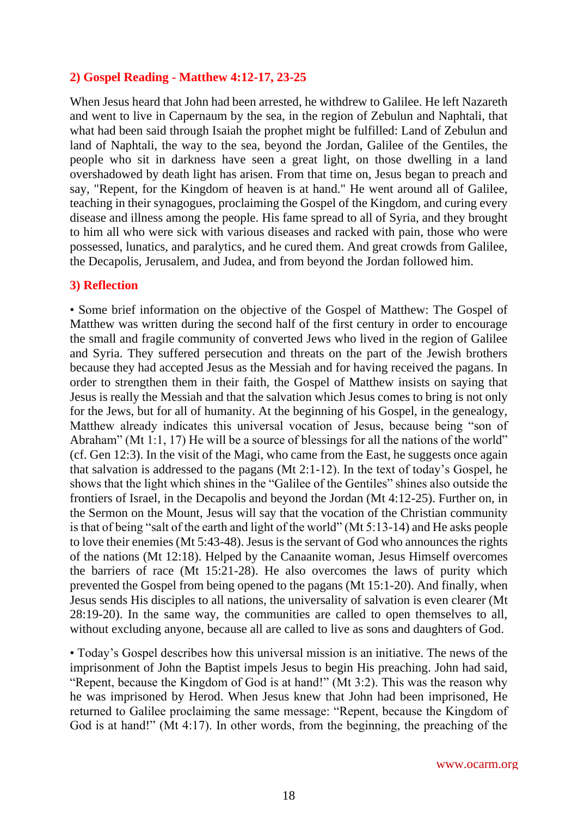#### **2) Gospel Reading - Matthew 4:12-17, 23-25**

When Jesus heard that John had been arrested, he withdrew to Galilee. He left Nazareth and went to live in Capernaum by the sea, in the region of Zebulun and Naphtali, that what had been said through Isaiah the prophet might be fulfilled: Land of Zebulun and land of Naphtali, the way to the sea, beyond the Jordan, Galilee of the Gentiles, the people who sit in darkness have seen a great light, on those dwelling in a land overshadowed by death light has arisen. From that time on, Jesus began to preach and say, "Repent, for the Kingdom of heaven is at hand." He went around all of Galilee, teaching in their synagogues, proclaiming the Gospel of the Kingdom, and curing every disease and illness among the people. His fame spread to all of Syria, and they brought to him all who were sick with various diseases and racked with pain, those who were possessed, lunatics, and paralytics, and he cured them. And great crowds from Galilee, the Decapolis, Jerusalem, and Judea, and from beyond the Jordan followed him.

#### **3) Reflection**

• Some brief information on the objective of the Gospel of Matthew: The Gospel of Matthew was written during the second half of the first century in order to encourage the small and fragile community of converted Jews who lived in the region of Galilee and Syria. They suffered persecution and threats on the part of the Jewish brothers because they had accepted Jesus as the Messiah and for having received the pagans. In order to strengthen them in their faith, the Gospel of Matthew insists on saying that Jesus is really the Messiah and that the salvation which Jesus comes to bring is not only for the Jews, but for all of humanity. At the beginning of his Gospel, in the genealogy, Matthew already indicates this universal vocation of Jesus, because being "son of Abraham" (Mt 1:1, 17) He will be a source of blessings for all the nations of the world" (cf. Gen 12:3). In the visit of the Magi, who came from the East, he suggests once again that salvation is addressed to the pagans (Mt 2:1-12). In the text of today's Gospel, he shows that the light which shines in the "Galilee of the Gentiles" shines also outside the frontiers of Israel, in the Decapolis and beyond the Jordan (Mt 4:12-25). Further on, in the Sermon on the Mount, Jesus will say that the vocation of the Christian community is that of being "salt of the earth and light of the world" (Mt 5:13-14) and He asks people to love their enemies (Mt 5:43-48). Jesus is the servant of God who announces the rights of the nations (Mt 12:18). Helped by the Canaanite woman, Jesus Himself overcomes the barriers of race (Mt 15:21-28). He also overcomes the laws of purity which prevented the Gospel from being opened to the pagans (Mt 15:1-20). And finally, when Jesus sends His disciples to all nations, the universality of salvation is even clearer (Mt 28:19-20). In the same way, the communities are called to open themselves to all, without excluding anyone, because all are called to live as sons and daughters of God.

• Today's Gospel describes how this universal mission is an initiative. The news of the imprisonment of John the Baptist impels Jesus to begin His preaching. John had said, "Repent, because the Kingdom of God is at hand!" (Mt 3:2). This was the reason why he was imprisoned by Herod. When Jesus knew that John had been imprisoned, He returned to Galilee proclaiming the same message: "Repent, because the Kingdom of God is at hand!" (Mt 4:17). In other words, from the beginning, the preaching of the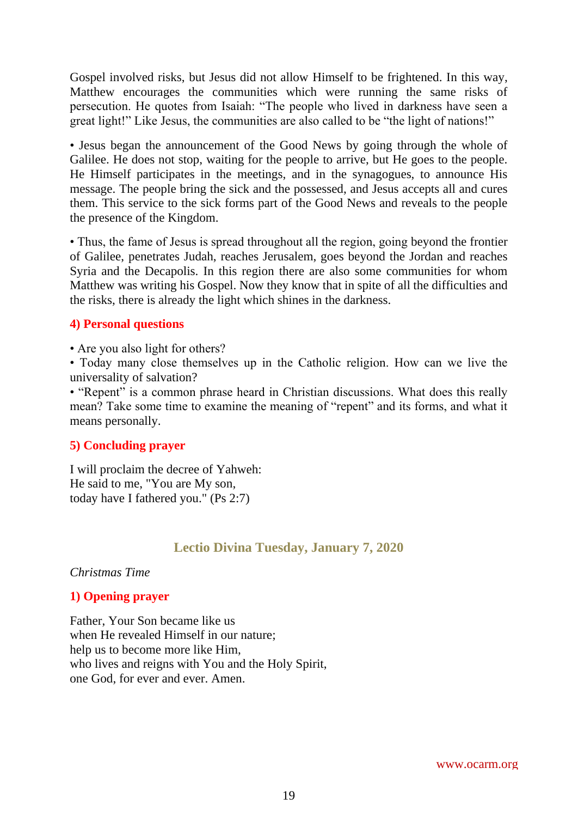Gospel involved risks, but Jesus did not allow Himself to be frightened. In this way, Matthew encourages the communities which were running the same risks of persecution. He quotes from Isaiah: "The people who lived in darkness have seen a great light!" Like Jesus, the communities are also called to be "the light of nations!"

• Jesus began the announcement of the Good News by going through the whole of Galilee. He does not stop, waiting for the people to arrive, but He goes to the people. He Himself participates in the meetings, and in the synagogues, to announce His message. The people bring the sick and the possessed, and Jesus accepts all and cures them. This service to the sick forms part of the Good News and reveals to the people the presence of the Kingdom.

• Thus, the fame of Jesus is spread throughout all the region, going beyond the frontier of Galilee, penetrates Judah, reaches Jerusalem, goes beyond the Jordan and reaches Syria and the Decapolis. In this region there are also some communities for whom Matthew was writing his Gospel. Now they know that in spite of all the difficulties and the risks, there is already the light which shines in the darkness.

## **4) Personal questions**

• Are you also light for others?

• Today many close themselves up in the Catholic religion. How can we live the universality of salvation?

• "Repent" is a common phrase heard in Christian discussions. What does this really mean? Take some time to examine the meaning of "repent" and its forms, and what it means personally.

## **5) Concluding prayer**

I will proclaim the decree of Yahweh: He said to me, "You are My son, today have I fathered you." (Ps 2:7)

## **Lectio Divina Tuesday, January 7, 2020**

<span id="page-18-0"></span>*Christmas Time*

## **1) Opening prayer**

Father, Your Son became like us when He revealed Himself in our nature; help us to become more like Him, who lives and reigns with You and the Holy Spirit, one God, for ever and ever. Amen.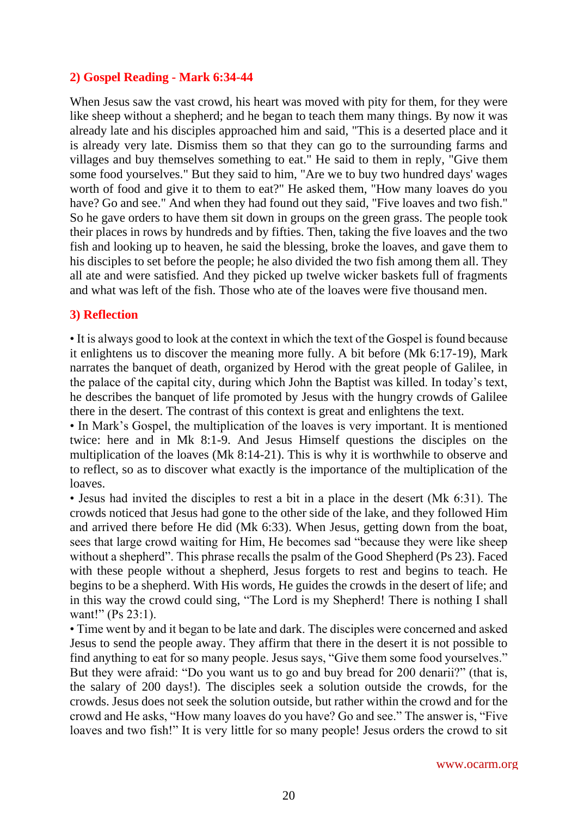## **2) Gospel Reading - Mark 6:34-44**

When Jesus saw the vast crowd, his heart was moved with pity for them, for they were like sheep without a shepherd; and he began to teach them many things. By now it was already late and his disciples approached him and said, "This is a deserted place and it is already very late. Dismiss them so that they can go to the surrounding farms and villages and buy themselves something to eat." He said to them in reply, "Give them some food yourselves." But they said to him, "Are we to buy two hundred days' wages worth of food and give it to them to eat?" He asked them, "How many loaves do you have? Go and see." And when they had found out they said, "Five loaves and two fish." So he gave orders to have them sit down in groups on the green grass. The people took their places in rows by hundreds and by fifties. Then, taking the five loaves and the two fish and looking up to heaven, he said the blessing, broke the loaves, and gave them to his disciples to set before the people; he also divided the two fish among them all. They all ate and were satisfied. And they picked up twelve wicker baskets full of fragments and what was left of the fish. Those who ate of the loaves were five thousand men.

#### **3) Reflection**

• It is always good to look at the context in which the text of the Gospel is found because it enlightens us to discover the meaning more fully. A bit before (Mk 6:17-19), Mark narrates the banquet of death, organized by Herod with the great people of Galilee, in the palace of the capital city, during which John the Baptist was killed. In today's text, he describes the banquet of life promoted by Jesus with the hungry crowds of Galilee there in the desert. The contrast of this context is great and enlightens the text.

• In Mark's Gospel, the multiplication of the loaves is very important. It is mentioned twice: here and in Mk 8:1-9. And Jesus Himself questions the disciples on the multiplication of the loaves (Mk 8:14-21). This is why it is worthwhile to observe and to reflect, so as to discover what exactly is the importance of the multiplication of the loaves.

• Jesus had invited the disciples to rest a bit in a place in the desert (Mk 6:31). The crowds noticed that Jesus had gone to the other side of the lake, and they followed Him and arrived there before He did (Mk 6:33). When Jesus, getting down from the boat, sees that large crowd waiting for Him, He becomes sad "because they were like sheep without a shepherd". This phrase recalls the psalm of the Good Shepherd (Ps 23). Faced with these people without a shepherd, Jesus forgets to rest and begins to teach. He begins to be a shepherd. With His words, He guides the crowds in the desert of life; and in this way the crowd could sing, "The Lord is my Shepherd! There is nothing I shall want!" (Ps 23:1).

• Time went by and it began to be late and dark. The disciples were concerned and asked Jesus to send the people away. They affirm that there in the desert it is not possible to find anything to eat for so many people. Jesus says, "Give them some food yourselves." But they were afraid: "Do you want us to go and buy bread for 200 denarii?" (that is, the salary of 200 days!). The disciples seek a solution outside the crowds, for the crowds. Jesus does not seek the solution outside, but rather within the crowd and for the crowd and He asks, "How many loaves do you have? Go and see." The answer is, "Five loaves and two fish!" It is very little for so many people! Jesus orders the crowd to sit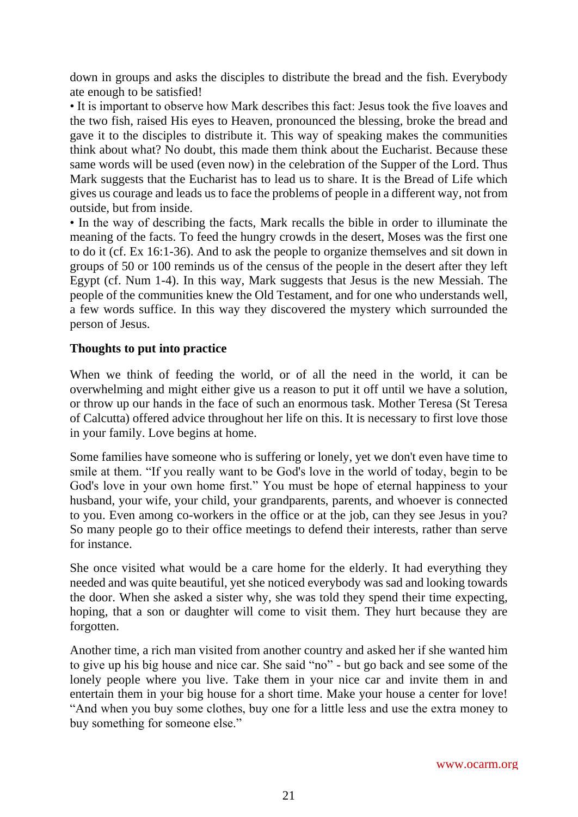down in groups and asks the disciples to distribute the bread and the fish. Everybody ate enough to be satisfied!

• It is important to observe how Mark describes this fact: Jesus took the five loaves and the two fish, raised His eyes to Heaven, pronounced the blessing, broke the bread and gave it to the disciples to distribute it. This way of speaking makes the communities think about what? No doubt, this made them think about the Eucharist. Because these same words will be used (even now) in the celebration of the Supper of the Lord. Thus Mark suggests that the Eucharist has to lead us to share. It is the Bread of Life which gives us courage and leads us to face the problems of people in a different way, not from outside, but from inside.

• In the way of describing the facts, Mark recalls the bible in order to illuminate the meaning of the facts. To feed the hungry crowds in the desert, Moses was the first one to do it (cf. Ex 16:1-36). And to ask the people to organize themselves and sit down in groups of 50 or 100 reminds us of the census of the people in the desert after they left Egypt (cf. Num 1-4). In this way, Mark suggests that Jesus is the new Messiah. The people of the communities knew the Old Testament, and for one who understands well, a few words suffice. In this way they discovered the mystery which surrounded the person of Jesus.

# **Thoughts to put into practice**

When we think of feeding the world, or of all the need in the world, it can be overwhelming and might either give us a reason to put it off until we have a solution, or throw up our hands in the face of such an enormous task. Mother Teresa (St Teresa of Calcutta) offered advice throughout her life on this. It is necessary to first love those in your family. Love begins at home.

Some families have someone who is suffering or lonely, yet we don't even have time to smile at them. "If you really want to be God's love in the world of today, begin to be God's love in your own home first." You must be hope of eternal happiness to your husband, your wife, your child, your grandparents, parents, and whoever is connected to you. Even among co-workers in the office or at the job, can they see Jesus in you? So many people go to their office meetings to defend their interests, rather than serve for instance.

She once visited what would be a care home for the elderly. It had everything they needed and was quite beautiful, yet she noticed everybody was sad and looking towards the door. When she asked a sister why, she was told they spend their time expecting, hoping, that a son or daughter will come to visit them. They hurt because they are forgotten.

Another time, a rich man visited from another country and asked her if she wanted him to give up his big house and nice car. She said "no" - but go back and see some of the lonely people where you live. Take them in your nice car and invite them in and entertain them in your big house for a short time. Make your house a center for love! "And when you buy some clothes, buy one for a little less and use the extra money to buy something for someone else."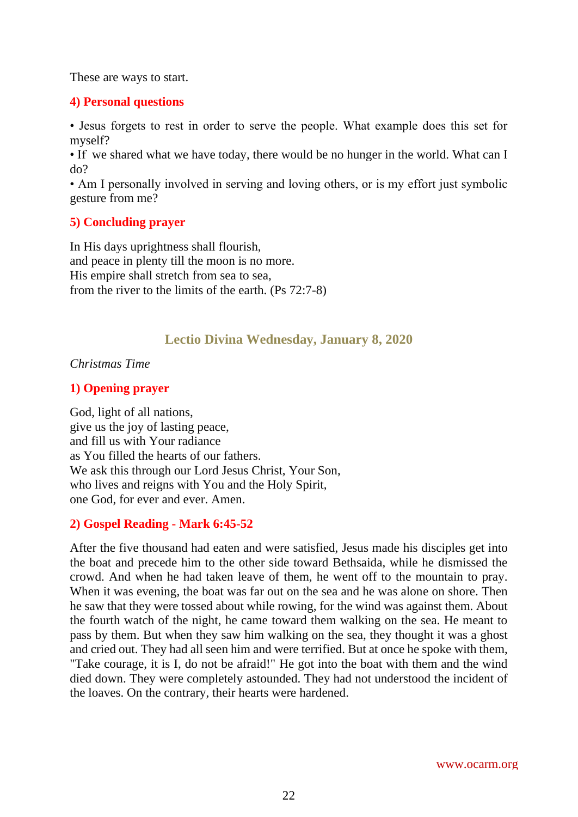These are ways to start.

#### **4) Personal questions**

• Jesus forgets to rest in order to serve the people. What example does this set for myself?

• If we shared what we have today, there would be no hunger in the world. What can I do?

• Am I personally involved in serving and loving others, or is my effort just symbolic gesture from me?

## **5) Concluding prayer**

In His days uprightness shall flourish, and peace in plenty till the moon is no more. His empire shall stretch from sea to sea, from the river to the limits of the earth. (Ps 72:7-8)

# **Lectio Divina Wednesday, January 8, 2020**

<span id="page-21-0"></span>*Christmas Time*

## **1) Opening prayer**

God, light of all nations, give us the joy of lasting peace, and fill us with Your radiance as You filled the hearts of our fathers. We ask this through our Lord Jesus Christ, Your Son, who lives and reigns with You and the Holy Spirit, one God, for ever and ever. Amen.

# **2) Gospel Reading - Mark 6:45-52**

After the five thousand had eaten and were satisfied, Jesus made his disciples get into the boat and precede him to the other side toward Bethsaida, while he dismissed the crowd. And when he had taken leave of them, he went off to the mountain to pray. When it was evening, the boat was far out on the sea and he was alone on shore. Then he saw that they were tossed about while rowing, for the wind was against them. About the fourth watch of the night, he came toward them walking on the sea. He meant to pass by them. But when they saw him walking on the sea, they thought it was a ghost and cried out. They had all seen him and were terrified. But at once he spoke with them, "Take courage, it is I, do not be afraid!" He got into the boat with them and the wind died down. They were completely astounded. They had not understood the incident of the loaves. On the contrary, their hearts were hardened.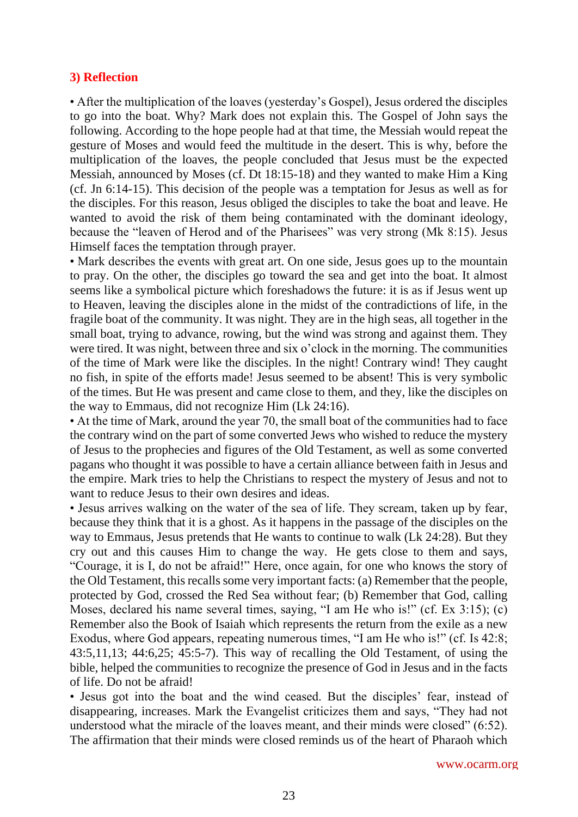#### **3) Reflection**

• After the multiplication of the loaves (yesterday's Gospel), Jesus ordered the disciples to go into the boat. Why? Mark does not explain this. The Gospel of John says the following. According to the hope people had at that time, the Messiah would repeat the gesture of Moses and would feed the multitude in the desert. This is why, before the multiplication of the loaves, the people concluded that Jesus must be the expected Messiah, announced by Moses (cf. Dt 18:15-18) and they wanted to make Him a King (cf. Jn 6:14-15). This decision of the people was a temptation for Jesus as well as for the disciples. For this reason, Jesus obliged the disciples to take the boat and leave. He wanted to avoid the risk of them being contaminated with the dominant ideology, because the "leaven of Herod and of the Pharisees" was very strong (Mk 8:15). Jesus Himself faces the temptation through prayer.

• Mark describes the events with great art. On one side, Jesus goes up to the mountain to pray. On the other, the disciples go toward the sea and get into the boat. It almost seems like a symbolical picture which foreshadows the future: it is as if Jesus went up to Heaven, leaving the disciples alone in the midst of the contradictions of life, in the fragile boat of the community. It was night. They are in the high seas, all together in the small boat, trying to advance, rowing, but the wind was strong and against them. They were tired. It was night, between three and six o'clock in the morning. The communities of the time of Mark were like the disciples. In the night! Contrary wind! They caught no fish, in spite of the efforts made! Jesus seemed to be absent! This is very symbolic of the times. But He was present and came close to them, and they, like the disciples on the way to Emmaus, did not recognize Him (Lk 24:16).

• At the time of Mark, around the year 70, the small boat of the communities had to face the contrary wind on the part of some converted Jews who wished to reduce the mystery of Jesus to the prophecies and figures of the Old Testament, as well as some converted pagans who thought it was possible to have a certain alliance between faith in Jesus and the empire. Mark tries to help the Christians to respect the mystery of Jesus and not to want to reduce Jesus to their own desires and ideas.

• Jesus arrives walking on the water of the sea of life. They scream, taken up by fear, because they think that it is a ghost. As it happens in the passage of the disciples on the way to Emmaus, Jesus pretends that He wants to continue to walk (Lk 24:28). But they cry out and this causes Him to change the way. He gets close to them and says, "Courage, it is I, do not be afraid!" Here, once again, for one who knows the story of the Old Testament, this recalls some very important facts: (a) Remember that the people, protected by God, crossed the Red Sea without fear; (b) Remember that God, calling Moses, declared his name several times, saying, "I am He who is!" (cf. Ex 3:15); (c) Remember also the Book of Isaiah which represents the return from the exile as a new Exodus, where God appears, repeating numerous times, "I am He who is!" (cf. Is 42:8; 43:5,11,13; 44:6,25; 45:5-7). This way of recalling the Old Testament, of using the bible, helped the communities to recognize the presence of God in Jesus and in the facts of life. Do not be afraid!

• Jesus got into the boat and the wind ceased. But the disciples' fear, instead of disappearing, increases. Mark the Evangelist criticizes them and says, "They had not understood what the miracle of the loaves meant, and their minds were closed" (6:52). The affirmation that their minds were closed reminds us of the heart of Pharaoh which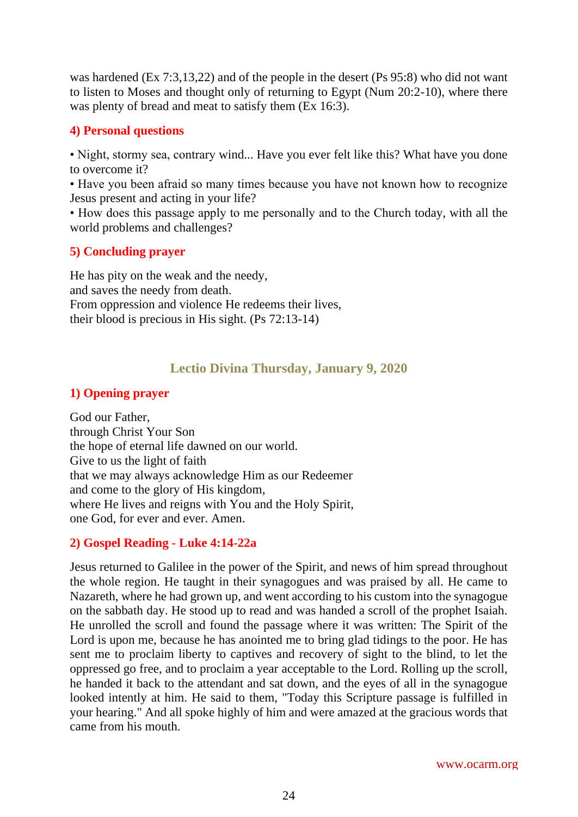was hardened (Ex 7:3,13,22) and of the people in the desert (Ps 95:8) who did not want to listen to Moses and thought only of returning to Egypt (Num 20:2-10), where there was plenty of bread and meat to satisfy them (Ex 16:3).

#### **4) Personal questions**

• Night, stormy sea, contrary wind... Have you ever felt like this? What have you done to overcome it?

• Have you been afraid so many times because you have not known how to recognize Jesus present and acting in your life?

• How does this passage apply to me personally and to the Church today, with all the world problems and challenges?

## **5) Concluding prayer**

He has pity on the weak and the needy, and saves the needy from death. From oppression and violence He redeems their lives, their blood is precious in His sight. (Ps 72:13-14)

# **Lectio Divina Thursday, January 9, 2020**

## <span id="page-23-0"></span>**1) Opening prayer**

God our Father, through Christ Your Son the hope of eternal life dawned on our world. Give to us the light of faith that we may always acknowledge Him as our Redeemer and come to the glory of His kingdom, where He lives and reigns with You and the Holy Spirit, one God, for ever and ever. Amen.

## **2) Gospel Reading - Luke 4:14-22a**

Jesus returned to Galilee in the power of the Spirit, and news of him spread throughout the whole region. He taught in their synagogues and was praised by all. He came to Nazareth, where he had grown up, and went according to his custom into the synagogue on the sabbath day. He stood up to read and was handed a scroll of the prophet Isaiah. He unrolled the scroll and found the passage where it was written: The Spirit of the Lord is upon me, because he has anointed me to bring glad tidings to the poor. He has sent me to proclaim liberty to captives and recovery of sight to the blind, to let the oppressed go free, and to proclaim a year acceptable to the Lord. Rolling up the scroll, he handed it back to the attendant and sat down, and the eyes of all in the synagogue looked intently at him. He said to them, "Today this Scripture passage is fulfilled in your hearing." And all spoke highly of him and were amazed at the gracious words that came from his mouth.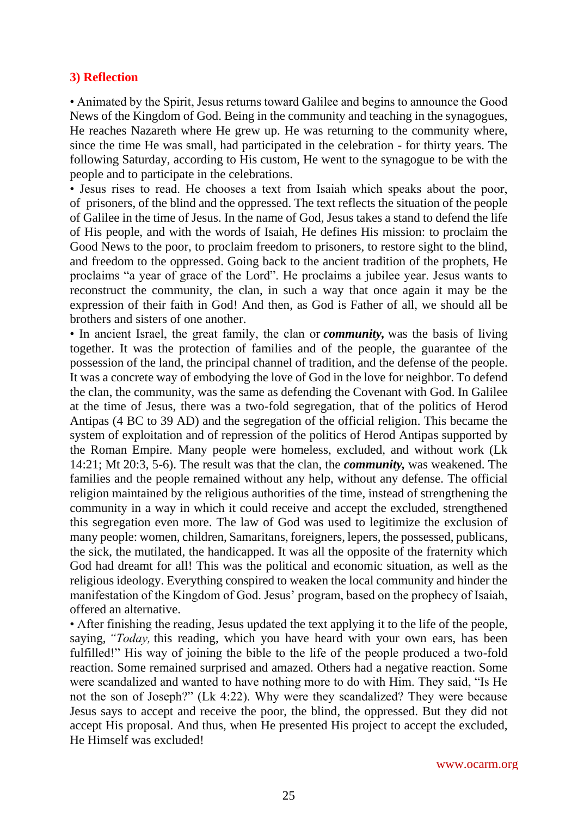#### **3) Reflection**

• Animated by the Spirit, Jesus returns toward Galilee and begins to announce the Good News of the Kingdom of God. Being in the community and teaching in the synagogues, He reaches Nazareth where He grew up. He was returning to the community where, since the time He was small, had participated in the celebration - for thirty years. The following Saturday, according to His custom, He went to the synagogue to be with the people and to participate in the celebrations.

• Jesus rises to read. He chooses a text from Isaiah which speaks about the poor, of prisoners, of the blind and the oppressed. The text reflects the situation of the people of Galilee in the time of Jesus. In the name of God, Jesus takes a stand to defend the life of His people, and with the words of Isaiah, He defines His mission: to proclaim the Good News to the poor, to proclaim freedom to prisoners, to restore sight to the blind, and freedom to the oppressed. Going back to the ancient tradition of the prophets, He proclaims "a year of grace of the Lord". He proclaims a jubilee year. Jesus wants to reconstruct the community, the clan, in such a way that once again it may be the expression of their faith in God! And then, as God is Father of all, we should all be brothers and sisters of one another.

• In ancient Israel, the great family, the clan or *community,* was the basis of living together. It was the protection of families and of the people, the guarantee of the possession of the land, the principal channel of tradition, and the defense of the people. It was a concrete way of embodying the love of God in the love for neighbor. To defend the clan, the community, was the same as defending the Covenant with God. In Galilee at the time of Jesus, there was a two-fold segregation, that of the politics of Herod Antipas (4 BC to 39 AD) and the segregation of the official religion. This became the system of exploitation and of repression of the politics of Herod Antipas supported by the Roman Empire. Many people were homeless, excluded, and without work (Lk 14:21; Mt 20:3, 5-6). The result was that the clan, the *community,* was weakened. The families and the people remained without any help, without any defense. The official religion maintained by the religious authorities of the time, instead of strengthening the community in a way in which it could receive and accept the excluded, strengthened this segregation even more. The law of God was used to legitimize the exclusion of many people: women, children, Samaritans, foreigners, lepers, the possessed, publicans, the sick, the mutilated, the handicapped. It was all the opposite of the fraternity which God had dreamt for all! This was the political and economic situation, as well as the religious ideology. Everything conspired to weaken the local community and hinder the manifestation of the Kingdom of God. Jesus' program, based on the prophecy of Isaiah, offered an alternative.

• After finishing the reading, Jesus updated the text applying it to the life of the people, saying, *"Today,* this reading, which you have heard with your own ears, has been fulfilled!" His way of joining the bible to the life of the people produced a two-fold reaction. Some remained surprised and amazed. Others had a negative reaction. Some were scandalized and wanted to have nothing more to do with Him. They said, "Is He not the son of Joseph?" (Lk 4:22). Why were they scandalized? They were because Jesus says to accept and receive the poor, the blind, the oppressed. But they did not accept His proposal. And thus, when He presented His project to accept the excluded, He Himself was excluded!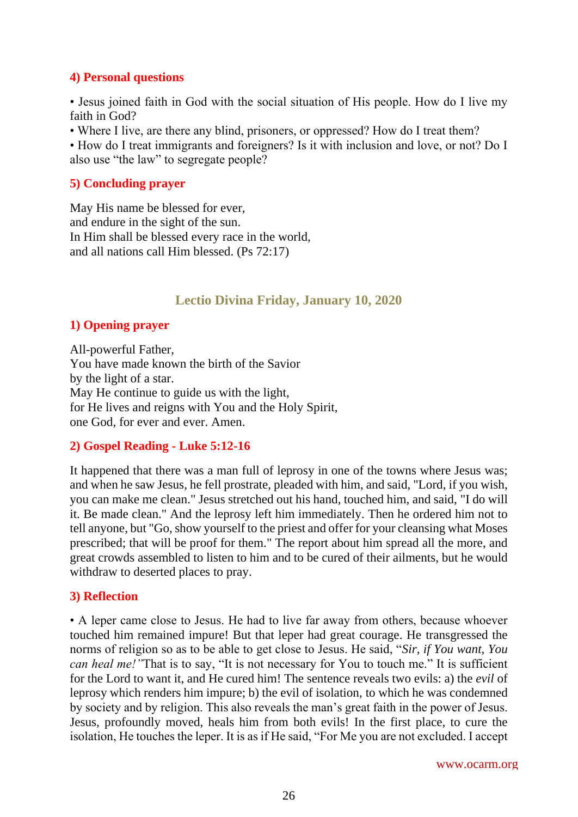## **4) Personal questions**

• Jesus joined faith in God with the social situation of His people. How do I live my faith in God?

• Where I live, are there any blind, prisoners, or oppressed? How do I treat them?

• How do I treat immigrants and foreigners? Is it with inclusion and love, or not? Do I also use "the law" to segregate people?

## **5) Concluding prayer**

May His name be blessed for ever, and endure in the sight of the sun. In Him shall be blessed every race in the world, and all nations call Him blessed. (Ps 72:17)

# **Lectio Divina Friday, January 10, 2020**

# <span id="page-25-0"></span>**1) Opening prayer**

All-powerful Father, You have made known the birth of the Savior by the light of a star. May He continue to guide us with the light, for He lives and reigns with You and the Holy Spirit, one God, for ever and ever. Amen.

# **2) Gospel Reading - Luke 5:12-16**

It happened that there was a man full of leprosy in one of the towns where Jesus was; and when he saw Jesus, he fell prostrate, pleaded with him, and said, "Lord, if you wish, you can make me clean." Jesus stretched out his hand, touched him, and said, "I do will it. Be made clean." And the leprosy left him immediately. Then he ordered him not to tell anyone, but "Go, show yourself to the priest and offer for your cleansing what Moses prescribed; that will be proof for them." The report about him spread all the more, and great crowds assembled to listen to him and to be cured of their ailments, but he would withdraw to deserted places to pray.

# **3) Reflection**

• A leper came close to Jesus. He had to live far away from others, because whoever touched him remained impure! But that leper had great courage. He transgressed the norms of religion so as to be able to get close to Jesus. He said, "*Sir, if You want, You can heal me!*"That is to say, "It is not necessary for You to touch me." It is sufficient for the Lord to want it, and He cured him! The sentence reveals two evils: a) the *evil* of leprosy which renders him impure; b) the evil of isolation, to which he was condemned by society and by religion. This also reveals the man's great faith in the power of Jesus. Jesus, profoundly moved, heals him from both evils! In the first place, to cure the isolation, He touches the leper. It is as if He said, "For Me you are not excluded. I accept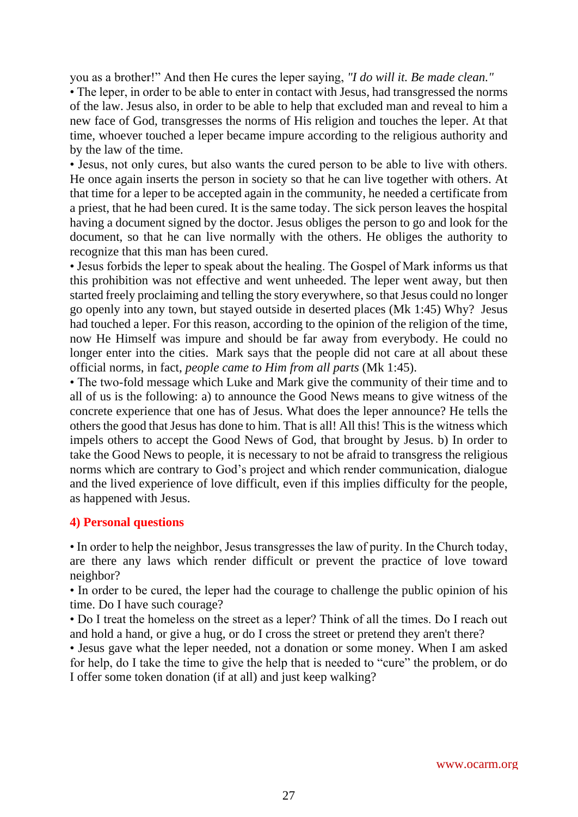you as a brother!" And then He cures the leper saying, *"I do will it. Be made clean."*

• The leper, in order to be able to enter in contact with Jesus, had transgressed the norms of the law. Jesus also, in order to be able to help that excluded man and reveal to him a new face of God, transgresses the norms of His religion and touches the leper. At that time, whoever touched a leper became impure according to the religious authority and by the law of the time.

• Jesus, not only cures, but also wants the cured person to be able to live with others. He once again inserts the person in society so that he can live together with others. At that time for a leper to be accepted again in the community, he needed a certificate from a priest, that he had been cured. It is the same today. The sick person leaves the hospital having a document signed by the doctor. Jesus obliges the person to go and look for the document, so that he can live normally with the others. He obliges the authority to recognize that this man has been cured.

• Jesus forbids the leper to speak about the healing. The Gospel of Mark informs us that this prohibition was not effective and went unheeded. The leper went away, but then started freely proclaiming and telling the story everywhere, so that Jesus could no longer go openly into any town, but stayed outside in deserted places (Mk 1:45) Why? Jesus had touched a leper. For this reason, according to the opinion of the religion of the time, now He Himself was impure and should be far away from everybody. He could no longer enter into the cities. Mark says that the people did not care at all about these official norms, in fact, *people came to Him from all parts* (Mk 1:45).

• The two-fold message which Luke and Mark give the community of their time and to all of us is the following: a) to announce the Good News means to give witness of the concrete experience that one has of Jesus. What does the leper announce? He tells the others the good that Jesus has done to him. That is all! All this! This is the witness which impels others to accept the Good News of God, that brought by Jesus. b) In order to take the Good News to people, it is necessary to not be afraid to transgress the religious norms which are contrary to God's project and which render communication, dialogue and the lived experience of love difficult, even if this implies difficulty for the people, as happened with Jesus.

#### **4) Personal questions**

• In order to help the neighbor, Jesus transgresses the law of purity. In the Church today, are there any laws which render difficult or prevent the practice of love toward neighbor?

• In order to be cured, the leper had the courage to challenge the public opinion of his time. Do I have such courage?

• Do I treat the homeless on the street as a leper? Think of all the times. Do I reach out and hold a hand, or give a hug, or do I cross the street or pretend they aren't there?

• Jesus gave what the leper needed, not a donation or some money. When I am asked for help, do I take the time to give the help that is needed to "cure" the problem, or do I offer some token donation (if at all) and just keep walking?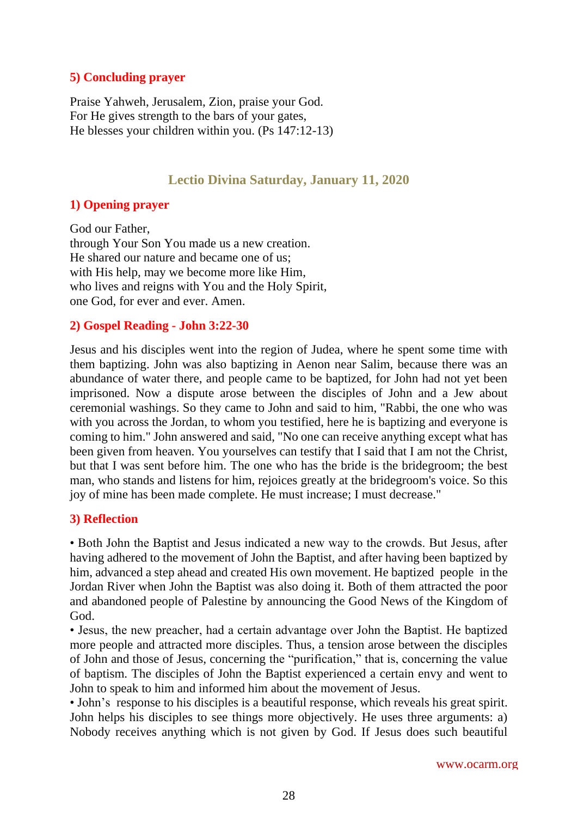## **5) Concluding prayer**

Praise Yahweh, Jerusalem, Zion, praise your God. For He gives strength to the bars of your gates, He blesses your children within you. (Ps 147:12-13)

# **Lectio Divina Saturday, January 11, 2020**

## <span id="page-27-0"></span>**1) Opening prayer**

God our Father, through Your Son You made us a new creation. He shared our nature and became one of us; with His help, may we become more like Him. who lives and reigns with You and the Holy Spirit, one God, for ever and ever. Amen.

# **2) Gospel Reading - John 3:22-30**

Jesus and his disciples went into the region of Judea, where he spent some time with them baptizing. John was also baptizing in Aenon near Salim, because there was an abundance of water there, and people came to be baptized, for John had not yet been imprisoned. Now a dispute arose between the disciples of John and a Jew about ceremonial washings. So they came to John and said to him, "Rabbi, the one who was with you across the Jordan, to whom you testified, here he is baptizing and everyone is coming to him." John answered and said, "No one can receive anything except what has been given from heaven. You yourselves can testify that I said that I am not the Christ, but that I was sent before him. The one who has the bride is the bridegroom; the best man, who stands and listens for him, rejoices greatly at the bridegroom's voice. So this joy of mine has been made complete. He must increase; I must decrease."

## **3) Reflection**

• Both John the Baptist and Jesus indicated a new way to the crowds. But Jesus, after having adhered to the movement of John the Baptist, and after having been baptized by him, advanced a step ahead and created His own movement. He baptized people in the Jordan River when John the Baptist was also doing it. Both of them attracted the poor and abandoned people of Palestine by announcing the Good News of the Kingdom of God.

• Jesus, the new preacher, had a certain advantage over John the Baptist. He baptized more people and attracted more disciples. Thus, a tension arose between the disciples of John and those of Jesus, concerning the "purification," that is, concerning the value of baptism. The disciples of John the Baptist experienced a certain envy and went to John to speak to him and informed him about the movement of Jesus.

• John's response to his disciples is a beautiful response, which reveals his great spirit. John helps his disciples to see things more objectively. He uses three arguments: a) Nobody receives anything which is not given by God. If Jesus does such beautiful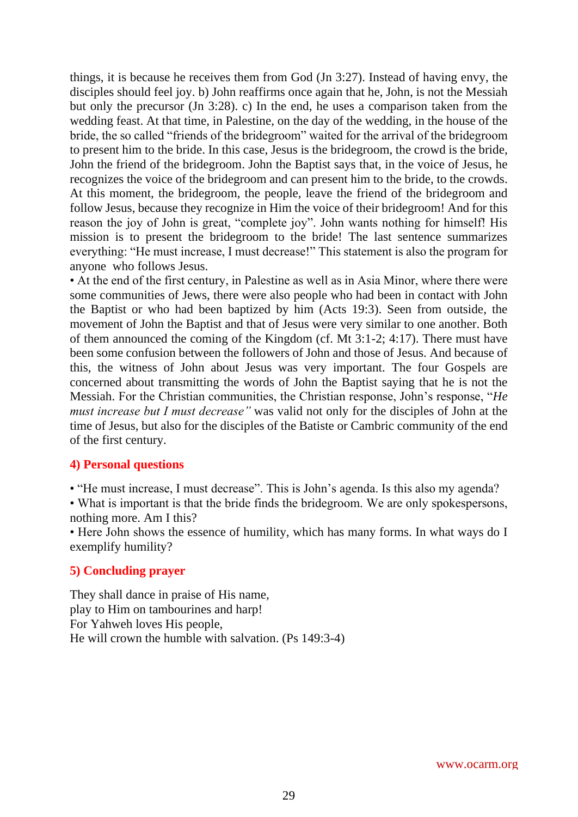things, it is because he receives them from God (Jn 3:27). Instead of having envy, the disciples should feel joy. b) John reaffirms once again that he, John, is not the Messiah but only the precursor (Jn 3:28). c) In the end, he uses a comparison taken from the wedding feast. At that time, in Palestine, on the day of the wedding, in the house of the bride, the so called "friends of the bridegroom" waited for the arrival of the bridegroom to present him to the bride. In this case, Jesus is the bridegroom, the crowd is the bride, John the friend of the bridegroom. John the Baptist says that, in the voice of Jesus, he recognizes the voice of the bridegroom and can present him to the bride, to the crowds. At this moment, the bridegroom, the people, leave the friend of the bridegroom and follow Jesus, because they recognize in Him the voice of their bridegroom! And for this reason the joy of John is great, "complete joy". John wants nothing for himself! His mission is to present the bridegroom to the bride! The last sentence summarizes everything: "He must increase, I must decrease!" This statement is also the program for anyone who follows Jesus.

• At the end of the first century, in Palestine as well as in Asia Minor, where there were some communities of Jews, there were also people who had been in contact with John the Baptist or who had been baptized by him (Acts 19:3). Seen from outside, the movement of John the Baptist and that of Jesus were very similar to one another. Both of them announced the coming of the Kingdom (cf. Mt 3:1-2; 4:17). There must have been some confusion between the followers of John and those of Jesus. And because of this, the witness of John about Jesus was very important. The four Gospels are concerned about transmitting the words of John the Baptist saying that he is not the Messiah. For the Christian communities, the Christian response, John's response, "*He must increase but I must decrease"* was valid not only for the disciples of John at the time of Jesus, but also for the disciples of the Batiste or Cambric community of the end of the first century.

#### **4) Personal questions**

• "He must increase, I must decrease". This is John's agenda. Is this also my agenda?

• What is important is that the bride finds the bridegroom. We are only spokespersons, nothing more. Am I this?

• Here John shows the essence of humility, which has many forms. In what ways do I exemplify humility?

#### **5) Concluding prayer**

They shall dance in praise of His name, play to Him on tambourines and harp! For Yahweh loves His people, He will crown the humble with salvation. (Ps 149:3-4)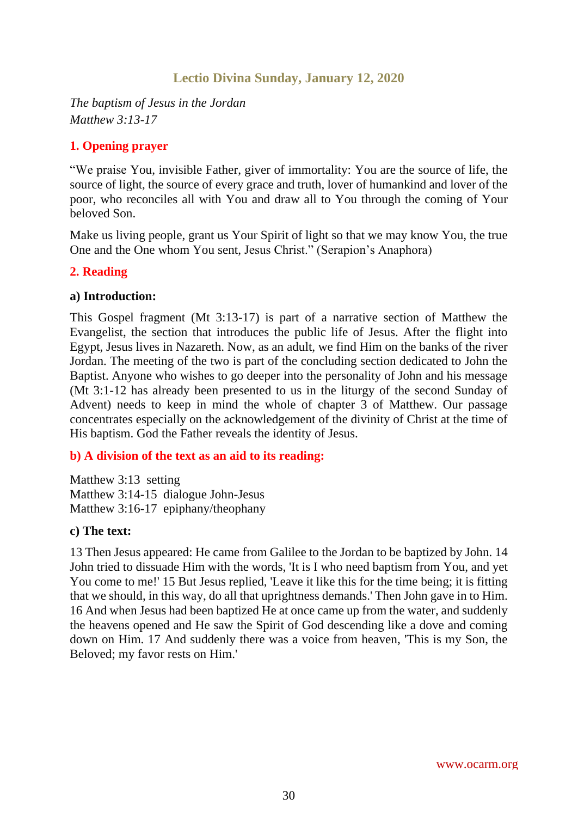# **Lectio Divina Sunday, January 12, 2020**

<span id="page-29-0"></span>*The baptism of Jesus in the Jordan Matthew 3:13-17*

## **1. Opening prayer**

"We praise You, invisible Father, giver of immortality: You are the source of life, the source of light, the source of every grace and truth, lover of humankind and lover of the poor, who reconciles all with You and draw all to You through the coming of Your beloved Son.

Make us living people, grant us Your Spirit of light so that we may know You, the true One and the One whom You sent, Jesus Christ." (Serapion's Anaphora)

#### **2. Reading**

#### **a) Introduction:**

This Gospel fragment (Mt 3:13-17) is part of a narrative section of Matthew the Evangelist, the section that introduces the public life of Jesus. After the flight into Egypt, Jesus lives in Nazareth. Now, as an adult, we find Him on the banks of the river Jordan. The meeting of the two is part of the concluding section dedicated to John the Baptist. Anyone who wishes to go deeper into the personality of John and his message (Mt 3:1-12 has already been presented to us in the liturgy of the second Sunday of Advent) needs to keep in mind the whole of chapter 3 of Matthew. Our passage concentrates especially on the acknowledgement of the divinity of Christ at the time of His baptism. God the Father reveals the identity of Jesus.

## **b) A division of the text as an aid to its reading:**

Matthew 3:13 setting Matthew 3:14-15 dialogue John-Jesus Matthew 3:16-17 epiphany/theophany

#### **c) The text:**

13 Then Jesus appeared: He came from Galilee to the Jordan to be baptized by John. 14 John tried to dissuade Him with the words, 'It is I who need baptism from You, and yet You come to me!' 15 But Jesus replied, 'Leave it like this for the time being; it is fitting that we should, in this way, do all that uprightness demands.' Then John gave in to Him. 16 And when Jesus had been baptized He at once came up from the water, and suddenly the heavens opened and He saw the Spirit of God descending like a dove and coming down on Him. 17 And suddenly there was a voice from heaven, 'This is my Son, the Beloved; my favor rests on Him.'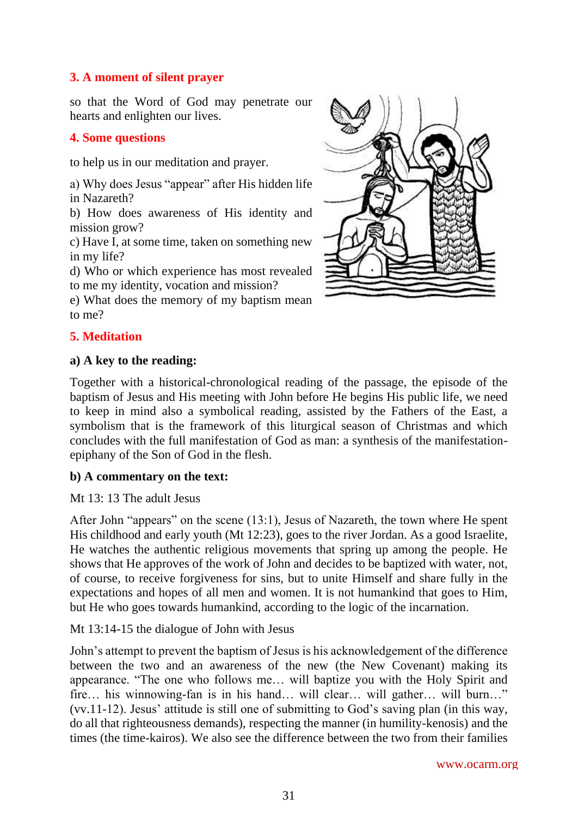# **3. A moment of silent prayer**

so that the Word of God may penetrate our hearts and enlighten our lives.

# **4. Some questions**

to help us in our meditation and prayer.

a) Why does Jesus "appear" after His hidden life in Nazareth?

b) How does awareness of His identity and mission grow?

c) Have I, at some time, taken on something new in my life?

d) Who or which experience has most revealed to me my identity, vocation and mission?

e) What does the memory of my baptism mean to me?

# **5. Meditation**

#### **a) A key to the reading:**

Together with a historical-chronological reading of the passage, the episode of the baptism of Jesus and His meeting with John before He begins His public life, we need to keep in mind also a symbolical reading, assisted by the Fathers of the East, a symbolism that is the framework of this liturgical season of Christmas and which concludes with the full manifestation of God as man: a synthesis of the manifestationepiphany of the Son of God in the flesh.

## **b) A commentary on the text:**

Mt 13: 13 The adult Jesus

After John "appears" on the scene (13:1), Jesus of Nazareth, the town where He spent His childhood and early youth (Mt 12:23), goes to the river Jordan. As a good Israelite, He watches the authentic religious movements that spring up among the people. He shows that He approves of the work of John and decides to be baptized with water, not, of course, to receive forgiveness for sins, but to unite Himself and share fully in the expectations and hopes of all men and women. It is not humankind that goes to Him, but He who goes towards humankind, according to the logic of the incarnation.

Mt 13:14-15 the dialogue of John with Jesus

John's attempt to prevent the baptism of Jesus is his acknowledgement of the difference between the two and an awareness of the new (the New Covenant) making its appearance. "The one who follows me… will baptize you with the Holy Spirit and fire… his winnowing-fan is in his hand… will clear… will gather… will burn…" (vv.11-12). Jesus' attitude is still one of submitting to God's saving plan (in this way, do all that righteousness demands), respecting the manner (in humility-kenosis) and the times (the time-kairos). We also see the difference between the two from their families

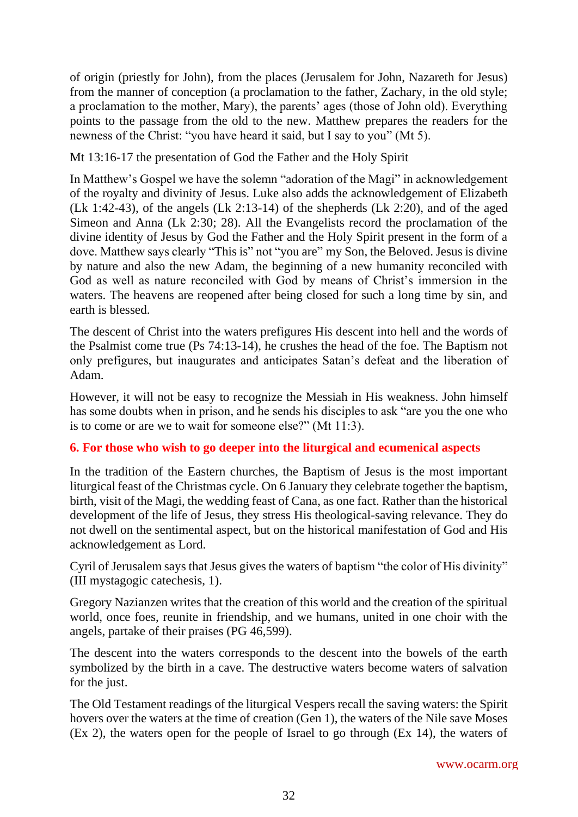of origin (priestly for John), from the places (Jerusalem for John, Nazareth for Jesus) from the manner of conception (a proclamation to the father, Zachary, in the old style; a proclamation to the mother, Mary), the parents' ages (those of John old). Everything points to the passage from the old to the new. Matthew prepares the readers for the newness of the Christ: "you have heard it said, but I say to you" (Mt 5).

Mt 13:16-17 the presentation of God the Father and the Holy Spirit

In Matthew's Gospel we have the solemn "adoration of the Magi" in acknowledgement of the royalty and divinity of Jesus. Luke also adds the acknowledgement of Elizabeth (Lk 1:42-43), of the angels (Lk 2:13-14) of the shepherds (Lk 2:20), and of the aged Simeon and Anna (Lk 2:30; 28). All the Evangelists record the proclamation of the divine identity of Jesus by God the Father and the Holy Spirit present in the form of a dove. Matthew says clearly "This is" not "you are" my Son, the Beloved. Jesus is divine by nature and also the new Adam, the beginning of a new humanity reconciled with God as well as nature reconciled with God by means of Christ's immersion in the waters. The heavens are reopened after being closed for such a long time by sin, and earth is blessed.

The descent of Christ into the waters prefigures His descent into hell and the words of the Psalmist come true (Ps 74:13-14), he crushes the head of the foe. The Baptism not only prefigures, but inaugurates and anticipates Satan's defeat and the liberation of Adam.

However, it will not be easy to recognize the Messiah in His weakness. John himself has some doubts when in prison, and he sends his disciples to ask "are you the one who is to come or are we to wait for someone else?" (Mt 11:3).

# **6. For those who wish to go deeper into the liturgical and ecumenical aspects**

In the tradition of the Eastern churches, the Baptism of Jesus is the most important liturgical feast of the Christmas cycle. On 6 January they celebrate together the baptism, birth, visit of the Magi, the wedding feast of Cana, as one fact. Rather than the historical development of the life of Jesus, they stress His theological-saving relevance. They do not dwell on the sentimental aspect, but on the historical manifestation of God and His acknowledgement as Lord.

Cyril of Jerusalem says that Jesus gives the waters of baptism "the color of His divinity" (III mystagogic catechesis, 1).

Gregory Nazianzen writes that the creation of this world and the creation of the spiritual world, once foes, reunite in friendship, and we humans, united in one choir with the angels, partake of their praises (PG 46,599).

The descent into the waters corresponds to the descent into the bowels of the earth symbolized by the birth in a cave. The destructive waters become waters of salvation for the just.

The Old Testament readings of the liturgical Vespers recall the saving waters: the Spirit hovers over the waters at the time of creation (Gen 1), the waters of the Nile save Moses (Ex 2), the waters open for the people of Israel to go through (Ex 14), the waters of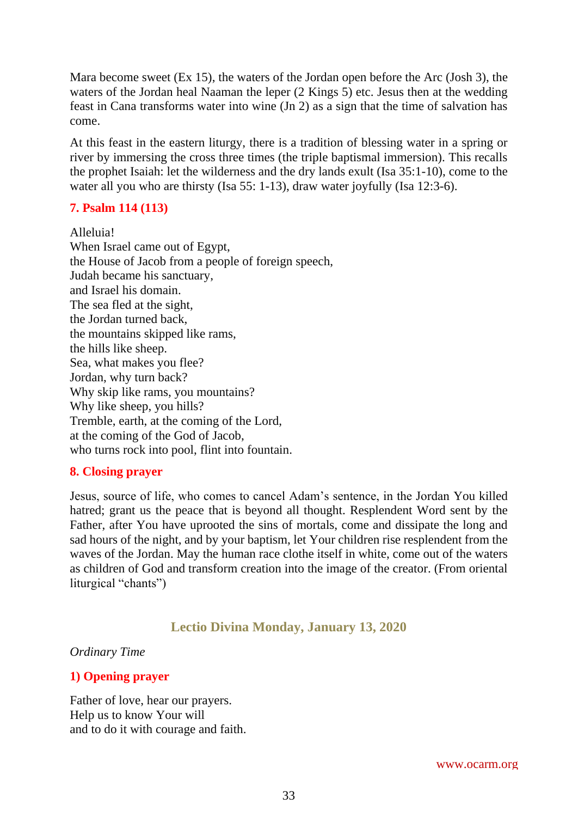Mara become sweet (Ex 15), the waters of the Jordan open before the Arc (Josh 3), the waters of the Jordan heal Naaman the leper (2 Kings 5) etc. Jesus then at the wedding feast in Cana transforms water into wine (Jn 2) as a sign that the time of salvation has come.

At this feast in the eastern liturgy, there is a tradition of blessing water in a spring or river by immersing the cross three times (the triple baptismal immersion). This recalls the prophet Isaiah: let the wilderness and the dry lands exult (Isa 35:1-10), come to the water all you who are thirsty (Isa 55: 1-13), draw water joyfully (Isa 12:3-6).

# **7. Psalm 114 (113)**

Alleluia! When Israel came out of Egypt, the House of Jacob from a people of foreign speech, Judah became his sanctuary, and Israel his domain. The sea fled at the sight, the Jordan turned back, the mountains skipped like rams, the hills like sheep. Sea, what makes you flee? Jordan, why turn back? Why skip like rams, you mountains? Why like sheep, you hills? Tremble, earth, at the coming of the Lord, at the coming of the God of Jacob, who turns rock into pool, flint into fountain.

## **8. Closing prayer**

Jesus, source of life, who comes to cancel Adam's sentence, in the Jordan You killed hatred; grant us the peace that is beyond all thought. Resplendent Word sent by the Father, after You have uprooted the sins of mortals, come and dissipate the long and sad hours of the night, and by your baptism, let Your children rise resplendent from the waves of the Jordan. May the human race clothe itself in white, come out of the waters as children of God and transform creation into the image of the creator. (From oriental liturgical "chants")

# **Lectio Divina Monday, January 13, 2020**

#### <span id="page-32-0"></span>*Ordinary Time*

## **1) Opening prayer**

Father of love, hear our prayers. Help us to know Your will and to do it with courage and faith.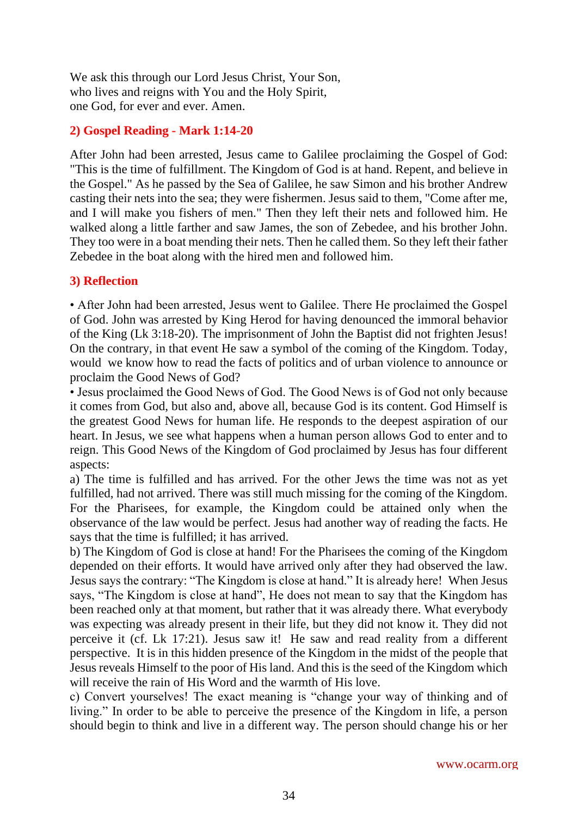We ask this through our Lord Jesus Christ, Your Son, who lives and reigns with You and the Holy Spirit, one God, for ever and ever. Amen.

#### **2) Gospel Reading - Mark 1:14-20**

After John had been arrested, Jesus came to Galilee proclaiming the Gospel of God: "This is the time of fulfillment. The Kingdom of God is at hand. Repent, and believe in the Gospel." As he passed by the Sea of Galilee, he saw Simon and his brother Andrew casting their nets into the sea; they were fishermen. Jesus said to them, "Come after me, and I will make you fishers of men." Then they left their nets and followed him. He walked along a little farther and saw James, the son of Zebedee, and his brother John. They too were in a boat mending their nets. Then he called them. So they left their father Zebedee in the boat along with the hired men and followed him.

#### **3) Reflection**

• After John had been arrested, Jesus went to Galilee. There He proclaimed the Gospel of God. John was arrested by King Herod for having denounced the immoral behavior of the King (Lk 3:18-20). The imprisonment of John the Baptist did not frighten Jesus! On the contrary, in that event He saw a symbol of the coming of the Kingdom. Today, would we know how to read the facts of politics and of urban violence to announce or proclaim the Good News of God?

• Jesus proclaimed the Good News of God. The Good News is of God not only because it comes from God, but also and, above all, because God is its content. God Himself is the greatest Good News for human life. He responds to the deepest aspiration of our heart. In Jesus, we see what happens when a human person allows God to enter and to reign. This Good News of the Kingdom of God proclaimed by Jesus has four different aspects:

a) The time is fulfilled and has arrived. For the other Jews the time was not as yet fulfilled, had not arrived. There was still much missing for the coming of the Kingdom. For the Pharisees, for example, the Kingdom could be attained only when the observance of the law would be perfect. Jesus had another way of reading the facts. He says that the time is fulfilled; it has arrived.

b) The Kingdom of God is close at hand! For the Pharisees the coming of the Kingdom depended on their efforts. It would have arrived only after they had observed the law. Jesus says the contrary: "The Kingdom is close at hand." It is already here! When Jesus says, "The Kingdom is close at hand", He does not mean to say that the Kingdom has been reached only at that moment, but rather that it was already there. What everybody was expecting was already present in their life, but they did not know it. They did not perceive it (cf. Lk 17:21). Jesus saw it! He saw and read reality from a different perspective. It is in this hidden presence of the Kingdom in the midst of the people that Jesus reveals Himself to the poor of His land. And this is the seed of the Kingdom which will receive the rain of His Word and the warmth of His love.

c) Convert yourselves! The exact meaning is "change your way of thinking and of living." In order to be able to perceive the presence of the Kingdom in life, a person should begin to think and live in a different way. The person should change his or her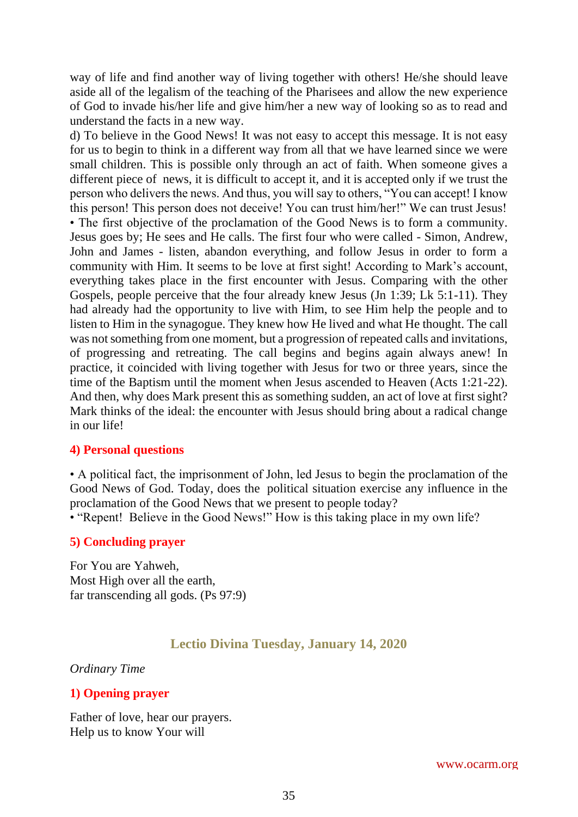way of life and find another way of living together with others! He/she should leave aside all of the legalism of the teaching of the Pharisees and allow the new experience of God to invade his/her life and give him/her a new way of looking so as to read and understand the facts in a new way.

d) To believe in the Good News! It was not easy to accept this message. It is not easy for us to begin to think in a different way from all that we have learned since we were small children. This is possible only through an act of faith. When someone gives a different piece of news, it is difficult to accept it, and it is accepted only if we trust the person who delivers the news. And thus, you will say to others, "You can accept! I know this person! This person does not deceive! You can trust him/her!" We can trust Jesus! • The first objective of the proclamation of the Good News is to form a community. Jesus goes by; He sees and He calls. The first four who were called - Simon, Andrew, John and James - listen, abandon everything, and follow Jesus in order to form a community with Him. It seems to be love at first sight! According to Mark's account, everything takes place in the first encounter with Jesus. Comparing with the other Gospels, people perceive that the four already knew Jesus (Jn 1:39; Lk 5:1-11). They had already had the opportunity to live with Him, to see Him help the people and to listen to Him in the synagogue. They knew how He lived and what He thought. The call was not something from one moment, but a progression of repeated calls and invitations, of progressing and retreating. The call begins and begins again always anew! In practice, it coincided with living together with Jesus for two or three years, since the time of the Baptism until the moment when Jesus ascended to Heaven (Acts 1:21-22). And then, why does Mark present this as something sudden, an act of love at first sight? Mark thinks of the ideal: the encounter with Jesus should bring about a radical change in our life!

#### **4) Personal questions**

• A political fact, the imprisonment of John, led Jesus to begin the proclamation of the Good News of God. Today, does the political situation exercise any influence in the proclamation of the Good News that we present to people today?

• "Repent! Believe in the Good News!" How is this taking place in my own life?

#### **5) Concluding prayer**

For You are Yahweh, Most High over all the earth, far transcending all gods. (Ps 97:9)

#### **Lectio Divina Tuesday, January 14, 2020**

#### <span id="page-34-0"></span>*Ordinary Time*

#### **1) Opening prayer**

Father of love, hear our prayers. Help us to know Your will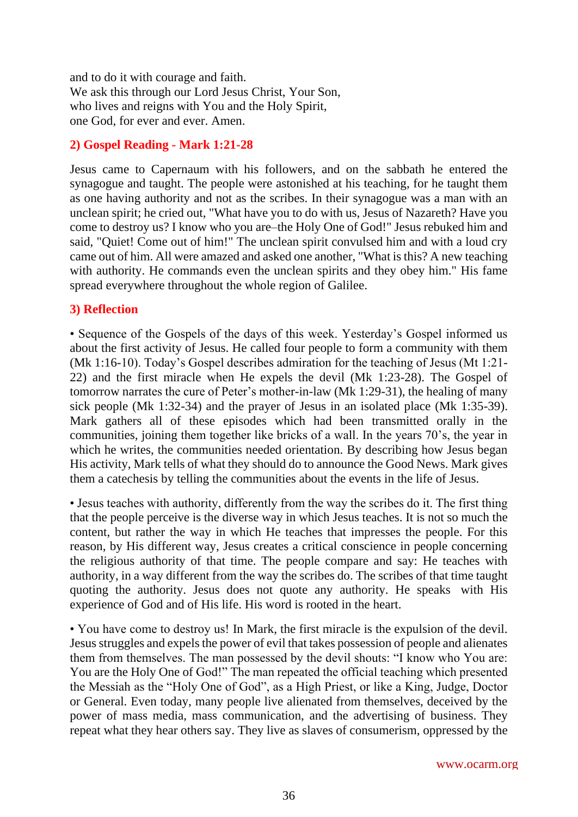and to do it with courage and faith. We ask this through our Lord Jesus Christ, Your Son, who lives and reigns with You and the Holy Spirit, one God, for ever and ever. Amen.

#### **2) Gospel Reading - Mark 1:21-28**

Jesus came to Capernaum with his followers, and on the sabbath he entered the synagogue and taught. The people were astonished at his teaching, for he taught them as one having authority and not as the scribes. In their synagogue was a man with an unclean spirit; he cried out, "What have you to do with us, Jesus of Nazareth? Have you come to destroy us? I know who you are–the Holy One of God!" Jesus rebuked him and said, "Quiet! Come out of him!" The unclean spirit convulsed him and with a loud cry came out of him. All were amazed and asked one another, "What is this? A new teaching with authority. He commands even the unclean spirits and they obey him." His fame spread everywhere throughout the whole region of Galilee.

#### **3) Reflection**

• Sequence of the Gospels of the days of this week. Yesterday's Gospel informed us about the first activity of Jesus. He called four people to form a community with them (Mk 1:16-10). Today's Gospel describes admiration for the teaching of Jesus (Mt 1:21- 22) and the first miracle when He expels the devil (Mk 1:23-28). The Gospel of tomorrow narrates the cure of Peter's mother-in-law (Mk 1:29-31), the healing of many sick people (Mk 1:32-34) and the prayer of Jesus in an isolated place (Mk 1:35-39). Mark gathers all of these episodes which had been transmitted orally in the communities, joining them together like bricks of a wall. In the years 70's, the year in which he writes, the communities needed orientation. By describing how Jesus began His activity, Mark tells of what they should do to announce the Good News. Mark gives them a catechesis by telling the communities about the events in the life of Jesus.

• Jesus teaches with authority, differently from the way the scribes do it. The first thing that the people perceive is the diverse way in which Jesus teaches. It is not so much the content, but rather the way in which He teaches that impresses the people. For this reason, by His different way, Jesus creates a critical conscience in people concerning the religious authority of that time. The people compare and say: He teaches with authority, in a way different from the way the scribes do. The scribes of that time taught quoting the authority. Jesus does not quote any authority. He speaks with His experience of God and of His life. His word is rooted in the heart.

• You have come to destroy us! In Mark, the first miracle is the expulsion of the devil. Jesus struggles and expels the power of evil that takes possession of people and alienates them from themselves. The man possessed by the devil shouts: "I know who You are: You are the Holy One of God!" The man repeated the official teaching which presented the Messiah as the "Holy One of God", as a High Priest, or like a King, Judge, Doctor or General. Even today, many people live alienated from themselves, deceived by the power of mass media, mass communication, and the advertising of business. They repeat what they hear others say. They live as slaves of consumerism, oppressed by the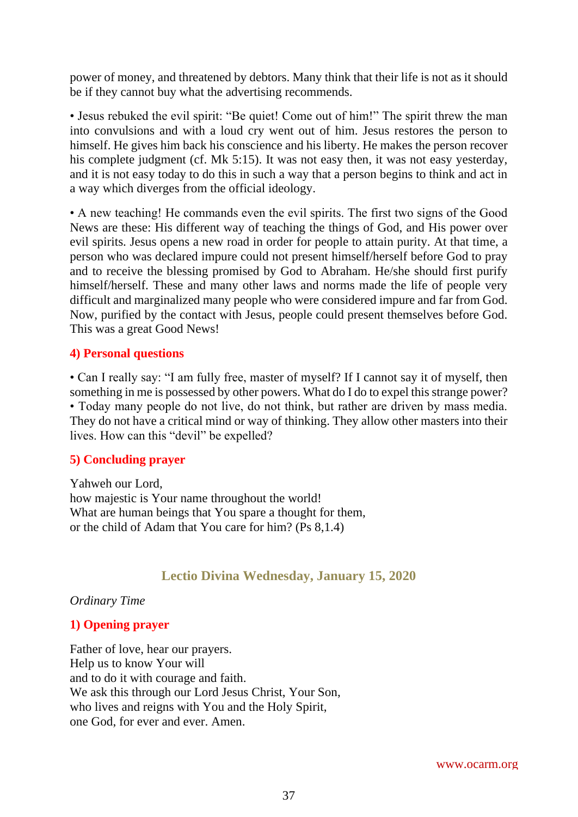power of money, and threatened by debtors. Many think that their life is not as it should be if they cannot buy what the advertising recommends.

• Jesus rebuked the evil spirit: "Be quiet! Come out of him!" The spirit threw the man into convulsions and with a loud cry went out of him. Jesus restores the person to himself. He gives him back his conscience and his liberty. He makes the person recover his complete judgment (cf. Mk 5:15). It was not easy then, it was not easy yesterday, and it is not easy today to do this in such a way that a person begins to think and act in a way which diverges from the official ideology.

• A new teaching! He commands even the evil spirits. The first two signs of the Good News are these: His different way of teaching the things of God, and His power over evil spirits. Jesus opens a new road in order for people to attain purity. At that time, a person who was declared impure could not present himself/herself before God to pray and to receive the blessing promised by God to Abraham. He/she should first purify himself/herself. These and many other laws and norms made the life of people very difficult and marginalized many people who were considered impure and far from God. Now, purified by the contact with Jesus, people could present themselves before God. This was a great Good News!

## **4) Personal questions**

• Can I really say: "I am fully free, master of myself? If I cannot say it of myself, then something in me is possessed by other powers. What do I do to expel this strange power? • Today many people do not live, do not think, but rather are driven by mass media. They do not have a critical mind or way of thinking. They allow other masters into their lives. How can this "devil" be expelled?

## **5) Concluding prayer**

Yahweh our Lord, how majestic is Your name throughout the world! What are human beings that You spare a thought for them, or the child of Adam that You care for him? (Ps 8,1.4)

# **Lectio Divina Wednesday, January 15, 2020**

*Ordinary Time*

## **1) Opening prayer**

Father of love, hear our prayers. Help us to know Your will and to do it with courage and faith. We ask this through our Lord Jesus Christ, Your Son, who lives and reigns with You and the Holy Spirit, one God, for ever and ever. Amen.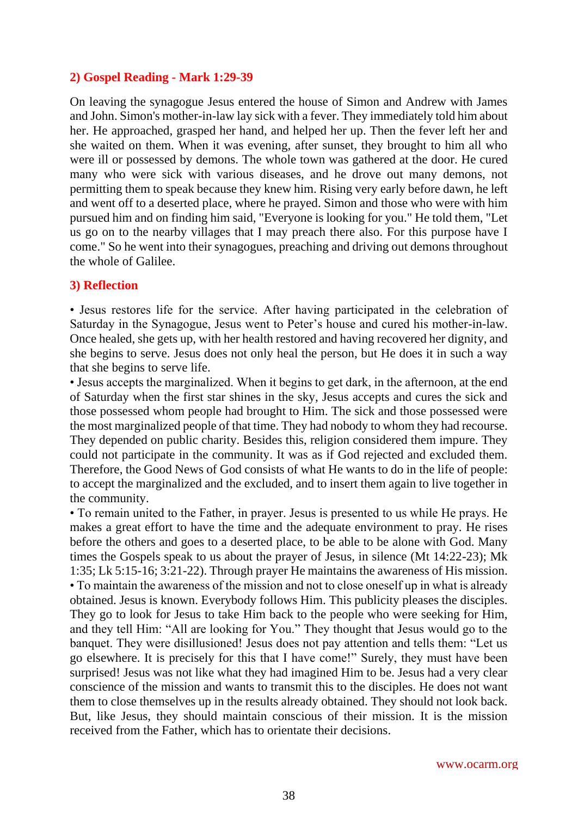#### **2) Gospel Reading - Mark 1:29-39**

On leaving the synagogue Jesus entered the house of Simon and Andrew with James and John. Simon's mother-in-law lay sick with a fever. They immediately told him about her. He approached, grasped her hand, and helped her up. Then the fever left her and she waited on them. When it was evening, after sunset, they brought to him all who were ill or possessed by demons. The whole town was gathered at the door. He cured many who were sick with various diseases, and he drove out many demons, not permitting them to speak because they knew him. Rising very early before dawn, he left and went off to a deserted place, where he prayed. Simon and those who were with him pursued him and on finding him said, "Everyone is looking for you." He told them, "Let us go on to the nearby villages that I may preach there also. For this purpose have I come." So he went into their synagogues, preaching and driving out demons throughout the whole of Galilee.

#### **3) Reflection**

• Jesus restores life for the service. After having participated in the celebration of Saturday in the Synagogue, Jesus went to Peter's house and cured his mother-in-law. Once healed, she gets up, with her health restored and having recovered her dignity, and she begins to serve. Jesus does not only heal the person, but He does it in such a way that she begins to serve life.

• Jesus accepts the marginalized. When it begins to get dark, in the afternoon, at the end of Saturday when the first star shines in the sky, Jesus accepts and cures the sick and those possessed whom people had brought to Him. The sick and those possessed were the most marginalized people of that time. They had nobody to whom they had recourse. They depended on public charity. Besides this, religion considered them impure. They could not participate in the community. It was as if God rejected and excluded them. Therefore, the Good News of God consists of what He wants to do in the life of people: to accept the marginalized and the excluded, and to insert them again to live together in the community.

• To remain united to the Father, in prayer. Jesus is presented to us while He prays. He makes a great effort to have the time and the adequate environment to pray. He rises before the others and goes to a deserted place, to be able to be alone with God. Many times the Gospels speak to us about the prayer of Jesus, in silence (Mt 14:22-23); Mk 1:35; Lk 5:15-16; 3:21-22). Through prayer He maintains the awareness of His mission. • To maintain the awareness of the mission and not to close oneself up in what is already obtained. Jesus is known. Everybody follows Him. This publicity pleases the disciples. They go to look for Jesus to take Him back to the people who were seeking for Him, and they tell Him: "All are looking for You." They thought that Jesus would go to the banquet. They were disillusioned! Jesus does not pay attention and tells them: "Let us go elsewhere. It is precisely for this that I have come!" Surely, they must have been surprised! Jesus was not like what they had imagined Him to be. Jesus had a very clear conscience of the mission and wants to transmit this to the disciples. He does not want them to close themselves up in the results already obtained. They should not look back. But, like Jesus, they should maintain conscious of their mission. It is the mission received from the Father, which has to orientate their decisions.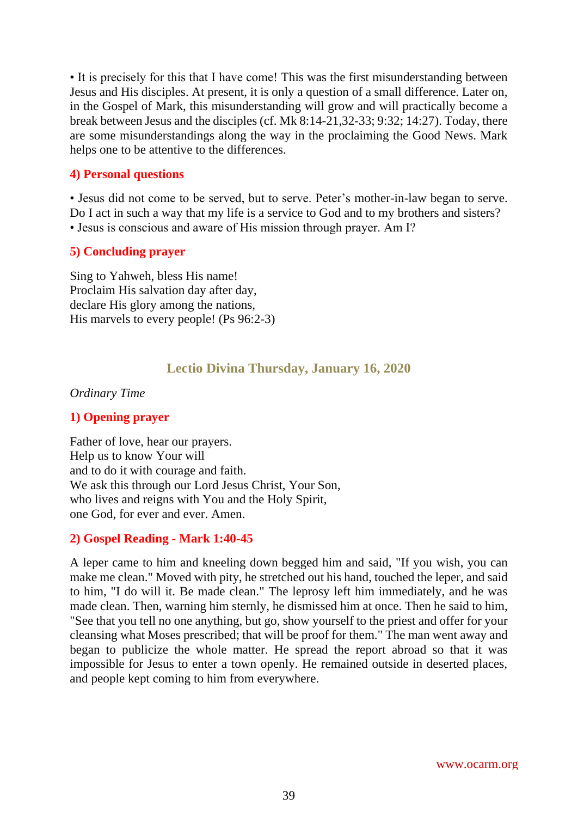• It is precisely for this that I have come! This was the first misunderstanding between Jesus and His disciples. At present, it is only a question of a small difference. Later on, in the Gospel of Mark, this misunderstanding will grow and will practically become a break between Jesus and the disciples (cf. Mk 8:14-21,32-33; 9:32; 14:27). Today, there are some misunderstandings along the way in the proclaiming the Good News. Mark helps one to be attentive to the differences.

#### **4) Personal questions**

• Jesus did not come to be served, but to serve. Peter's mother-in-law began to serve. Do I act in such a way that my life is a service to God and to my brothers and sisters? • Jesus is conscious and aware of His mission through prayer. Am I?

#### **5) Concluding prayer**

Sing to Yahweh, bless His name! Proclaim His salvation day after day, declare His glory among the nations, His marvels to every people! (Ps 96:2-3)

## **Lectio Divina Thursday, January 16, 2020**

#### *Ordinary Time*

## **1) Opening prayer**

Father of love, hear our prayers. Help us to know Your will and to do it with courage and faith. We ask this through our Lord Jesus Christ, Your Son, who lives and reigns with You and the Holy Spirit, one God, for ever and ever. Amen.

#### **2) Gospel Reading - Mark 1:40-45**

A leper came to him and kneeling down begged him and said, "If you wish, you can make me clean." Moved with pity, he stretched out his hand, touched the leper, and said to him, "I do will it. Be made clean." The leprosy left him immediately, and he was made clean. Then, warning him sternly, he dismissed him at once. Then he said to him, "See that you tell no one anything, but go, show yourself to the priest and offer for your cleansing what Moses prescribed; that will be proof for them." The man went away and began to publicize the whole matter. He spread the report abroad so that it was impossible for Jesus to enter a town openly. He remained outside in deserted places, and people kept coming to him from everywhere.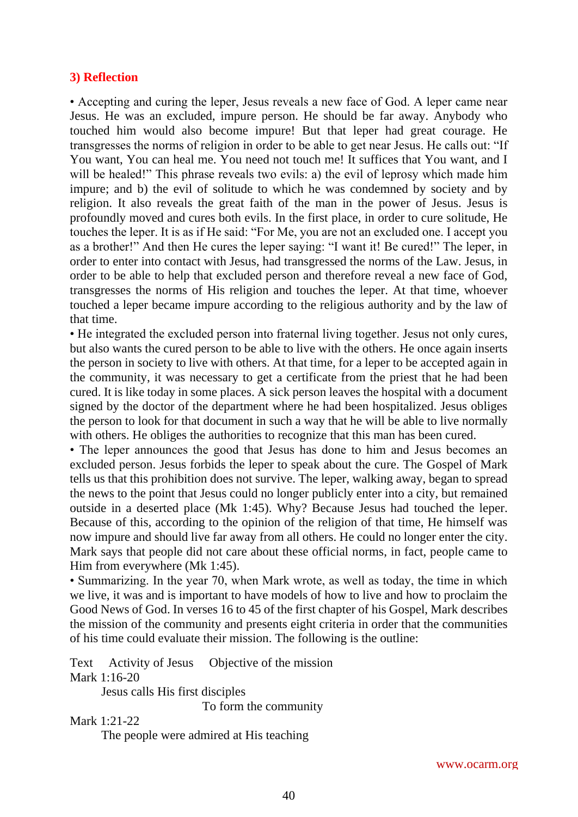#### **3) Reflection**

• Accepting and curing the leper, Jesus reveals a new face of God. A leper came near Jesus. He was an excluded, impure person. He should be far away. Anybody who touched him would also become impure! But that leper had great courage. He transgresses the norms of religion in order to be able to get near Jesus. He calls out: "If You want, You can heal me. You need not touch me! It suffices that You want, and I will be healed!" This phrase reveals two evils: a) the evil of leprosy which made him impure; and b) the evil of solitude to which he was condemned by society and by religion. It also reveals the great faith of the man in the power of Jesus. Jesus is profoundly moved and cures both evils. In the first place, in order to cure solitude, He touches the leper. It is as if He said: "For Me, you are not an excluded one. I accept you as a brother!" And then He cures the leper saying: "I want it! Be cured!" The leper, in order to enter into contact with Jesus, had transgressed the norms of the Law. Jesus, in order to be able to help that excluded person and therefore reveal a new face of God, transgresses the norms of His religion and touches the leper. At that time, whoever touched a leper became impure according to the religious authority and by the law of that time.

• He integrated the excluded person into fraternal living together. Jesus not only cures, but also wants the cured person to be able to live with the others. He once again inserts the person in society to live with others. At that time, for a leper to be accepted again in the community, it was necessary to get a certificate from the priest that he had been cured. It is like today in some places. A sick person leaves the hospital with a document signed by the doctor of the department where he had been hospitalized. Jesus obliges the person to look for that document in such a way that he will be able to live normally with others. He obliges the authorities to recognize that this man has been cured.

• The leper announces the good that Jesus has done to him and Jesus becomes an excluded person. Jesus forbids the leper to speak about the cure. The Gospel of Mark tells us that this prohibition does not survive. The leper, walking away, began to spread the news to the point that Jesus could no longer publicly enter into a city, but remained outside in a deserted place (Mk 1:45). Why? Because Jesus had touched the leper. Because of this, according to the opinion of the religion of that time, He himself was now impure and should live far away from all others. He could no longer enter the city. Mark says that people did not care about these official norms, in fact, people came to Him from everywhere (Mk 1:45).

• Summarizing. In the year 70, when Mark wrote, as well as today, the time in which we live, it was and is important to have models of how to live and how to proclaim the Good News of God. In verses 16 to 45 of the first chapter of his Gospel, Mark describes the mission of the community and presents eight criteria in order that the communities of his time could evaluate their mission. The following is the outline:

Text Activity of Jesus Objective of the mission Mark 1:16-20

Jesus calls His first disciples

To form the community

Mark 1:21-22

The people were admired at His teaching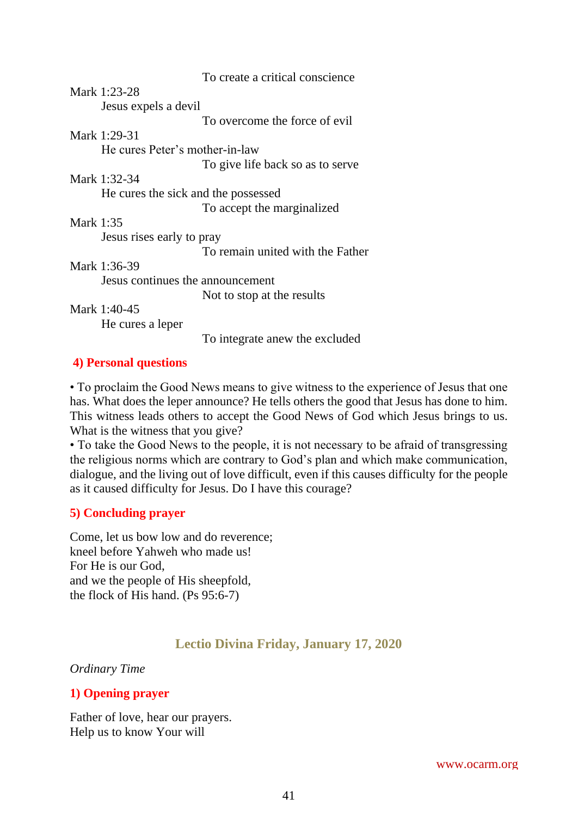|                  |                                     | To create a critical conscience  |
|------------------|-------------------------------------|----------------------------------|
|                  | Mark 1:23-28                        |                                  |
|                  | Jesus expels a devil                |                                  |
|                  |                                     | To overcome the force of evil    |
|                  | Mark 1:29-31                        |                                  |
|                  | He cures Peter's mother-in-law      |                                  |
|                  |                                     | To give life back so as to serve |
|                  | Mark 1:32-34                        |                                  |
|                  | He cures the sick and the possessed |                                  |
|                  |                                     | To accept the marginalized       |
| <b>Mark 1:35</b> |                                     |                                  |
|                  | Jesus rises early to pray           |                                  |
|                  |                                     | To remain united with the Father |
|                  | Mark 1:36-39                        |                                  |
|                  | Jesus continues the announcement    |                                  |
|                  |                                     | Not to stop at the results       |
|                  | Mark 1:40-45                        |                                  |
|                  | He cures a leper                    |                                  |
|                  |                                     | To integrate anew the excluded   |

#### **4) Personal questions**

• To proclaim the Good News means to give witness to the experience of Jesus that one has. What does the leper announce? He tells others the good that Jesus has done to him. This witness leads others to accept the Good News of God which Jesus brings to us. What is the witness that you give?

• To take the Good News to the people, it is not necessary to be afraid of transgressing the religious norms which are contrary to God's plan and which make communication, dialogue, and the living out of love difficult, even if this causes difficulty for the people as it caused difficulty for Jesus. Do I have this courage?

## **5) Concluding prayer**

Come, let us bow low and do reverence; kneel before Yahweh who made us! For He is our God, and we the people of His sheepfold, the flock of His hand. (Ps 95:6-7)

# **Lectio Divina Friday, January 17, 2020**

#### *Ordinary Time*

## **1) Opening prayer**

Father of love, hear our prayers. Help us to know Your will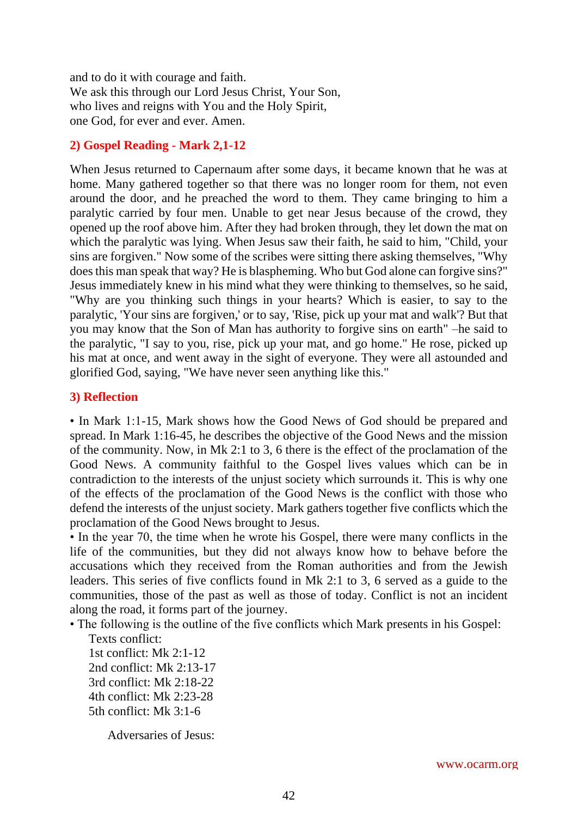and to do it with courage and faith. We ask this through our Lord Jesus Christ, Your Son, who lives and reigns with You and the Holy Spirit, one God, for ever and ever. Amen.

#### **2) Gospel Reading - Mark 2,1-12**

When Jesus returned to Capernaum after some days, it became known that he was at home. Many gathered together so that there was no longer room for them, not even around the door, and he preached the word to them. They came bringing to him a paralytic carried by four men. Unable to get near Jesus because of the crowd, they opened up the roof above him. After they had broken through, they let down the mat on which the paralytic was lying. When Jesus saw their faith, he said to him, "Child, your sins are forgiven." Now some of the scribes were sitting there asking themselves, "Why does this man speak that way? He is blaspheming. Who but God alone can forgive sins?" Jesus immediately knew in his mind what they were thinking to themselves, so he said, "Why are you thinking such things in your hearts? Which is easier, to say to the paralytic, 'Your sins are forgiven,' or to say, 'Rise, pick up your mat and walk'? But that you may know that the Son of Man has authority to forgive sins on earth" –he said to the paralytic, "I say to you, rise, pick up your mat, and go home." He rose, picked up his mat at once, and went away in the sight of everyone. They were all astounded and glorified God, saying, "We have never seen anything like this."

#### **3) Reflection**

• In Mark 1:1-15, Mark shows how the Good News of God should be prepared and spread. In Mark 1:16-45, he describes the objective of the Good News and the mission of the community. Now, in Mk 2:1 to 3, 6 there is the effect of the proclamation of the Good News. A community faithful to the Gospel lives values which can be in contradiction to the interests of the unjust society which surrounds it. This is why one of the effects of the proclamation of the Good News is the conflict with those who defend the interests of the unjust society. Mark gathers together five conflicts which the proclamation of the Good News brought to Jesus.

• In the year 70, the time when he wrote his Gospel, there were many conflicts in the life of the communities, but they did not always know how to behave before the accusations which they received from the Roman authorities and from the Jewish leaders. This series of five conflicts found in Mk 2:1 to 3, 6 served as a guide to the communities, those of the past as well as those of today. Conflict is not an incident along the road, it forms part of the journey.

- The following is the outline of the five conflicts which Mark presents in his Gospel:
	- Texts conflict: 1st conflict: Mk 2:1-12 2nd conflict: Mk 2:13-17 3rd conflict: Mk 2:18-22 4th conflict: Mk 2:23-28 5th conflict: Mk 3:1-6

Adversaries of Jesus: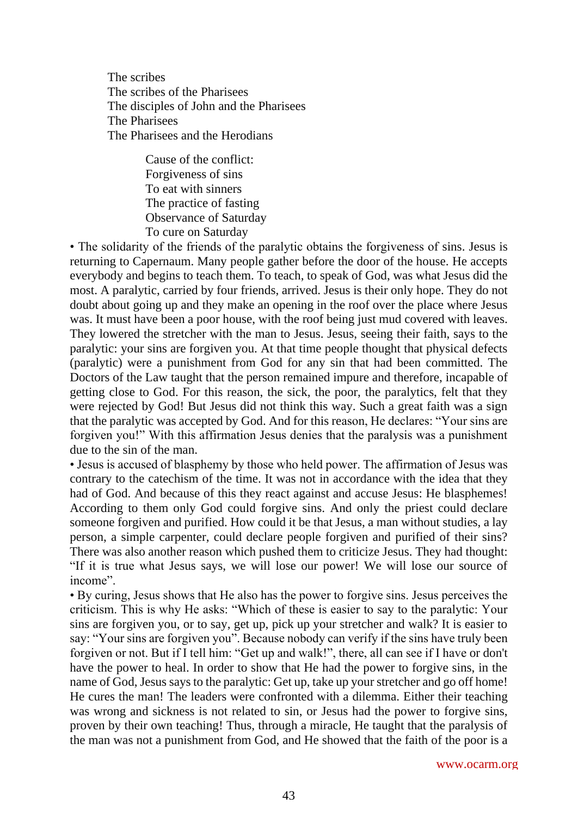The scribes The scribes of the Pharisees The disciples of John and the Pharisees The Pharisees The Pharisees and the Herodians

> Cause of the conflict: Forgiveness of sins To eat with sinners The practice of fasting Observance of Saturday To cure on Saturday

• The solidarity of the friends of the paralytic obtains the forgiveness of sins. Jesus is returning to Capernaum. Many people gather before the door of the house. He accepts everybody and begins to teach them. To teach, to speak of God, was what Jesus did the most. A paralytic, carried by four friends, arrived. Jesus is their only hope. They do not doubt about going up and they make an opening in the roof over the place where Jesus was. It must have been a poor house, with the roof being just mud covered with leaves. They lowered the stretcher with the man to Jesus. Jesus, seeing their faith, says to the paralytic: your sins are forgiven you. At that time people thought that physical defects (paralytic) were a punishment from God for any sin that had been committed. The Doctors of the Law taught that the person remained impure and therefore, incapable of getting close to God. For this reason, the sick, the poor, the paralytics, felt that they were rejected by God! But Jesus did not think this way. Such a great faith was a sign that the paralytic was accepted by God. And for this reason, He declares: "Your sins are forgiven you!" With this affirmation Jesus denies that the paralysis was a punishment due to the sin of the man.

• Jesus is accused of blasphemy by those who held power. The affirmation of Jesus was contrary to the catechism of the time. It was not in accordance with the idea that they had of God. And because of this they react against and accuse Jesus: He blasphemes! According to them only God could forgive sins. And only the priest could declare someone forgiven and purified. How could it be that Jesus, a man without studies, a lay person, a simple carpenter, could declare people forgiven and purified of their sins? There was also another reason which pushed them to criticize Jesus. They had thought: "If it is true what Jesus says, we will lose our power! We will lose our source of income".

• By curing, Jesus shows that He also has the power to forgive sins. Jesus perceives the criticism. This is why He asks: "Which of these is easier to say to the paralytic: Your sins are forgiven you, or to say, get up, pick up your stretcher and walk? It is easier to say: "Your sins are forgiven you". Because nobody can verify if the sins have truly been forgiven or not. But if I tell him: "Get up and walk!", there, all can see if I have or don't have the power to heal. In order to show that He had the power to forgive sins, in the name of God, Jesus says to the paralytic: Get up, take up your stretcher and go off home! He cures the man! The leaders were confronted with a dilemma. Either their teaching was wrong and sickness is not related to sin, or Jesus had the power to forgive sins, proven by their own teaching! Thus, through a miracle, He taught that the paralysis of the man was not a punishment from God, and He showed that the faith of the poor is a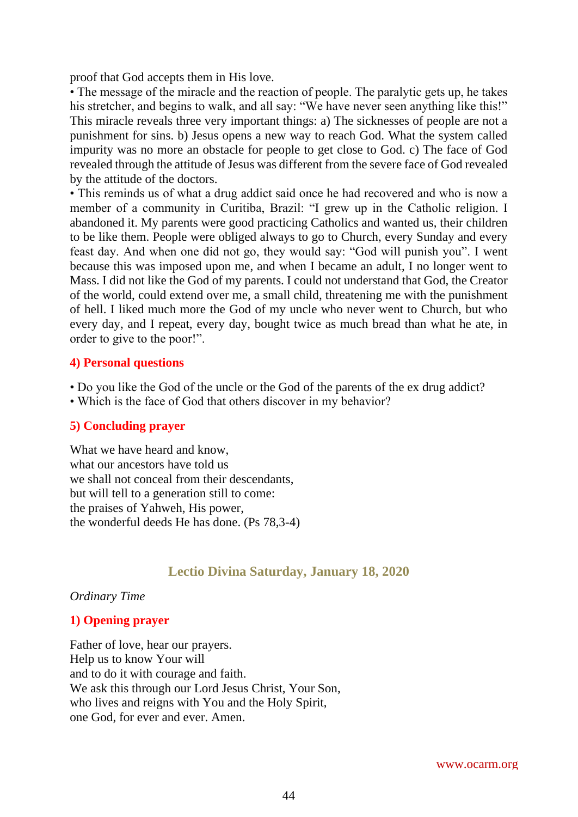proof that God accepts them in His love.

• The message of the miracle and the reaction of people. The paralytic gets up, he takes his stretcher, and begins to walk, and all say: "We have never seen anything like this!" This miracle reveals three very important things: a) The sicknesses of people are not a punishment for sins. b) Jesus opens a new way to reach God. What the system called impurity was no more an obstacle for people to get close to God. c) The face of God revealed through the attitude of Jesus was different from the severe face of God revealed by the attitude of the doctors.

• This reminds us of what a drug addict said once he had recovered and who is now a member of a community in Curitiba, Brazil: "I grew up in the Catholic religion. I abandoned it. My parents were good practicing Catholics and wanted us, their children to be like them. People were obliged always to go to Church, every Sunday and every feast day. And when one did not go, they would say: "God will punish you". I went because this was imposed upon me, and when I became an adult, I no longer went to Mass. I did not like the God of my parents. I could not understand that God, the Creator of the world, could extend over me, a small child, threatening me with the punishment of hell. I liked much more the God of my uncle who never went to Church, but who every day, and I repeat, every day, bought twice as much bread than what he ate, in order to give to the poor!".

#### **4) Personal questions**

- Do you like the God of the uncle or the God of the parents of the ex drug addict?
- Which is the face of God that others discover in my behavior?

#### **5) Concluding prayer**

What we have heard and know, what our ancestors have told us we shall not conceal from their descendants, but will tell to a generation still to come: the praises of Yahweh, His power, the wonderful deeds He has done. (Ps 78,3-4)

## **Lectio Divina Saturday, January 18, 2020**

#### *Ordinary Time*

#### **1) Opening prayer**

Father of love, hear our prayers. Help us to know Your will and to do it with courage and faith. We ask this through our Lord Jesus Christ, Your Son, who lives and reigns with You and the Holy Spirit, one God, for ever and ever. Amen.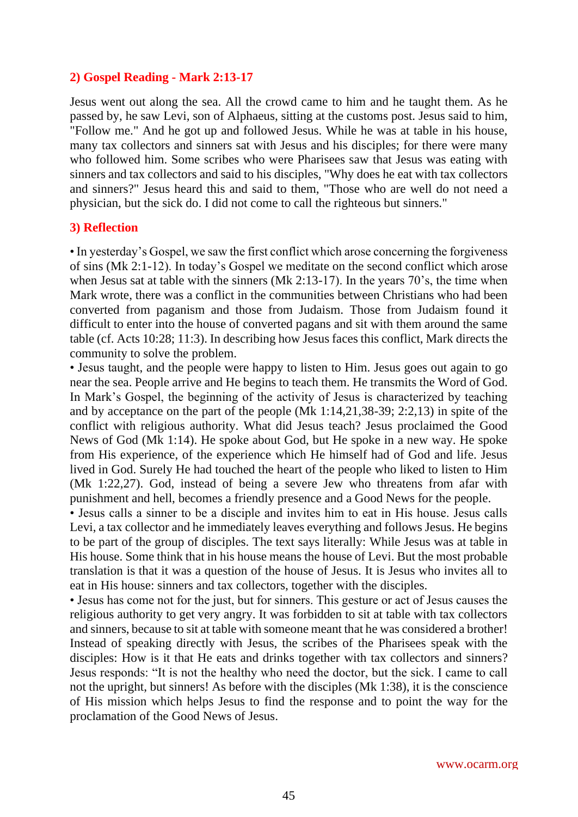#### **2) Gospel Reading - Mark 2:13-17**

Jesus went out along the sea. All the crowd came to him and he taught them. As he passed by, he saw Levi, son of Alphaeus, sitting at the customs post. Jesus said to him, "Follow me." And he got up and followed Jesus. While he was at table in his house, many tax collectors and sinners sat with Jesus and his disciples; for there were many who followed him. Some scribes who were Pharisees saw that Jesus was eating with sinners and tax collectors and said to his disciples, "Why does he eat with tax collectors and sinners?" Jesus heard this and said to them, "Those who are well do not need a physician, but the sick do. I did not come to call the righteous but sinners."

#### **3) Reflection**

• In yesterday's Gospel, we saw the first conflict which arose concerning the forgiveness of sins (Mk 2:1-12). In today's Gospel we meditate on the second conflict which arose when Jesus sat at table with the sinners (Mk 2:13-17). In the years 70's, the time when Mark wrote, there was a conflict in the communities between Christians who had been converted from paganism and those from Judaism. Those from Judaism found it difficult to enter into the house of converted pagans and sit with them around the same table (cf. Acts 10:28; 11:3). In describing how Jesus faces this conflict, Mark directs the community to solve the problem.

• Jesus taught, and the people were happy to listen to Him. Jesus goes out again to go near the sea. People arrive and He begins to teach them. He transmits the Word of God. In Mark's Gospel, the beginning of the activity of Jesus is characterized by teaching and by acceptance on the part of the people (Mk 1:14,21,38-39; 2:2,13) in spite of the conflict with religious authority. What did Jesus teach? Jesus proclaimed the Good News of God (Mk 1:14). He spoke about God, but He spoke in a new way. He spoke from His experience, of the experience which He himself had of God and life. Jesus lived in God. Surely He had touched the heart of the people who liked to listen to Him (Mk 1:22,27). God, instead of being a severe Jew who threatens from afar with punishment and hell, becomes a friendly presence and a Good News for the people.

• Jesus calls a sinner to be a disciple and invites him to eat in His house. Jesus calls Levi, a tax collector and he immediately leaves everything and follows Jesus. He begins to be part of the group of disciples. The text says literally: While Jesus was at table in His house. Some think that in his house means the house of Levi. But the most probable translation is that it was a question of the house of Jesus. It is Jesus who invites all to eat in His house: sinners and tax collectors, together with the disciples.

• Jesus has come not for the just, but for sinners. This gesture or act of Jesus causes the religious authority to get very angry. It was forbidden to sit at table with tax collectors and sinners, because to sit at table with someone meant that he was considered a brother! Instead of speaking directly with Jesus, the scribes of the Pharisees speak with the disciples: How is it that He eats and drinks together with tax collectors and sinners? Jesus responds: "It is not the healthy who need the doctor, but the sick. I came to call not the upright, but sinners! As before with the disciples (Mk 1:38), it is the conscience of His mission which helps Jesus to find the response and to point the way for the proclamation of the Good News of Jesus.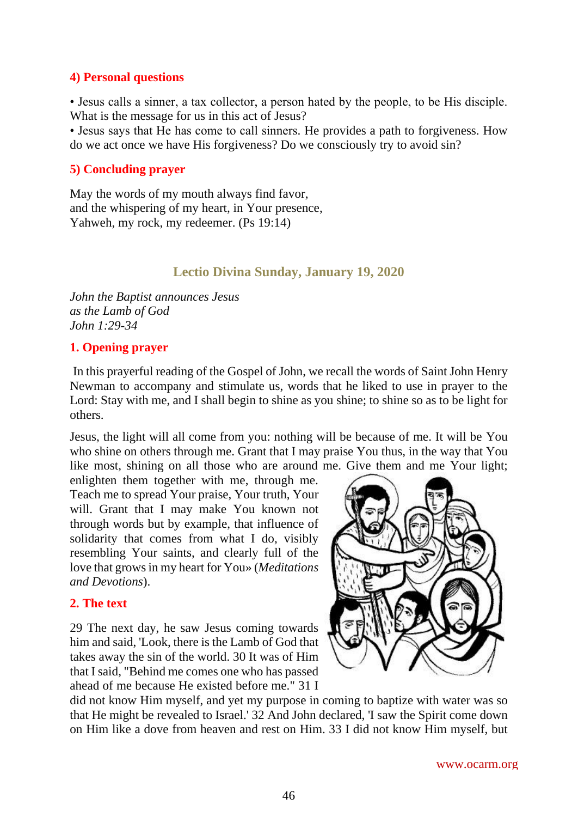#### **4) Personal questions**

• Jesus calls a sinner, a tax collector, a person hated by the people, to be His disciple. What is the message for us in this act of Jesus?

• Jesus says that He has come to call sinners. He provides a path to forgiveness. How do we act once we have His forgiveness? Do we consciously try to avoid sin?

## **5) Concluding prayer**

May the words of my mouth always find favor, and the whispering of my heart, in Your presence, Yahweh, my rock, my redeemer. (Ps 19:14)

## **Lectio Divina Sunday, January 19, 2020**

*John the Baptist announces Jesus as the Lamb of God John 1:29-34*

#### **1. Opening prayer**

In this prayerful reading of the Gospel of John, we recall the words of Saint John Henry Newman to accompany and stimulate us, words that he liked to use in prayer to the Lord: Stay with me, and I shall begin to shine as you shine; to shine so as to be light for others.

Jesus, the light will all come from you: nothing will be because of me. It will be You who shine on others through me. Grant that I may praise You thus, in the way that You like most, shining on all those who are around me. Give them and me Your light;

enlighten them together with me, through me. Teach me to spread Your praise, Your truth, Your will. Grant that I may make You known not through words but by example, that influence of solidarity that comes from what I do, visibly resembling Your saints, and clearly full of the love that grows in my heart for You» (*Meditations and Devotions*).

## **2. The text**

29 The next day, he saw Jesus coming towards him and said, 'Look, there is the Lamb of God that takes away the sin of the world. 30 It was of Him that I said, "Behind me comes one who has passed ahead of me because He existed before me." 31 I



did not know Him myself, and yet my purpose in coming to baptize with water was so that He might be revealed to Israel.' 32 And John declared, 'I saw the Spirit come down on Him like a dove from heaven and rest on Him. 33 I did not know Him myself, but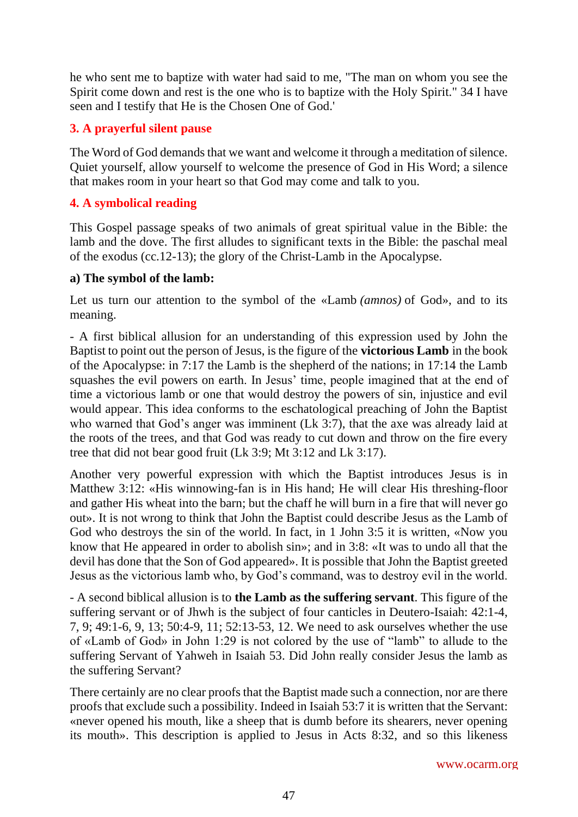he who sent me to baptize with water had said to me, "The man on whom you see the Spirit come down and rest is the one who is to baptize with the Holy Spirit." 34 I have seen and I testify that He is the Chosen One of God.'

## **3. A prayerful silent pause**

The Word of God demands that we want and welcome it through a meditation of silence. Quiet yourself, allow yourself to welcome the presence of God in His Word; a silence that makes room in your heart so that God may come and talk to you.

## **4. A symbolical reading**

This Gospel passage speaks of two animals of great spiritual value in the Bible: the lamb and the dove. The first alludes to significant texts in the Bible: the paschal meal of the exodus (cc.12-13); the glory of the Christ-Lamb in the Apocalypse.

#### **a) The symbol of the lamb:**

Let us turn our attention to the symbol of the «Lamb *(amnos)* of God», and to its meaning.

- A first biblical allusion for an understanding of this expression used by John the Baptist to point out the person of Jesus, is the figure of the **victorious Lamb** in the book of the Apocalypse: in 7:17 the Lamb is the shepherd of the nations; in 17:14 the Lamb squashes the evil powers on earth. In Jesus' time, people imagined that at the end of time a victorious lamb or one that would destroy the powers of sin, injustice and evil would appear. This idea conforms to the eschatological preaching of John the Baptist who warned that God's anger was imminent (Lk 3:7), that the axe was already laid at the roots of the trees, and that God was ready to cut down and throw on the fire every tree that did not bear good fruit (Lk 3:9; Mt 3:12 and Lk 3:17).

Another very powerful expression with which the Baptist introduces Jesus is in Matthew 3:12: «His winnowing-fan is in His hand; He will clear His threshing-floor and gather His wheat into the barn; but the chaff he will burn in a fire that will never go out». It is not wrong to think that John the Baptist could describe Jesus as the Lamb of God who destroys the sin of the world. In fact, in 1 John 3:5 it is written, «Now you know that He appeared in order to abolish sin»; and in 3:8: «It was to undo all that the devil has done that the Son of God appeared». It is possible that John the Baptist greeted Jesus as the victorious lamb who, by God's command, was to destroy evil in the world.

- A second biblical allusion is to **the Lamb as the suffering servant**. This figure of the suffering servant or of Jhwh is the subject of four canticles in Deutero-Isaiah: 42:1-4, 7, 9; 49:1-6, 9, 13; 50:4-9, 11; 52:13-53, 12. We need to ask ourselves whether the use of «Lamb of God» in John 1:29 is not colored by the use of "lamb" to allude to the suffering Servant of Yahweh in Isaiah 53. Did John really consider Jesus the lamb as the suffering Servant?

There certainly are no clear proofs that the Baptist made such a connection, nor are there proofs that exclude such a possibility. Indeed in Isaiah 53:7 it is written that the Servant: «never opened his mouth, like a sheep that is dumb before its shearers, never opening its mouth». This description is applied to Jesus in Acts 8:32, and so this likeness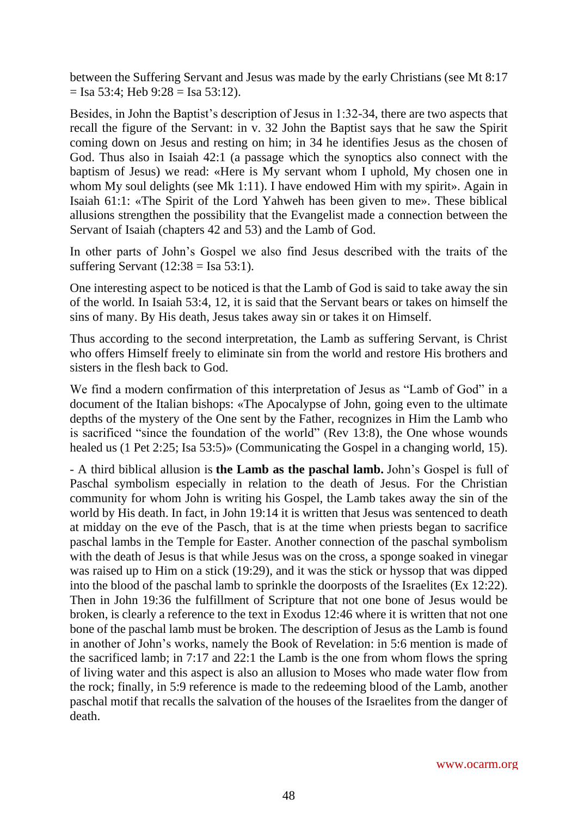between the Suffering Servant and Jesus was made by the early Christians (see Mt 8:17  $=$  Isa 53:4: Heb 9:28 = Isa 53:12).

Besides, in John the Baptist's description of Jesus in 1:32-34, there are two aspects that recall the figure of the Servant: in v. 32 John the Baptist says that he saw the Spirit coming down on Jesus and resting on him; in 34 he identifies Jesus as the chosen of God. Thus also in Isaiah 42:1 (a passage which the synoptics also connect with the baptism of Jesus) we read: «Here is My servant whom I uphold, My chosen one in whom My soul delights (see Mk 1:11). I have endowed Him with my spirit». Again in Isaiah 61:1: «The Spirit of the Lord Yahweh has been given to me». These biblical allusions strengthen the possibility that the Evangelist made a connection between the Servant of Isaiah (chapters 42 and 53) and the Lamb of God.

In other parts of John's Gospel we also find Jesus described with the traits of the suffering Servant (12:38 = Isa 53:1).

One interesting aspect to be noticed is that the Lamb of God is said to take away the sin of the world. In Isaiah 53:4, 12, it is said that the Servant bears or takes on himself the sins of many. By His death, Jesus takes away sin or takes it on Himself.

Thus according to the second interpretation, the Lamb as suffering Servant, is Christ who offers Himself freely to eliminate sin from the world and restore His brothers and sisters in the flesh back to God.

We find a modern confirmation of this interpretation of Jesus as "Lamb of God" in a document of the Italian bishops: «The Apocalypse of John, going even to the ultimate depths of the mystery of the One sent by the Father, recognizes in Him the Lamb who is sacrificed "since the foundation of the world" (Rev 13:8), the One whose wounds healed us (1 Pet 2:25; Isa 53:5)» (Communicating the Gospel in a changing world, 15).

- A third biblical allusion is **the Lamb as the paschal lamb.** John's Gospel is full of Paschal symbolism especially in relation to the death of Jesus. For the Christian community for whom John is writing his Gospel, the Lamb takes away the sin of the world by His death. In fact, in John 19:14 it is written that Jesus was sentenced to death at midday on the eve of the Pasch, that is at the time when priests began to sacrifice paschal lambs in the Temple for Easter. Another connection of the paschal symbolism with the death of Jesus is that while Jesus was on the cross, a sponge soaked in vinegar was raised up to Him on a stick (19:29), and it was the stick or hyssop that was dipped into the blood of the paschal lamb to sprinkle the doorposts of the Israelites (Ex 12:22). Then in John 19:36 the fulfillment of Scripture that not one bone of Jesus would be broken, is clearly a reference to the text in Exodus 12:46 where it is written that not one bone of the paschal lamb must be broken. The description of Jesus as the Lamb is found in another of John's works, namely the Book of Revelation: in 5:6 mention is made of the sacrificed lamb; in 7:17 and 22:1 the Lamb is the one from whom flows the spring of living water and this aspect is also an allusion to Moses who made water flow from the rock; finally, in 5:9 reference is made to the redeeming blood of the Lamb, another paschal motif that recalls the salvation of the houses of the Israelites from the danger of death.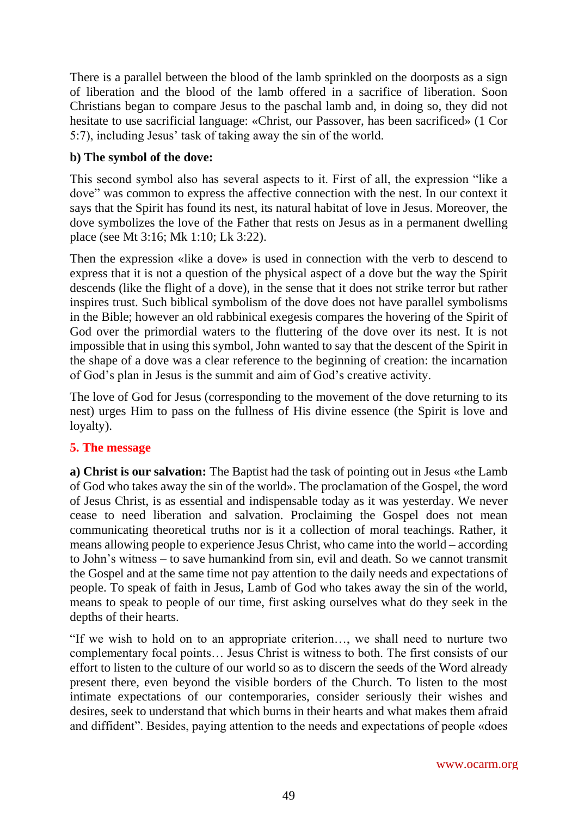There is a parallel between the blood of the lamb sprinkled on the doorposts as a sign of liberation and the blood of the lamb offered in a sacrifice of liberation. Soon Christians began to compare Jesus to the paschal lamb and, in doing so, they did not hesitate to use sacrificial language: «Christ, our Passover, has been sacrificed» (1 Cor 5:7), including Jesus' task of taking away the sin of the world.

# **b) The symbol of the dove:**

This second symbol also has several aspects to it. First of all, the expression "like a dove" was common to express the affective connection with the nest. In our context it says that the Spirit has found its nest, its natural habitat of love in Jesus. Moreover, the dove symbolizes the love of the Father that rests on Jesus as in a permanent dwelling place (see Mt 3:16; Mk 1:10; Lk 3:22).

Then the expression «like a dove» is used in connection with the verb to descend to express that it is not a question of the physical aspect of a dove but the way the Spirit descends (like the flight of a dove), in the sense that it does not strike terror but rather inspires trust. Such biblical symbolism of the dove does not have parallel symbolisms in the Bible; however an old rabbinical exegesis compares the hovering of the Spirit of God over the primordial waters to the fluttering of the dove over its nest. It is not impossible that in using this symbol, John wanted to say that the descent of the Spirit in the shape of a dove was a clear reference to the beginning of creation: the incarnation of God's plan in Jesus is the summit and aim of God's creative activity.

The love of God for Jesus (corresponding to the movement of the dove returning to its nest) urges Him to pass on the fullness of His divine essence (the Spirit is love and loyalty).

## **5. The message**

**a) Christ is our salvation:** The Baptist had the task of pointing out in Jesus «the Lamb of God who takes away the sin of the world». The proclamation of the Gospel, the word of Jesus Christ, is as essential and indispensable today as it was yesterday. We never cease to need liberation and salvation. Proclaiming the Gospel does not mean communicating theoretical truths nor is it a collection of moral teachings. Rather, it means allowing people to experience Jesus Christ, who came into the world – according to John's witness – to save humankind from sin, evil and death. So we cannot transmit the Gospel and at the same time not pay attention to the daily needs and expectations of people. To speak of faith in Jesus, Lamb of God who takes away the sin of the world, means to speak to people of our time, first asking ourselves what do they seek in the depths of their hearts.

"If we wish to hold on to an appropriate criterion…, we shall need to nurture two complementary focal points… Jesus Christ is witness to both. The first consists of our effort to listen to the culture of our world so as to discern the seeds of the Word already present there, even beyond the visible borders of the Church. To listen to the most intimate expectations of our contemporaries, consider seriously their wishes and desires, seek to understand that which burns in their hearts and what makes them afraid and diffident". Besides, paying attention to the needs and expectations of people «does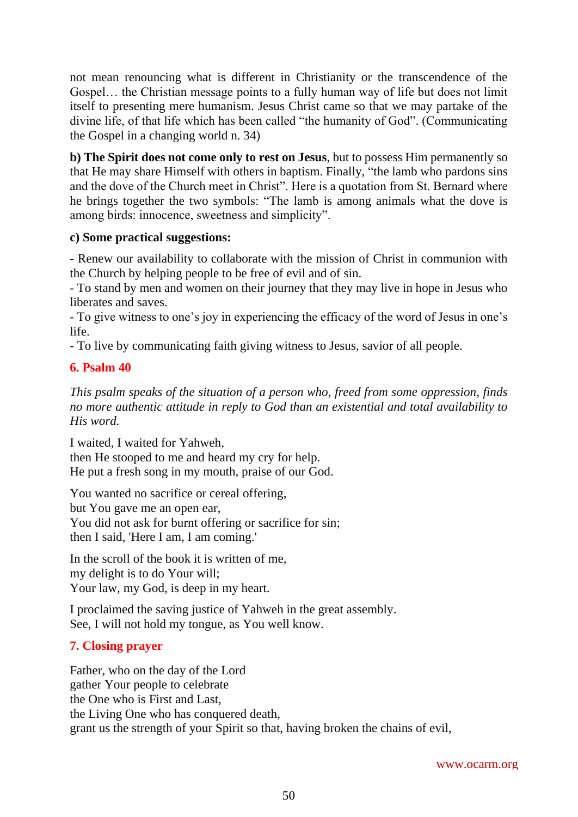not mean renouncing what is different in Christianity or the transcendence of the Gospel… the Christian message points to a fully human way of life but does not limit itself to presenting mere humanism. Jesus Christ came so that we may partake of the divine life, of that life which has been called "the humanity of God". (Communicating the Gospel in a changing world n. 34)

**b) The Spirit does not come only to rest on Jesus**, but to possess Him permanently so that He may share Himself with others in baptism. Finally, "the lamb who pardons sins and the dove of the Church meet in Christ". Here is a quotation from St. Bernard where he brings together the two symbols: "The lamb is among animals what the dove is among birds: innocence, sweetness and simplicity".

## **c) Some practical suggestions:**

- Renew our availability to collaborate with the mission of Christ in communion with the Church by helping people to be free of evil and of sin.

- To stand by men and women on their journey that they may live in hope in Jesus who liberates and saves.

- To give witness to one's joy in experiencing the efficacy of the word of Jesus in one's life.

- To live by communicating faith giving witness to Jesus, savior of all people.

# **6. Psalm 40**

*This psalm speaks of the situation of a person who, freed from some oppression, finds no more authentic attitude in reply to God than an existential and total availability to His word.*

I waited, I waited for Yahweh, then He stooped to me and heard my cry for help. He put a fresh song in my mouth, praise of our God.

You wanted no sacrifice or cereal offering, but You gave me an open ear, You did not ask for burnt offering or sacrifice for sin; then I said, 'Here I am, I am coming.'

In the scroll of the book it is written of me, my delight is to do Your will; Your law, my God, is deep in my heart.

I proclaimed the saving justice of Yahweh in the great assembly. See, I will not hold my tongue, as You well know.

# **7. Closing prayer**

Father, who on the day of the Lord gather Your people to celebrate the One who is First and Last, the Living One who has conquered death, grant us the strength of your Spirit so that, having broken the chains of evil,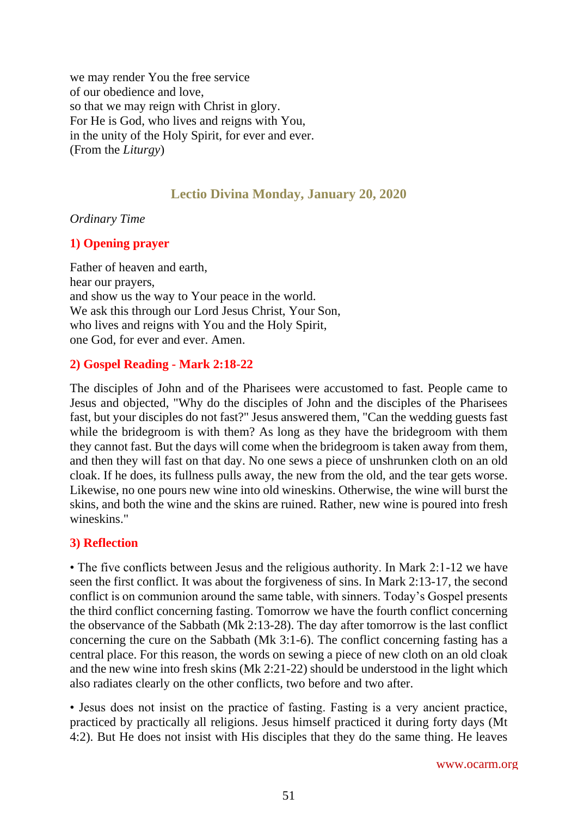we may render You the free service of our obedience and love, so that we may reign with Christ in glory. For He is God, who lives and reigns with You, in the unity of the Holy Spirit, for ever and ever. (From the *Liturgy*)

# **Lectio Divina Monday, January 20, 2020**

#### *Ordinary Time*

#### **1) Opening prayer**

Father of heaven and earth, hear our prayers, and show us the way to Your peace in the world. We ask this through our Lord Jesus Christ, Your Son, who lives and reigns with You and the Holy Spirit, one God, for ever and ever. Amen.

#### **2) Gospel Reading - Mark 2:18-22**

The disciples of John and of the Pharisees were accustomed to fast. People came to Jesus and objected, "Why do the disciples of John and the disciples of the Pharisees fast, but your disciples do not fast?" Jesus answered them, "Can the wedding guests fast while the bridegroom is with them? As long as they have the bridegroom with them they cannot fast. But the days will come when the bridegroom is taken away from them, and then they will fast on that day. No one sews a piece of unshrunken cloth on an old cloak. If he does, its fullness pulls away, the new from the old, and the tear gets worse. Likewise, no one pours new wine into old wineskins. Otherwise, the wine will burst the skins, and both the wine and the skins are ruined. Rather, new wine is poured into fresh wineskins."

## **3) Reflection**

• The five conflicts between Jesus and the religious authority. In Mark 2:1-12 we have seen the first conflict. It was about the forgiveness of sins. In Mark 2:13-17, the second conflict is on communion around the same table, with sinners. Today's Gospel presents the third conflict concerning fasting. Tomorrow we have the fourth conflict concerning the observance of the Sabbath (Mk 2:13-28). The day after tomorrow is the last conflict concerning the cure on the Sabbath (Mk 3:1-6). The conflict concerning fasting has a central place. For this reason, the words on sewing a piece of new cloth on an old cloak and the new wine into fresh skins (Mk 2:21-22) should be understood in the light which also radiates clearly on the other conflicts, two before and two after.

• Jesus does not insist on the practice of fasting. Fasting is a very ancient practice, practiced by practically all religions. Jesus himself practiced it during forty days (Mt 4:2). But He does not insist with His disciples that they do the same thing. He leaves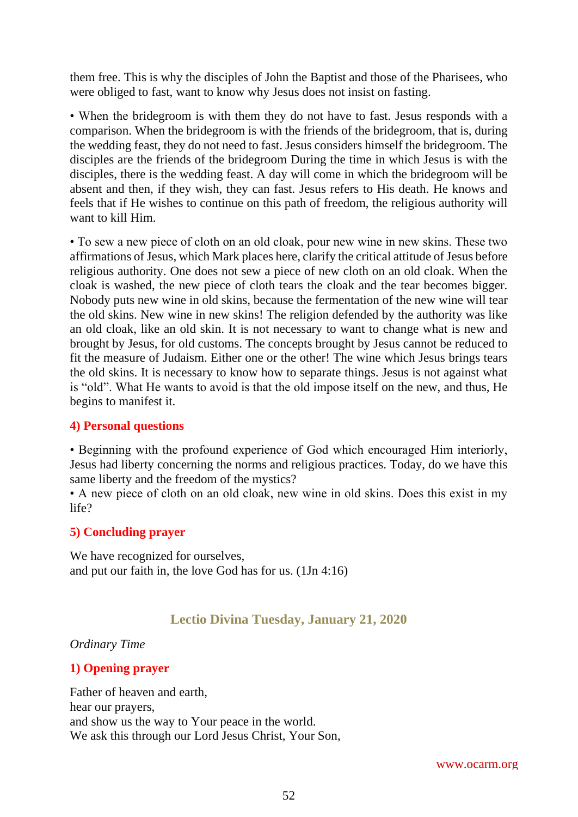them free. This is why the disciples of John the Baptist and those of the Pharisees, who were obliged to fast, want to know why Jesus does not insist on fasting.

• When the bridegroom is with them they do not have to fast. Jesus responds with a comparison. When the bridegroom is with the friends of the bridegroom, that is, during the wedding feast, they do not need to fast. Jesus considers himself the bridegroom. The disciples are the friends of the bridegroom During the time in which Jesus is with the disciples, there is the wedding feast. A day will come in which the bridegroom will be absent and then, if they wish, they can fast. Jesus refers to His death. He knows and feels that if He wishes to continue on this path of freedom, the religious authority will want to kill Him.

• To sew a new piece of cloth on an old cloak, pour new wine in new skins. These two affirmations of Jesus, which Mark places here, clarify the critical attitude of Jesus before religious authority. One does not sew a piece of new cloth on an old cloak. When the cloak is washed, the new piece of cloth tears the cloak and the tear becomes bigger. Nobody puts new wine in old skins, because the fermentation of the new wine will tear the old skins. New wine in new skins! The religion defended by the authority was like an old cloak, like an old skin. It is not necessary to want to change what is new and brought by Jesus, for old customs. The concepts brought by Jesus cannot be reduced to fit the measure of Judaism. Either one or the other! The wine which Jesus brings tears the old skins. It is necessary to know how to separate things. Jesus is not against what is "old". What He wants to avoid is that the old impose itself on the new, and thus, He begins to manifest it.

## **4) Personal questions**

• Beginning with the profound experience of God which encouraged Him interiorly, Jesus had liberty concerning the norms and religious practices. Today, do we have this same liberty and the freedom of the mystics?

• A new piece of cloth on an old cloak, new wine in old skins. Does this exist in my life?

#### **5) Concluding prayer**

We have recognized for ourselves, and put our faith in, the love God has for us. (1Jn 4:16)

## **Lectio Divina Tuesday, January 21, 2020**

*Ordinary Time*

## **1) Opening prayer**

Father of heaven and earth, hear our prayers, and show us the way to Your peace in the world. We ask this through our Lord Jesus Christ, Your Son,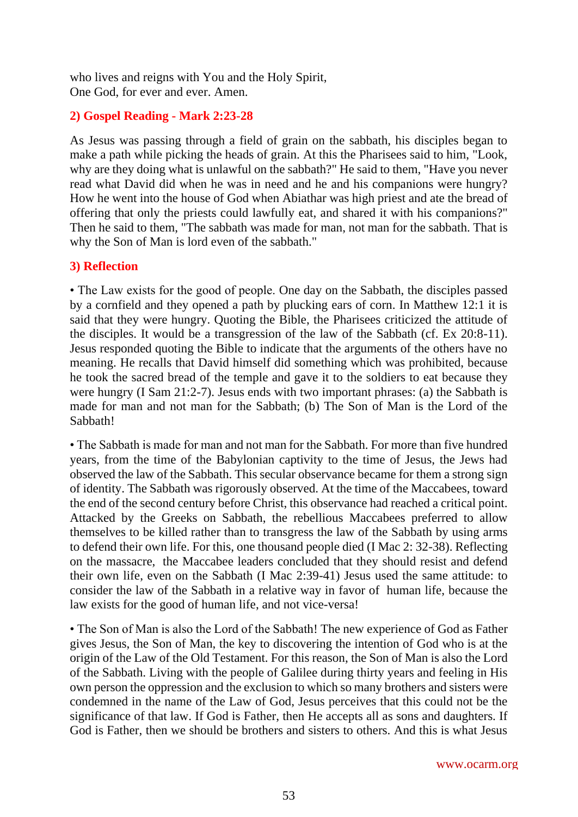who lives and reigns with You and the Holy Spirit, One God, for ever and ever. Amen.

## **2) Gospel Reading - Mark 2:23-28**

As Jesus was passing through a field of grain on the sabbath, his disciples began to make a path while picking the heads of grain. At this the Pharisees said to him, "Look, why are they doing what is unlawful on the sabbath?" He said to them, "Have you never read what David did when he was in need and he and his companions were hungry? How he went into the house of God when Abiathar was high priest and ate the bread of offering that only the priests could lawfully eat, and shared it with his companions?" Then he said to them, "The sabbath was made for man, not man for the sabbath. That is why the Son of Man is lord even of the sabbath."

#### **3) Reflection**

• The Law exists for the good of people. One day on the Sabbath, the disciples passed by a cornfield and they opened a path by plucking ears of corn. In Matthew 12:1 it is said that they were hungry. Quoting the Bible, the Pharisees criticized the attitude of the disciples. It would be a transgression of the law of the Sabbath (cf. Ex 20:8-11). Jesus responded quoting the Bible to indicate that the arguments of the others have no meaning. He recalls that David himself did something which was prohibited, because he took the sacred bread of the temple and gave it to the soldiers to eat because they were hungry (I Sam 21:2-7). Jesus ends with two important phrases: (a) the Sabbath is made for man and not man for the Sabbath; (b) The Son of Man is the Lord of the Sabbath!

• The Sabbath is made for man and not man for the Sabbath. For more than five hundred years, from the time of the Babylonian captivity to the time of Jesus, the Jews had observed the law of the Sabbath. This secular observance became for them a strong sign of identity. The Sabbath was rigorously observed. At the time of the Maccabees, toward the end of the second century before Christ, this observance had reached a critical point. Attacked by the Greeks on Sabbath, the rebellious Maccabees preferred to allow themselves to be killed rather than to transgress the law of the Sabbath by using arms to defend their own life. For this, one thousand people died (I Mac 2: 32-38). Reflecting on the massacre, the Maccabee leaders concluded that they should resist and defend their own life, even on the Sabbath (I Mac 2:39-41) Jesus used the same attitude: to consider the law of the Sabbath in a relative way in favor of human life, because the law exists for the good of human life, and not vice-versa!

• The Son of Man is also the Lord of the Sabbath! The new experience of God as Father gives Jesus, the Son of Man, the key to discovering the intention of God who is at the origin of the Law of the Old Testament. For this reason, the Son of Man is also the Lord of the Sabbath. Living with the people of Galilee during thirty years and feeling in His own person the oppression and the exclusion to which so many brothers and sisters were condemned in the name of the Law of God, Jesus perceives that this could not be the significance of that law. If God is Father, then He accepts all as sons and daughters. If God is Father, then we should be brothers and sisters to others. And this is what Jesus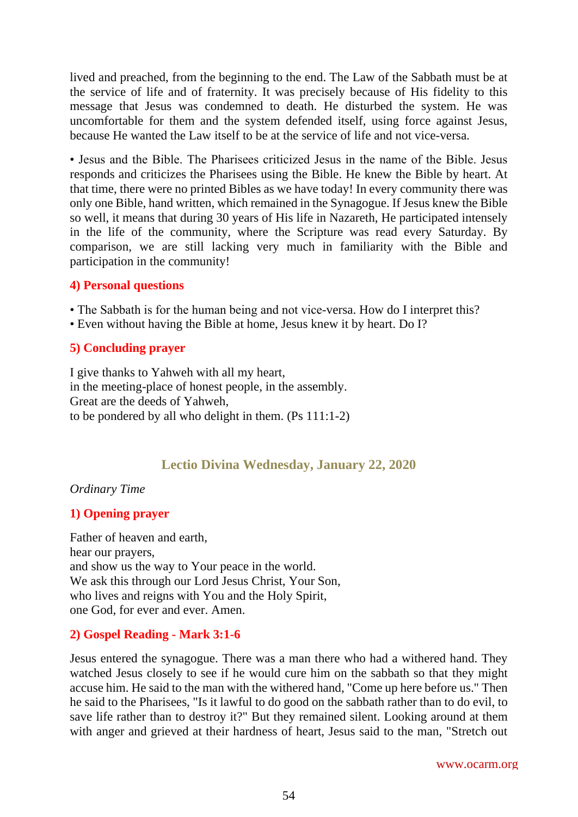lived and preached, from the beginning to the end. The Law of the Sabbath must be at the service of life and of fraternity. It was precisely because of His fidelity to this message that Jesus was condemned to death. He disturbed the system. He was uncomfortable for them and the system defended itself, using force against Jesus, because He wanted the Law itself to be at the service of life and not vice-versa.

• Jesus and the Bible. The Pharisees criticized Jesus in the name of the Bible. Jesus responds and criticizes the Pharisees using the Bible. He knew the Bible by heart. At that time, there were no printed Bibles as we have today! In every community there was only one Bible, hand written, which remained in the Synagogue. If Jesus knew the Bible so well, it means that during 30 years of His life in Nazareth, He participated intensely in the life of the community, where the Scripture was read every Saturday. By comparison, we are still lacking very much in familiarity with the Bible and participation in the community!

#### **4) Personal questions**

- The Sabbath is for the human being and not vice-versa. How do I interpret this?
- Even without having the Bible at home, Jesus knew it by heart. Do I?

## **5) Concluding prayer**

I give thanks to Yahweh with all my heart, in the meeting-place of honest people, in the assembly. Great are the deeds of Yahweh, to be pondered by all who delight in them. (Ps 111:1-2)

# **Lectio Divina Wednesday, January 22, 2020**

#### *Ordinary Time*

## **1) Opening prayer**

Father of heaven and earth, hear our prayers, and show us the way to Your peace in the world. We ask this through our Lord Jesus Christ, Your Son, who lives and reigns with You and the Holy Spirit, one God, for ever and ever. Amen.

## **2) Gospel Reading - Mark 3:1-6**

Jesus entered the synagogue. There was a man there who had a withered hand. They watched Jesus closely to see if he would cure him on the sabbath so that they might accuse him. He said to the man with the withered hand, "Come up here before us." Then he said to the Pharisees, "Is it lawful to do good on the sabbath rather than to do evil, to save life rather than to destroy it?" But they remained silent. Looking around at them with anger and grieved at their hardness of heart, Jesus said to the man, "Stretch out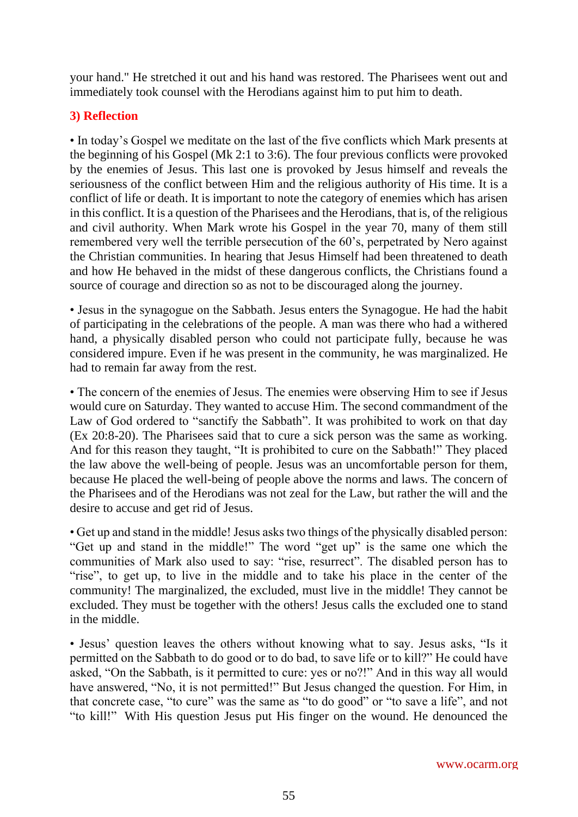your hand." He stretched it out and his hand was restored. The Pharisees went out and immediately took counsel with the Herodians against him to put him to death.

# **3) Reflection**

• In today's Gospel we meditate on the last of the five conflicts which Mark presents at the beginning of his Gospel (Mk 2:1 to 3:6). The four previous conflicts were provoked by the enemies of Jesus. This last one is provoked by Jesus himself and reveals the seriousness of the conflict between Him and the religious authority of His time. It is a conflict of life or death. It is important to note the category of enemies which has arisen in this conflict. It is a question of the Pharisees and the Herodians, that is, of the religious and civil authority. When Mark wrote his Gospel in the year 70, many of them still remembered very well the terrible persecution of the 60's, perpetrated by Nero against the Christian communities. In hearing that Jesus Himself had been threatened to death and how He behaved in the midst of these dangerous conflicts, the Christians found a source of courage and direction so as not to be discouraged along the journey.

• Jesus in the synagogue on the Sabbath. Jesus enters the Synagogue. He had the habit of participating in the celebrations of the people. A man was there who had a withered hand, a physically disabled person who could not participate fully, because he was considered impure. Even if he was present in the community, he was marginalized. He had to remain far away from the rest.

• The concern of the enemies of Jesus. The enemies were observing Him to see if Jesus would cure on Saturday. They wanted to accuse Him. The second commandment of the Law of God ordered to "sanctify the Sabbath". It was prohibited to work on that day (Ex 20:8-20). The Pharisees said that to cure a sick person was the same as working. And for this reason they taught, "It is prohibited to cure on the Sabbath!" They placed the law above the well-being of people. Jesus was an uncomfortable person for them, because He placed the well-being of people above the norms and laws. The concern of the Pharisees and of the Herodians was not zeal for the Law, but rather the will and the desire to accuse and get rid of Jesus.

• Get up and stand in the middle! Jesus asks two things of the physically disabled person: "Get up and stand in the middle!" The word "get up" is the same one which the communities of Mark also used to say: "rise, resurrect". The disabled person has to "rise", to get up, to live in the middle and to take his place in the center of the community! The marginalized, the excluded, must live in the middle! They cannot be excluded. They must be together with the others! Jesus calls the excluded one to stand in the middle.

• Jesus' question leaves the others without knowing what to say. Jesus asks, "Is it permitted on the Sabbath to do good or to do bad, to save life or to kill?" He could have asked, "On the Sabbath, is it permitted to cure: yes or no?!" And in this way all would have answered, "No, it is not permitted!" But Jesus changed the question. For Him, in that concrete case, "to cure" was the same as "to do good" or "to save a life", and not "to kill!" With His question Jesus put His finger on the wound. He denounced the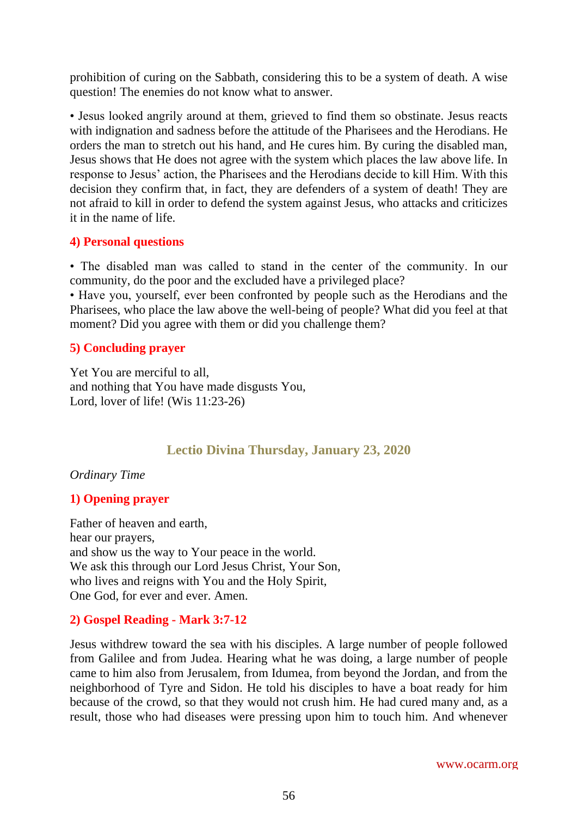prohibition of curing on the Sabbath, considering this to be a system of death. A wise question! The enemies do not know what to answer.

• Jesus looked angrily around at them, grieved to find them so obstinate. Jesus reacts with indignation and sadness before the attitude of the Pharisees and the Herodians. He orders the man to stretch out his hand, and He cures him. By curing the disabled man, Jesus shows that He does not agree with the system which places the law above life. In response to Jesus' action, the Pharisees and the Herodians decide to kill Him. With this decision they confirm that, in fact, they are defenders of a system of death! They are not afraid to kill in order to defend the system against Jesus, who attacks and criticizes it in the name of life.

#### **4) Personal questions**

• The disabled man was called to stand in the center of the community. In our community, do the poor and the excluded have a privileged place?

• Have you, yourself, ever been confronted by people such as the Herodians and the Pharisees, who place the law above the well-being of people? What did you feel at that moment? Did you agree with them or did you challenge them?

## **5) Concluding prayer**

Yet You are merciful to all, and nothing that You have made disgusts You, Lord, lover of life! (Wis 11:23-26)

# **Lectio Divina Thursday, January 23, 2020**

#### *Ordinary Time*

## **1) Opening prayer**

Father of heaven and earth, hear our prayers, and show us the way to Your peace in the world. We ask this through our Lord Jesus Christ, Your Son, who lives and reigns with You and the Holy Spirit, One God, for ever and ever. Amen.

## **2) Gospel Reading - Mark 3:7-12**

Jesus withdrew toward the sea with his disciples. A large number of people followed from Galilee and from Judea. Hearing what he was doing, a large number of people came to him also from Jerusalem, from Idumea, from beyond the Jordan, and from the neighborhood of Tyre and Sidon. He told his disciples to have a boat ready for him because of the crowd, so that they would not crush him. He had cured many and, as a result, those who had diseases were pressing upon him to touch him. And whenever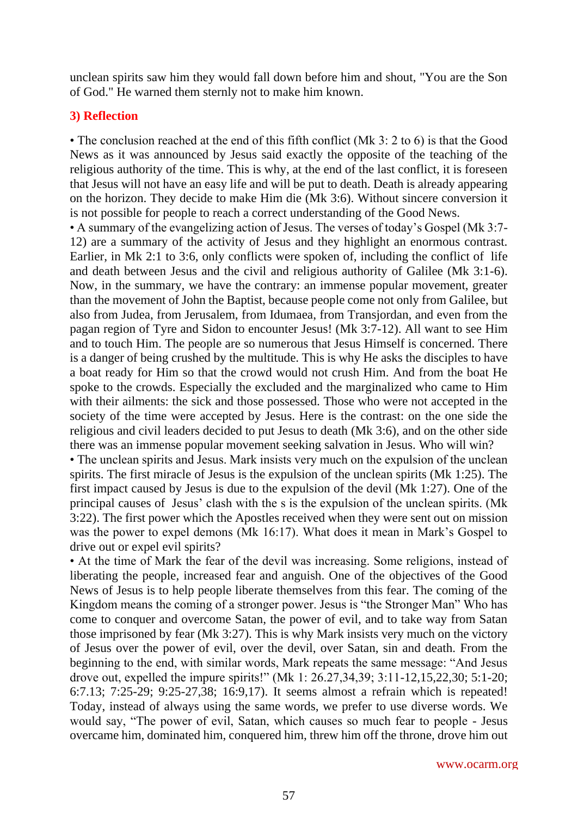unclean spirits saw him they would fall down before him and shout, "You are the Son of God." He warned them sternly not to make him known.

#### **3) Reflection**

• The conclusion reached at the end of this fifth conflict (Mk 3: 2 to 6) is that the Good News as it was announced by Jesus said exactly the opposite of the teaching of the religious authority of the time. This is why, at the end of the last conflict, it is foreseen that Jesus will not have an easy life and will be put to death. Death is already appearing on the horizon. They decide to make Him die (Mk 3:6). Without sincere conversion it is not possible for people to reach a correct understanding of the Good News.

• A summary of the evangelizing action of Jesus. The verses of today's Gospel (Mk 3:7- 12) are a summary of the activity of Jesus and they highlight an enormous contrast. Earlier, in Mk 2:1 to 3:6, only conflicts were spoken of, including the conflict of life and death between Jesus and the civil and religious authority of Galilee (Mk 3:1-6). Now, in the summary, we have the contrary: an immense popular movement, greater than the movement of John the Baptist, because people come not only from Galilee, but also from Judea, from Jerusalem, from Idumaea, from Transjordan, and even from the pagan region of Tyre and Sidon to encounter Jesus! (Mk 3:7-12). All want to see Him and to touch Him. The people are so numerous that Jesus Himself is concerned. There is a danger of being crushed by the multitude. This is why He asks the disciples to have a boat ready for Him so that the crowd would not crush Him. And from the boat He spoke to the crowds. Especially the excluded and the marginalized who came to Him with their ailments: the sick and those possessed. Those who were not accepted in the society of the time were accepted by Jesus. Here is the contrast: on the one side the religious and civil leaders decided to put Jesus to death (Mk 3:6), and on the other side there was an immense popular movement seeking salvation in Jesus. Who will win?

• The unclean spirits and Jesus. Mark insists very much on the expulsion of the unclean spirits. The first miracle of Jesus is the expulsion of the unclean spirits (Mk 1:25). The first impact caused by Jesus is due to the expulsion of the devil (Mk 1:27). One of the principal causes of Jesus' clash with the s is the expulsion of the unclean spirits. (Mk 3:22). The first power which the Apostles received when they were sent out on mission was the power to expel demons (Mk 16:17). What does it mean in Mark's Gospel to drive out or expel evil spirits?

• At the time of Mark the fear of the devil was increasing. Some religions, instead of liberating the people, increased fear and anguish. One of the objectives of the Good News of Jesus is to help people liberate themselves from this fear. The coming of the Kingdom means the coming of a stronger power. Jesus is "the Stronger Man" Who has come to conquer and overcome Satan, the power of evil, and to take way from Satan those imprisoned by fear (Mk 3:27). This is why Mark insists very much on the victory of Jesus over the power of evil, over the devil, over Satan, sin and death. From the beginning to the end, with similar words, Mark repeats the same message: "And Jesus drove out, expelled the impure spirits!" (Mk 1: 26.27,34,39; 3:11-12,15,22,30; 5:1-20; 6:7.13; 7:25-29; 9:25-27,38; 16:9,17). It seems almost a refrain which is repeated! Today, instead of always using the same words, we prefer to use diverse words. We would say, "The power of evil, Satan, which causes so much fear to people - Jesus overcame him, dominated him, conquered him, threw him off the throne, drove him out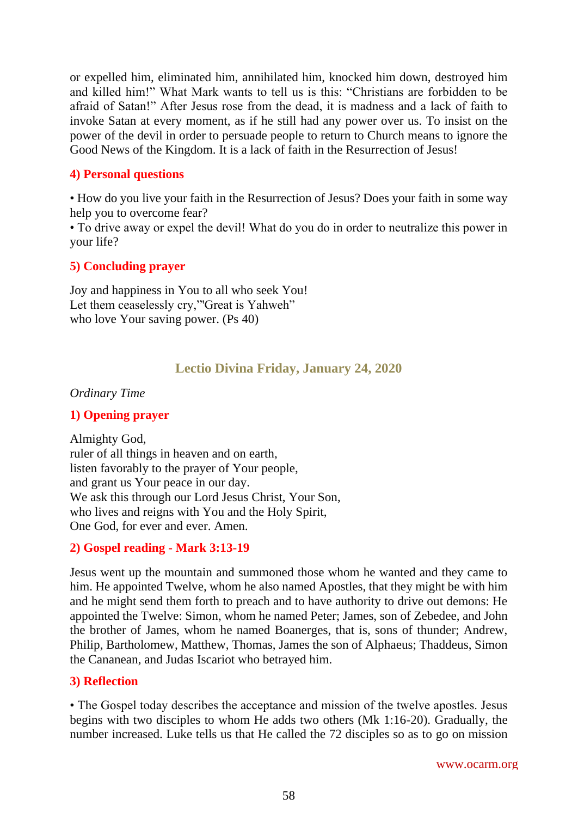or expelled him, eliminated him, annihilated him, knocked him down, destroyed him and killed him!" What Mark wants to tell us is this: "Christians are forbidden to be afraid of Satan!" After Jesus rose from the dead, it is madness and a lack of faith to invoke Satan at every moment, as if he still had any power over us. To insist on the power of the devil in order to persuade people to return to Church means to ignore the Good News of the Kingdom. It is a lack of faith in the Resurrection of Jesus!

#### **4) Personal questions**

• How do you live your faith in the Resurrection of Jesus? Does your faith in some way help you to overcome fear?

• To drive away or expel the devil! What do you do in order to neutralize this power in your life?

## **5) Concluding prayer**

Joy and happiness in You to all who seek You! Let them ceaselessly cry,"'Great is Yahweh" who love Your saving power. (Ps 40)

# **Lectio Divina Friday, January 24, 2020**

#### *Ordinary Time*

## **1) Opening prayer**

Almighty God, ruler of all things in heaven and on earth, listen favorably to the prayer of Your people, and grant us Your peace in our day. We ask this through our Lord Jesus Christ, Your Son, who lives and reigns with You and the Holy Spirit, One God, for ever and ever. Amen.

## **2) Gospel reading - Mark 3:13-19**

Jesus went up the mountain and summoned those whom he wanted and they came to him. He appointed Twelve, whom he also named Apostles, that they might be with him and he might send them forth to preach and to have authority to drive out demons: He appointed the Twelve: Simon, whom he named Peter; James, son of Zebedee, and John the brother of James, whom he named Boanerges, that is, sons of thunder; Andrew, Philip, Bartholomew, Matthew, Thomas, James the son of Alphaeus; Thaddeus, Simon the Cananean, and Judas Iscariot who betrayed him.

#### **3) Reflection**

• The Gospel today describes the acceptance and mission of the twelve apostles. Jesus begins with two disciples to whom He adds two others (Mk 1:16-20). Gradually, the number increased. Luke tells us that He called the 72 disciples so as to go on mission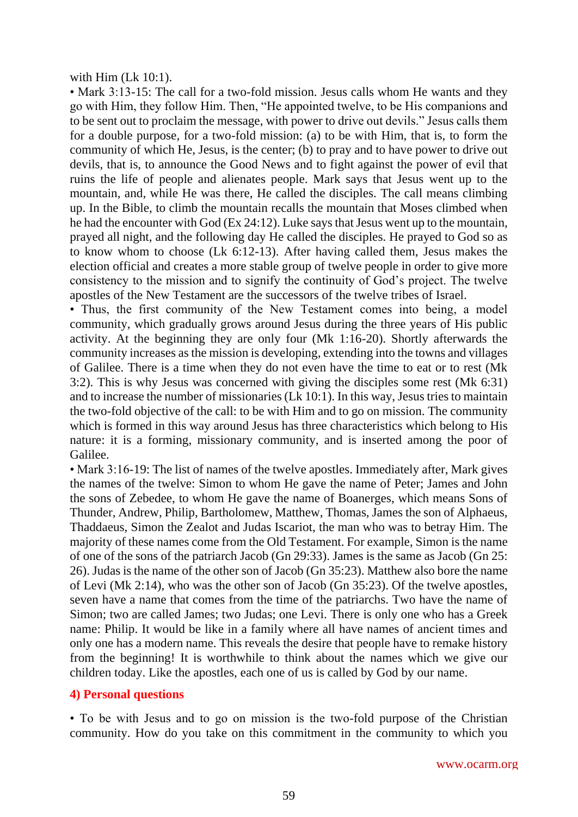with Him (Lk 10:1).

• Mark 3:13-15: The call for a two-fold mission. Jesus calls whom He wants and they go with Him, they follow Him. Then, "He appointed twelve, to be His companions and to be sent out to proclaim the message, with power to drive out devils." Jesus calls them for a double purpose, for a two-fold mission: (a) to be with Him, that is, to form the community of which He, Jesus, is the center; (b) to pray and to have power to drive out devils, that is, to announce the Good News and to fight against the power of evil that ruins the life of people and alienates people. Mark says that Jesus went up to the mountain, and, while He was there, He called the disciples. The call means climbing up. In the Bible, to climb the mountain recalls the mountain that Moses climbed when he had the encounter with God (Ex 24:12). Luke says that Jesus went up to the mountain, prayed all night, and the following day He called the disciples. He prayed to God so as to know whom to choose (Lk 6:12-13). After having called them, Jesus makes the election official and creates a more stable group of twelve people in order to give more consistency to the mission and to signify the continuity of God's project. The twelve apostles of the New Testament are the successors of the twelve tribes of Israel.

• Thus, the first community of the New Testament comes into being, a model community, which gradually grows around Jesus during the three years of His public activity. At the beginning they are only four (Mk 1:16-20). Shortly afterwards the community increases as the mission is developing, extending into the towns and villages of Galilee. There is a time when they do not even have the time to eat or to rest (Mk 3:2). This is why Jesus was concerned with giving the disciples some rest (Mk 6:31) and to increase the number of missionaries (Lk 10:1). In this way, Jesus tries to maintain the two-fold objective of the call: to be with Him and to go on mission. The community which is formed in this way around Jesus has three characteristics which belong to His nature: it is a forming, missionary community, and is inserted among the poor of Galilee.

• Mark 3:16-19: The list of names of the twelve apostles. Immediately after, Mark gives the names of the twelve: Simon to whom He gave the name of Peter; James and John the sons of Zebedee, to whom He gave the name of Boanerges, which means Sons of Thunder, Andrew, Philip, Bartholomew, Matthew, Thomas, James the son of Alphaeus, Thaddaeus, Simon the Zealot and Judas Iscariot, the man who was to betray Him. The majority of these names come from the Old Testament. For example, Simon is the name of one of the sons of the patriarch Jacob (Gn 29:33). James is the same as Jacob (Gn 25: 26). Judas is the name of the other son of Jacob (Gn 35:23). Matthew also bore the name of Levi (Mk 2:14), who was the other son of Jacob (Gn 35:23). Of the twelve apostles, seven have a name that comes from the time of the patriarchs. Two have the name of Simon; two are called James; two Judas; one Levi. There is only one who has a Greek name: Philip. It would be like in a family where all have names of ancient times and only one has a modern name. This reveals the desire that people have to remake history from the beginning! It is worthwhile to think about the names which we give our children today. Like the apostles, each one of us is called by God by our name.

#### **4) Personal questions**

• To be with Jesus and to go on mission is the two-fold purpose of the Christian community. How do you take on this commitment in the community to which you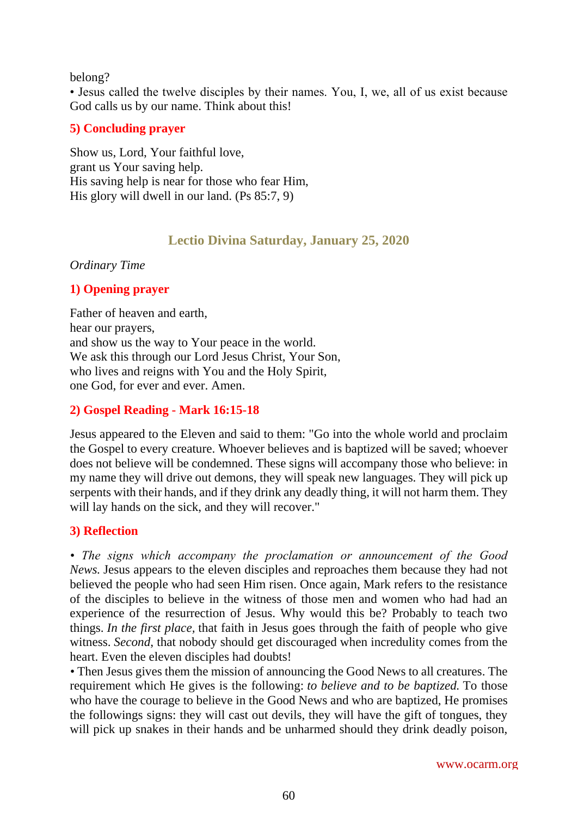#### belong?

• Jesus called the twelve disciples by their names. You, I, we, all of us exist because God calls us by our name. Think about this!

## **5) Concluding prayer**

Show us, Lord, Your faithful love, grant us Your saving help. His saving help is near for those who fear Him, His glory will dwell in our land. (Ps 85:7, 9)

# **Lectio Divina Saturday, January 25, 2020**

#### *Ordinary Time*

## **1) Opening prayer**

Father of heaven and earth, hear our prayers, and show us the way to Your peace in the world. We ask this through our Lord Jesus Christ, Your Son, who lives and reigns with You and the Holy Spirit, one God, for ever and ever. Amen.

## **2) Gospel Reading - Mark 16:15-18**

Jesus appeared to the Eleven and said to them: "Go into the whole world and proclaim the Gospel to every creature. Whoever believes and is baptized will be saved; whoever does not believe will be condemned. These signs will accompany those who believe: in my name they will drive out demons, they will speak new languages. They will pick up serpents with their hands, and if they drink any deadly thing, it will not harm them. They will lay hands on the sick, and they will recover."

## **3) Reflection**

*• The signs which accompany the proclamation or announcement of the Good News.* Jesus appears to the eleven disciples and reproaches them because they had not believed the people who had seen Him risen. Once again, Mark refers to the resistance of the disciples to believe in the witness of those men and women who had had an experience of the resurrection of Jesus. Why would this be? Probably to teach two things. *In the first place,* that faith in Jesus goes through the faith of people who give witness. *Second*, that nobody should get discouraged when incredulity comes from the heart. Even the eleven disciples had doubts!

*•* Then Jesus gives them the mission of announcing the Good News to all creatures. The requirement which He gives is the following: *to believe and to be baptized.* To those who have the courage to believe in the Good News and who are baptized, He promises the followings signs: they will cast out devils, they will have the gift of tongues, they will pick up snakes in their hands and be unharmed should they drink deadly poison,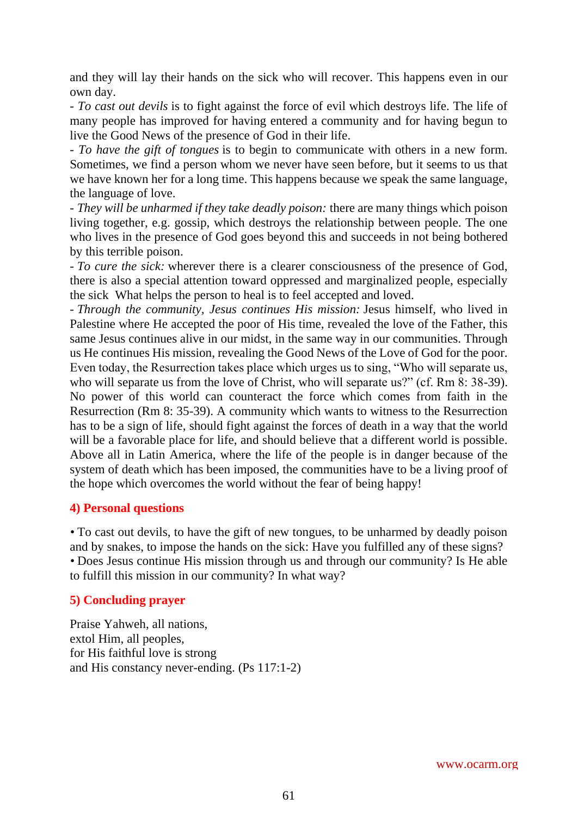and they will lay their hands on the sick who will recover. This happens even in our own day.

*- To cast out devils* is to fight against the force of evil which destroys life. The life of many people has improved for having entered a community and for having begun to live the Good News of the presence of God in their life.

*- To have the gift of tongues* is to begin to communicate with others in a new form. Sometimes, we find a person whom we never have seen before, but it seems to us that we have known her for a long time. This happens because we speak the same language, the language of love.

- *They will be unharmed if they take deadly poison:* there are many things which poison living together, e.g. gossip, which destroys the relationship between people. The one who lives in the presence of God goes beyond this and succeeds in not being bothered by this terrible poison.

- *To cure the sick:* wherever there is a clearer consciousness of the presence of God, there is also a special attention toward oppressed and marginalized people, especially the sick What helps the person to heal is to feel accepted and loved.

- *Through the community, Jesus continues His mission:* Jesus himself, who lived in Palestine where He accepted the poor of His time, revealed the love of the Father, this same Jesus continues alive in our midst, in the same way in our communities. Through us He continues His mission, revealing the Good News of the Love of God for the poor. Even today, the Resurrection takes place which urges us to sing, "Who will separate us, who will separate us from the love of Christ, who will separate us?" (cf. Rm 8: 38-39). No power of this world can counteract the force which comes from faith in the Resurrection (Rm 8: 35-39). A community which wants to witness to the Resurrection has to be a sign of life, should fight against the forces of death in a way that the world will be a favorable place for life, and should believe that a different world is possible. Above all in Latin America, where the life of the people is in danger because of the system of death which has been imposed, the communities have to be a living proof of the hope which overcomes the world without the fear of being happy!

## **4) Personal questions**

*•* To cast out devils, to have the gift of new tongues, to be unharmed by deadly poison and by snakes, to impose the hands on the sick: Have you fulfilled any of these signs? *•* Does Jesus continue His mission through us and through our community? Is He able to fulfill this mission in our community? In what way?

## **5) Concluding prayer**

Praise Yahweh, all nations, extol Him, all peoples, for His faithful love is strong and His constancy never-ending. (Ps 117:1-2)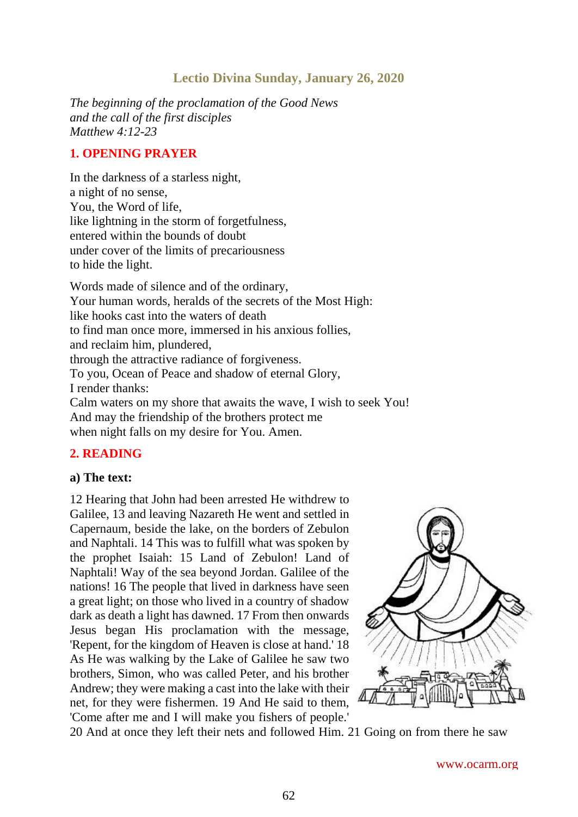# **Lectio Divina Sunday, January 26, 2020**

*The beginning of the proclamation of the Good News and the call of the first disciples Matthew 4:12-23*

#### **1. OPENING PRAYER**

In the darkness of a starless night, a night of no sense, You, the Word of life, like lightning in the storm of forgetfulness, entered within the bounds of doubt under cover of the limits of precariousness to hide the light.

Words made of silence and of the ordinary, Your human words, heralds of the secrets of the Most High: like hooks cast into the waters of death to find man once more, immersed in his anxious follies, and reclaim him, plundered, through the attractive radiance of forgiveness. To you, Ocean of Peace and shadow of eternal Glory, I render thanks: Calm waters on my shore that awaits the wave, I wish to seek You! And may the friendship of the brothers protect me when night falls on my desire for You. Amen.

## **2. READING**

#### **a) The text:**

12 Hearing that John had been arrested He withdrew to Galilee, 13 and leaving Nazareth He went and settled in Capernaum, beside the lake, on the borders of Zebulon and Naphtali. 14 This was to fulfill what was spoken by the prophet Isaiah: 15 Land of Zebulon! Land of Naphtali! Way of the sea beyond Jordan. Galilee of the nations! 16 The people that lived in darkness have seen a great light; on those who lived in a country of shadow dark as death a light has dawned. 17 From then onwards Jesus began His proclamation with the message, 'Repent, for the kingdom of Heaven is close at hand.' 18 As He was walking by the Lake of Galilee he saw two brothers, Simon, who was called Peter, and his brother Andrew; they were making a cast into the lake with their net, for they were fishermen. 19 And He said to them, 'Come after me and I will make you fishers of people.'



20 And at once they left their nets and followed Him. 21 Going on from there he saw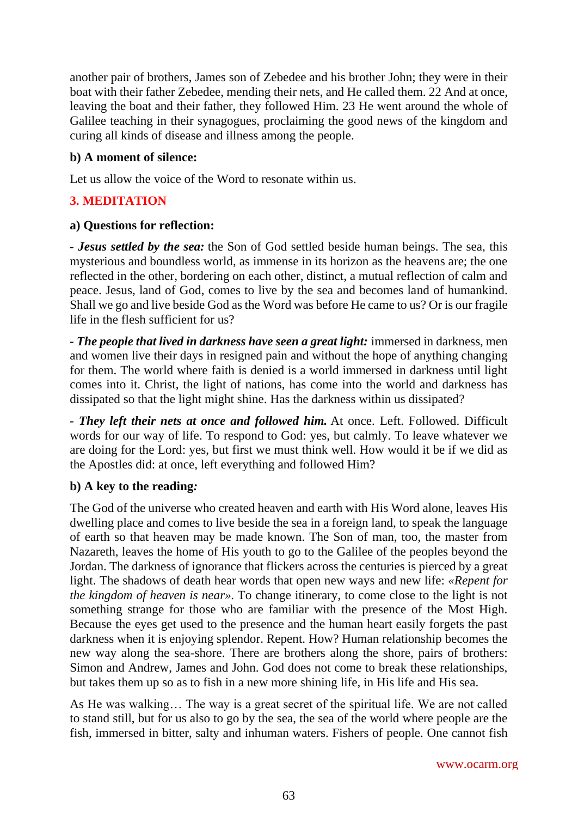another pair of brothers, James son of Zebedee and his brother John; they were in their boat with their father Zebedee, mending their nets, and He called them. 22 And at once, leaving the boat and their father, they followed Him. 23 He went around the whole of Galilee teaching in their synagogues, proclaiming the good news of the kingdom and curing all kinds of disease and illness among the people.

## **b) A moment of silence:**

Let us allow the voice of the Word to resonate within us.

# **3. MEDITATION**

## **a) Questions for reflection:**

*- Jesus settled by the sea:* the Son of God settled beside human beings. The sea, this mysterious and boundless world, as immense in its horizon as the heavens are; the one reflected in the other, bordering on each other, distinct, a mutual reflection of calm and peace. Jesus, land of God, comes to live by the sea and becomes land of humankind. Shall we go and live beside God as the Word was before He came to us? Or is our fragile life in the flesh sufficient for us?

*- The people that lived in darkness have seen a great light:* immersed in darkness, men and women live their days in resigned pain and without the hope of anything changing for them. The world where faith is denied is a world immersed in darkness until light comes into it. Christ, the light of nations, has come into the world and darkness has dissipated so that the light might shine. Has the darkness within us dissipated?

*- They left their nets at once and followed him.* At once. Left. Followed. Difficult words for our way of life. To respond to God: yes, but calmly. To leave whatever we are doing for the Lord: yes, but first we must think well. How would it be if we did as the Apostles did: at once, left everything and followed Him?

# **b) A key to the reading***:*

The God of the universe who created heaven and earth with His Word alone, leaves His dwelling place and comes to live beside the sea in a foreign land, to speak the language of earth so that heaven may be made known. The Son of man, too, the master from Nazareth, leaves the home of His youth to go to the Galilee of the peoples beyond the Jordan. The darkness of ignorance that flickers across the centuries is pierced by a great light. The shadows of death hear words that open new ways and new life: *«Repent for the kingdom of heaven is near».* To change itinerary, to come close to the light is not something strange for those who are familiar with the presence of the Most High. Because the eyes get used to the presence and the human heart easily forgets the past darkness when it is enjoying splendor. Repent. How? Human relationship becomes the new way along the sea-shore. There are brothers along the shore, pairs of brothers: Simon and Andrew, James and John. God does not come to break these relationships, but takes them up so as to fish in a new more shining life, in His life and His sea.

As He was walking… The way is a great secret of the spiritual life. We are not called to stand still, but for us also to go by the sea, the sea of the world where people are the fish, immersed in bitter, salty and inhuman waters. Fishers of people. One cannot fish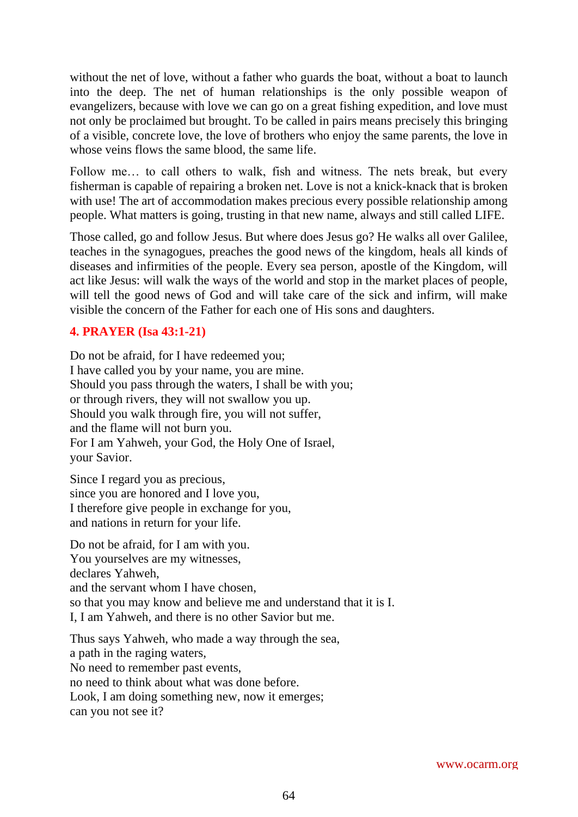without the net of love, without a father who guards the boat, without a boat to launch into the deep. The net of human relationships is the only possible weapon of evangelizers, because with love we can go on a great fishing expedition, and love must not only be proclaimed but brought. To be called in pairs means precisely this bringing of a visible, concrete love, the love of brothers who enjoy the same parents, the love in whose veins flows the same blood, the same life.

Follow me… to call others to walk, fish and witness. The nets break, but every fisherman is capable of repairing a broken net. Love is not a knick-knack that is broken with use! The art of accommodation makes precious every possible relationship among people. What matters is going, trusting in that new name, always and still called LIFE.

Those called, go and follow Jesus. But where does Jesus go? He walks all over Galilee, teaches in the synagogues, preaches the good news of the kingdom, heals all kinds of diseases and infirmities of the people. Every sea person, apostle of the Kingdom, will act like Jesus: will walk the ways of the world and stop in the market places of people, will tell the good news of God and will take care of the sick and infirm, will make visible the concern of the Father for each one of His sons and daughters.

## **4. PRAYER (Isa 43:1-21)**

Do not be afraid, for I have redeemed you; I have called you by your name, you are mine. Should you pass through the waters, I shall be with you; or through rivers, they will not swallow you up. Should you walk through fire, you will not suffer, and the flame will not burn you. For I am Yahweh, your God, the Holy One of Israel, your Savior.

Since I regard you as precious, since you are honored and I love you, I therefore give people in exchange for you, and nations in return for your life.

Do not be afraid, for I am with you. You yourselves are my witnesses, declares Yahweh, and the servant whom I have chosen, so that you may know and believe me and understand that it is I. I, I am Yahweh, and there is no other Savior but me.

Thus says Yahweh, who made a way through the sea, a path in the raging waters, No need to remember past events, no need to think about what was done before. Look, I am doing something new, now it emerges; can you not see it?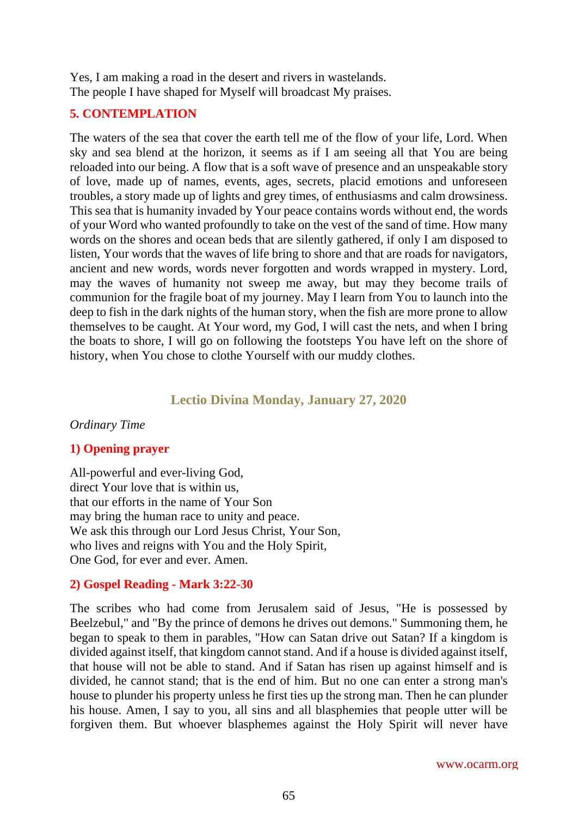Yes, I am making a road in the desert and rivers in wastelands. The people I have shaped for Myself will broadcast My praises.

#### **5. CONTEMPLATION**

The waters of the sea that cover the earth tell me of the flow of your life, Lord. When sky and sea blend at the horizon, it seems as if I am seeing all that You are being reloaded into our being. A flow that is a soft wave of presence and an unspeakable story of love, made up of names, events, ages, secrets, placid emotions and unforeseen troubles, a story made up of lights and grey times, of enthusiasms and calm drowsiness. This sea that is humanity invaded by Your peace contains words without end, the words of your Word who wanted profoundly to take on the vest of the sand of time. How many words on the shores and ocean beds that are silently gathered, if only I am disposed to listen, Your words that the waves of life bring to shore and that are roads for navigators, ancient and new words, words never forgotten and words wrapped in mystery. Lord, may the waves of humanity not sweep me away, but may they become trails of communion for the fragile boat of my journey. May I learn from You to launch into the deep to fish in the dark nights of the human story, when the fish are more prone to allow themselves to be caught. At Your word, my God, I will cast the nets, and when I bring the boats to shore, I will go on following the footsteps You have left on the shore of history, when You chose to clothe Yourself with our muddy clothes.

## **Lectio Divina Monday, January 27, 2020**

#### *Ordinary Time*

## **1) Opening prayer**

All-powerful and ever-living God, direct Your love that is within us, that our efforts in the name of Your Son may bring the human race to unity and peace. We ask this through our Lord Jesus Christ, Your Son, who lives and reigns with You and the Holy Spirit, One God, for ever and ever. Amen.

## **2) Gospel Reading - Mark 3:22-30**

The scribes who had come from Jerusalem said of Jesus, "He is possessed by Beelzebul," and "By the prince of demons he drives out demons." Summoning them, he began to speak to them in parables, "How can Satan drive out Satan? If a kingdom is divided against itself, that kingdom cannot stand. And if a house is divided against itself, that house will not be able to stand. And if Satan has risen up against himself and is divided, he cannot stand; that is the end of him. But no one can enter a strong man's house to plunder his property unless he first ties up the strong man. Then he can plunder his house. Amen, I say to you, all sins and all blasphemies that people utter will be forgiven them. But whoever blasphemes against the Holy Spirit will never have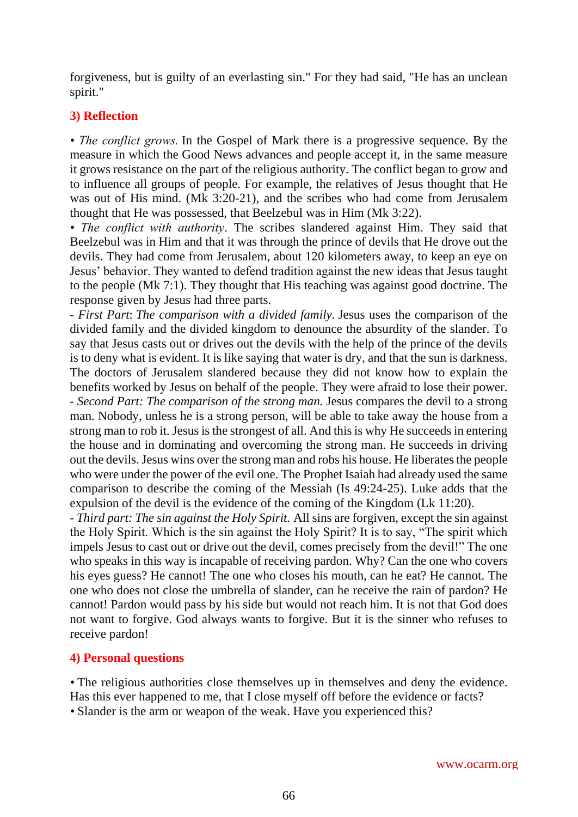forgiveness, but is guilty of an everlasting sin." For they had said, "He has an unclean spirit."

## **3) Reflection**

*• The conflict grows.* In the Gospel of Mark there is a progressive sequence. By the measure in which the Good News advances and people accept it, in the same measure it grows resistance on the part of the religious authority. The conflict began to grow and to influence all groups of people. For example, the relatives of Jesus thought that He was out of His mind. (Mk 3:20-21), and the scribes who had come from Jerusalem thought that He was possessed, that Beelzebul was in Him (Mk 3:22).

*• The conflict with authority*. The scribes slandered against Him. They said that Beelzebul was in Him and that it was through the prince of devils that He drove out the devils. They had come from Jerusalem, about 120 kilometers away, to keep an eye on Jesus' behavior. They wanted to defend tradition against the new ideas that Jesus taught to the people (Mk 7:1). They thought that His teaching was against good doctrine. The response given by Jesus had three parts.

*- First Part*: *The comparison with a divided family.* Jesus uses the comparison of the divided family and the divided kingdom to denounce the absurdity of the slander. To say that Jesus casts out or drives out the devils with the help of the prince of the devils is to deny what is evident. It is like saying that water is dry, and that the sun is darkness. The doctors of Jerusalem slandered because they did not know how to explain the benefits worked by Jesus on behalf of the people. They were afraid to lose their power. *- Second Part: The comparison of the strong man.* Jesus compares the devil to a strong man. Nobody, unless he is a strong person, will be able to take away the house from a strong man to rob it. Jesus is the strongest of all. And this is why He succeeds in entering the house and in dominating and overcoming the strong man. He succeeds in driving out the devils. Jesus wins over the strong man and robs his house. He liberates the people who were under the power of the evil one. The Prophet Isaiah had already used the same comparison to describe the coming of the Messiah (Is 49:24-25). Luke adds that the expulsion of the devil is the evidence of the coming of the Kingdom (Lk 11:20).

*- Third part: The sin against the Holy Spirit.* All sins are forgiven, except the sin against the Holy Spirit. Which is the sin against the Holy Spirit? It is to say, "The spirit which impels Jesus to cast out or drive out the devil, comes precisely from the devil!" The one who speaks in this way is incapable of receiving pardon. Why? Can the one who covers his eyes guess? He cannot! The one who closes his mouth, can he eat? He cannot. The one who does not close the umbrella of slander, can he receive the rain of pardon? He cannot! Pardon would pass by his side but would not reach him. It is not that God does not want to forgive. God always wants to forgive. But it is the sinner who refuses to receive pardon!

## **4) Personal questions**

• The religious authorities close themselves up in themselves and deny the evidence. Has this ever happened to me, that I close myself off before the evidence or facts? *•* Slander is the arm or weapon of the weak. Have you experienced this?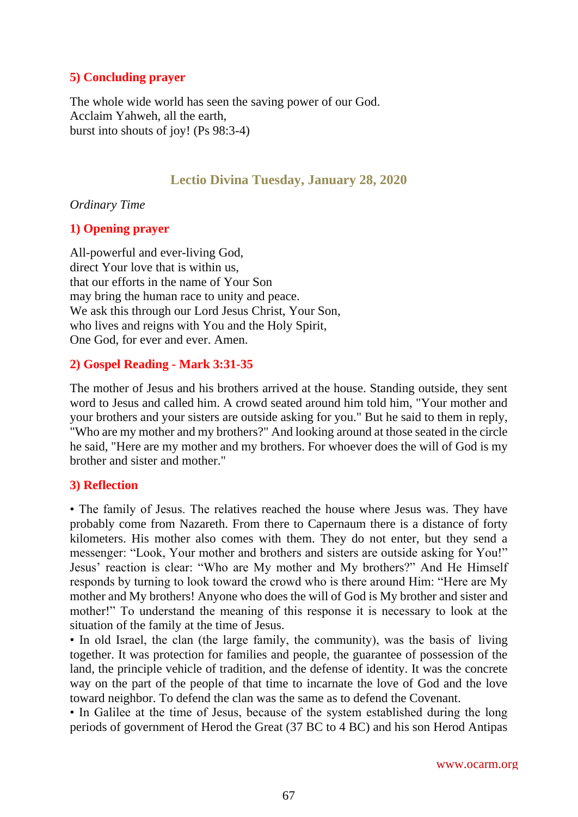## **5) Concluding prayer**

The whole wide world has seen the saving power of our God. Acclaim Yahweh, all the earth, burst into shouts of joy! (Ps 98:3-4)

## **Lectio Divina Tuesday, January 28, 2020**

*Ordinary Time*

## **1) Opening prayer**

All-powerful and ever-living God, direct Your love that is within us, that our efforts in the name of Your Son may bring the human race to unity and peace. We ask this through our Lord Jesus Christ, Your Son, who lives and reigns with You and the Holy Spirit, One God, for ever and ever. Amen.

## **2) Gospel Reading - Mark 3:31-35**

The mother of Jesus and his brothers arrived at the house. Standing outside, they sent word to Jesus and called him. A crowd seated around him told him, "Your mother and your brothers and your sisters are outside asking for you." But he said to them in reply, "Who are my mother and my brothers?" And looking around at those seated in the circle he said, "Here are my mother and my brothers. For whoever does the will of God is my brother and sister and mother."

## **3) Reflection**

• The family of Jesus. The relatives reached the house where Jesus was. They have probably come from Nazareth. From there to Capernaum there is a distance of forty kilometers. His mother also comes with them. They do not enter, but they send a messenger: "Look, Your mother and brothers and sisters are outside asking for You!" Jesus' reaction is clear: "Who are My mother and My brothers?" And He Himself responds by turning to look toward the crowd who is there around Him: "Here are My mother and My brothers! Anyone who does the will of God is My brother and sister and mother!" To understand the meaning of this response it is necessary to look at the situation of the family at the time of Jesus.

• In old Israel, the clan (the large family, the community), was the basis of living together. It was protection for families and people, the guarantee of possession of the land, the principle vehicle of tradition, and the defense of identity. It was the concrete way on the part of the people of that time to incarnate the love of God and the love toward neighbor. To defend the clan was the same as to defend the Covenant.

• In Galilee at the time of Jesus, because of the system established during the long periods of government of Herod the Great (37 BC to 4 BC) and his son Herod Antipas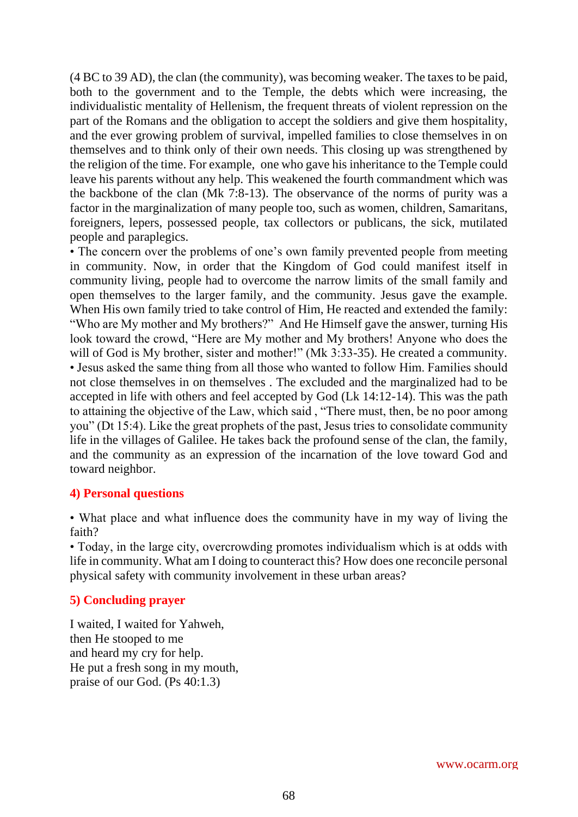(4 BC to 39 AD), the clan (the community), was becoming weaker. The taxes to be paid, both to the government and to the Temple, the debts which were increasing, the individualistic mentality of Hellenism, the frequent threats of violent repression on the part of the Romans and the obligation to accept the soldiers and give them hospitality, and the ever growing problem of survival, impelled families to close themselves in on themselves and to think only of their own needs. This closing up was strengthened by the religion of the time. For example, one who gave his inheritance to the Temple could leave his parents without any help. This weakened the fourth commandment which was the backbone of the clan (Mk 7:8-13). The observance of the norms of purity was a factor in the marginalization of many people too, such as women, children, Samaritans, foreigners, lepers, possessed people, tax collectors or publicans, the sick, mutilated people and paraplegics.

• The concern over the problems of one's own family prevented people from meeting in community. Now, in order that the Kingdom of God could manifest itself in community living, people had to overcome the narrow limits of the small family and open themselves to the larger family, and the community. Jesus gave the example. When His own family tried to take control of Him, He reacted and extended the family: "Who are My mother and My brothers?" And He Himself gave the answer, turning His look toward the crowd, "Here are My mother and My brothers! Anyone who does the will of God is My brother, sister and mother!" (Mk 3:33-35). He created a community. • Jesus asked the same thing from all those who wanted to follow Him. Families should not close themselves in on themselves . The excluded and the marginalized had to be accepted in life with others and feel accepted by God (Lk 14:12-14). This was the path to attaining the objective of the Law, which said , "There must, then, be no poor among you" (Dt 15:4). Like the great prophets of the past, Jesus tries to consolidate community life in the villages of Galilee. He takes back the profound sense of the clan, the family, and the community as an expression of the incarnation of the love toward God and toward neighbor.

#### **4) Personal questions**

• What place and what influence does the community have in my way of living the faith?

• Today, in the large city, overcrowding promotes individualism which is at odds with life in community. What am I doing to counteract this? How does one reconcile personal physical safety with community involvement in these urban areas?

## **5) Concluding prayer**

I waited, I waited for Yahweh, then He stooped to me and heard my cry for help. He put a fresh song in my mouth, praise of our God. (Ps 40:1.3)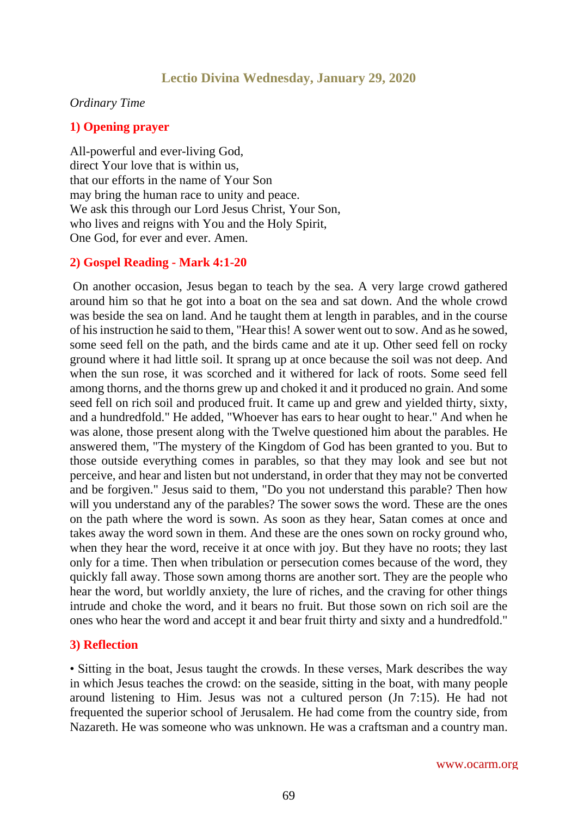## **Lectio Divina Wednesday, January 29, 2020**

#### *Ordinary Time*

#### **1) Opening prayer**

All-powerful and ever-living God, direct Your love that is within us, that our efforts in the name of Your Son may bring the human race to unity and peace. We ask this through our Lord Jesus Christ, Your Son, who lives and reigns with You and the Holy Spirit, One God, for ever and ever. Amen.

#### **2) Gospel Reading - Mark 4:1-20**

On another occasion, Jesus began to teach by the sea. A very large crowd gathered around him so that he got into a boat on the sea and sat down. And the whole crowd was beside the sea on land. And he taught them at length in parables, and in the course of his instruction he said to them, "Hear this! A sower went out to sow. And as he sowed, some seed fell on the path, and the birds came and ate it up. Other seed fell on rocky ground where it had little soil. It sprang up at once because the soil was not deep. And when the sun rose, it was scorched and it withered for lack of roots. Some seed fell among thorns, and the thorns grew up and choked it and it produced no grain. And some seed fell on rich soil and produced fruit. It came up and grew and yielded thirty, sixty, and a hundredfold." He added, "Whoever has ears to hear ought to hear." And when he was alone, those present along with the Twelve questioned him about the parables. He answered them, "The mystery of the Kingdom of God has been granted to you. But to those outside everything comes in parables, so that they may look and see but not perceive, and hear and listen but not understand, in order that they may not be converted and be forgiven." Jesus said to them, "Do you not understand this parable? Then how will you understand any of the parables? The sower sows the word. These are the ones on the path where the word is sown. As soon as they hear, Satan comes at once and takes away the word sown in them. And these are the ones sown on rocky ground who, when they hear the word, receive it at once with joy. But they have no roots; they last only for a time. Then when tribulation or persecution comes because of the word, they quickly fall away. Those sown among thorns are another sort. They are the people who hear the word, but worldly anxiety, the lure of riches, and the craving for other things intrude and choke the word, and it bears no fruit. But those sown on rich soil are the ones who hear the word and accept it and bear fruit thirty and sixty and a hundredfold."

#### **3) Reflection**

• Sitting in the boat, Jesus taught the crowds. In these verses, Mark describes the way in which Jesus teaches the crowd: on the seaside, sitting in the boat, with many people around listening to Him. Jesus was not a cultured person (Jn 7:15). He had not frequented the superior school of Jerusalem. He had come from the country side, from Nazareth. He was someone who was unknown. He was a craftsman and a country man.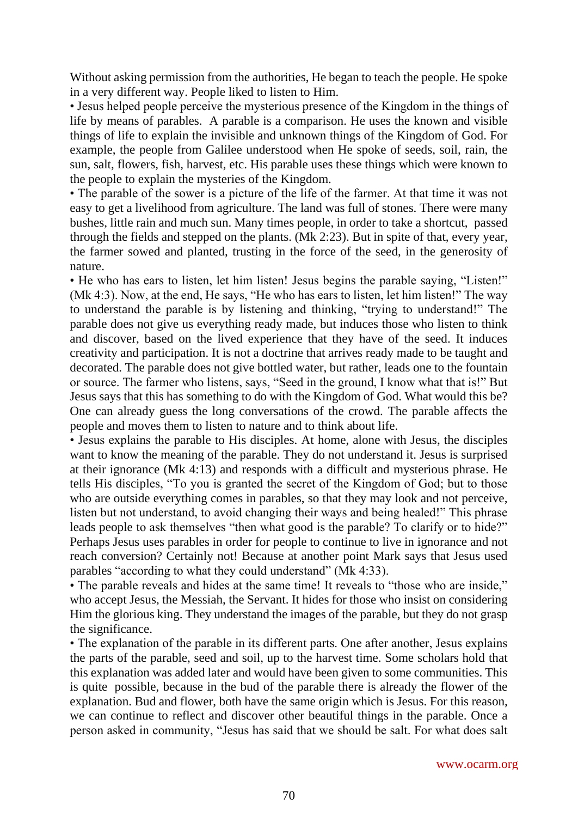Without asking permission from the authorities, He began to teach the people. He spoke in a very different way. People liked to listen to Him.

• Jesus helped people perceive the mysterious presence of the Kingdom in the things of life by means of parables. A parable is a comparison. He uses the known and visible things of life to explain the invisible and unknown things of the Kingdom of God. For example, the people from Galilee understood when He spoke of seeds, soil, rain, the sun, salt, flowers, fish, harvest, etc. His parable uses these things which were known to the people to explain the mysteries of the Kingdom.

• The parable of the sower is a picture of the life of the farmer. At that time it was not easy to get a livelihood from agriculture. The land was full of stones. There were many bushes, little rain and much sun. Many times people, in order to take a shortcut, passed through the fields and stepped on the plants. (Mk 2:23). But in spite of that, every year, the farmer sowed and planted, trusting in the force of the seed, in the generosity of nature.

• He who has ears to listen, let him listen! Jesus begins the parable saying, "Listen!" (Mk 4:3). Now, at the end, He says, "He who has ears to listen, let him listen!" The way to understand the parable is by listening and thinking, "trying to understand!" The parable does not give us everything ready made, but induces those who listen to think and discover, based on the lived experience that they have of the seed. It induces creativity and participation. It is not a doctrine that arrives ready made to be taught and decorated. The parable does not give bottled water, but rather, leads one to the fountain or source. The farmer who listens, says, "Seed in the ground, I know what that is!" But Jesus says that this has something to do with the Kingdom of God. What would this be? One can already guess the long conversations of the crowd. The parable affects the people and moves them to listen to nature and to think about life.

• Jesus explains the parable to His disciples. At home, alone with Jesus, the disciples want to know the meaning of the parable. They do not understand it. Jesus is surprised at their ignorance (Mk 4:13) and responds with a difficult and mysterious phrase. He tells His disciples, "To you is granted the secret of the Kingdom of God; but to those who are outside everything comes in parables, so that they may look and not perceive, listen but not understand, to avoid changing their ways and being healed!" This phrase leads people to ask themselves "then what good is the parable? To clarify or to hide?" Perhaps Jesus uses parables in order for people to continue to live in ignorance and not reach conversion? Certainly not! Because at another point Mark says that Jesus used parables "according to what they could understand" (Mk 4:33).

• The parable reveals and hides at the same time! It reveals to "those who are inside," who accept Jesus, the Messiah, the Servant. It hides for those who insist on considering Him the glorious king. They understand the images of the parable, but they do not grasp the significance.

• The explanation of the parable in its different parts. One after another, Jesus explains the parts of the parable, seed and soil, up to the harvest time. Some scholars hold that this explanation was added later and would have been given to some communities. This is quite possible, because in the bud of the parable there is already the flower of the explanation. Bud and flower, both have the same origin which is Jesus. For this reason, we can continue to reflect and discover other beautiful things in the parable. Once a person asked in community, "Jesus has said that we should be salt. For what does salt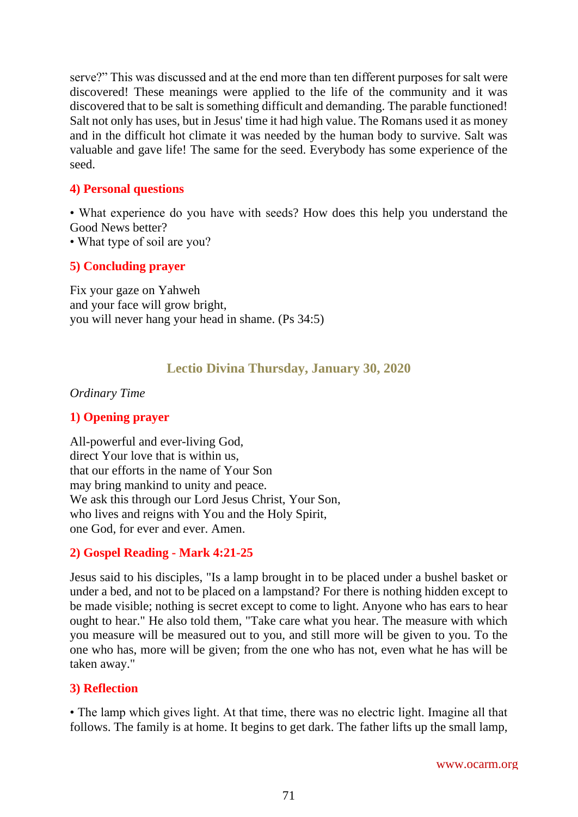serve?" This was discussed and at the end more than ten different purposes for salt were discovered! These meanings were applied to the life of the community and it was discovered that to be salt is something difficult and demanding. The parable functioned! Salt not only has uses, but in Jesus' time it had high value. The Romans used it as money and in the difficult hot climate it was needed by the human body to survive. Salt was valuable and gave life! The same for the seed. Everybody has some experience of the seed.

#### **4) Personal questions**

• What experience do you have with seeds? How does this help you understand the Good News better?

• What type of soil are you?

## **5) Concluding prayer**

Fix your gaze on Yahweh and your face will grow bright, you will never hang your head in shame. (Ps 34:5)

## **Lectio Divina Thursday, January 30, 2020**

#### *Ordinary Time*

## **1) Opening prayer**

All-powerful and ever-living God, direct Your love that is within us, that our efforts in the name of Your Son may bring mankind to unity and peace. We ask this through our Lord Jesus Christ, Your Son, who lives and reigns with You and the Holy Spirit, one God, for ever and ever. Amen.

## **2) Gospel Reading - Mark 4:21-25**

Jesus said to his disciples, "Is a lamp brought in to be placed under a bushel basket or under a bed, and not to be placed on a lampstand? For there is nothing hidden except to be made visible; nothing is secret except to come to light. Anyone who has ears to hear ought to hear." He also told them, "Take care what you hear. The measure with which you measure will be measured out to you, and still more will be given to you. To the one who has, more will be given; from the one who has not, even what he has will be taken away."

## **3) Reflection**

• The lamp which gives light. At that time, there was no electric light. Imagine all that follows. The family is at home. It begins to get dark. The father lifts up the small lamp,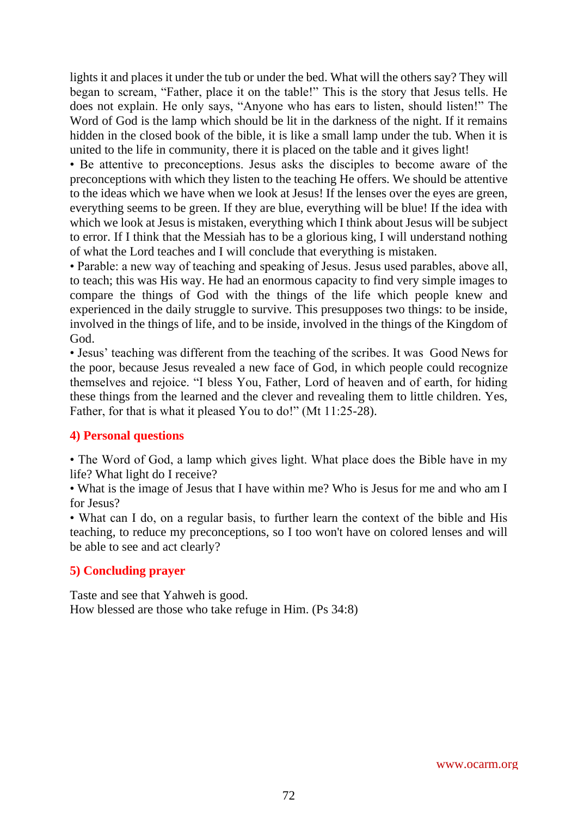lights it and places it under the tub or under the bed. What will the others say? They will began to scream, "Father, place it on the table!" This is the story that Jesus tells. He does not explain. He only says, "Anyone who has ears to listen, should listen!" The Word of God is the lamp which should be lit in the darkness of the night. If it remains hidden in the closed book of the bible, it is like a small lamp under the tub. When it is united to the life in community, there it is placed on the table and it gives light!

• Be attentive to preconceptions. Jesus asks the disciples to become aware of the preconceptions with which they listen to the teaching He offers. We should be attentive to the ideas which we have when we look at Jesus! If the lenses over the eyes are green, everything seems to be green. If they are blue, everything will be blue! If the idea with which we look at Jesus is mistaken, everything which I think about Jesus will be subject to error. If I think that the Messiah has to be a glorious king, I will understand nothing of what the Lord teaches and I will conclude that everything is mistaken.

• Parable: a new way of teaching and speaking of Jesus. Jesus used parables, above all, to teach; this was His way. He had an enormous capacity to find very simple images to compare the things of God with the things of the life which people knew and experienced in the daily struggle to survive. This presupposes two things: to be inside, involved in the things of life, and to be inside, involved in the things of the Kingdom of God.

• Jesus' teaching was different from the teaching of the scribes. It was Good News for the poor, because Jesus revealed a new face of God, in which people could recognize themselves and rejoice. "I bless You, Father, Lord of heaven and of earth, for hiding these things from the learned and the clever and revealing them to little children. Yes, Father, for that is what it pleased You to do!" (Mt 11:25-28).

## **4) Personal questions**

• The Word of God, a lamp which gives light. What place does the Bible have in my life? What light do I receive?

• What is the image of Jesus that I have within me? Who is Jesus for me and who am I for Jesus?

• What can I do, on a regular basis, to further learn the context of the bible and His teaching, to reduce my preconceptions, so I too won't have on colored lenses and will be able to see and act clearly?

# **5) Concluding prayer**

Taste and see that Yahweh is good. How blessed are those who take refuge in Him. (Ps 34:8)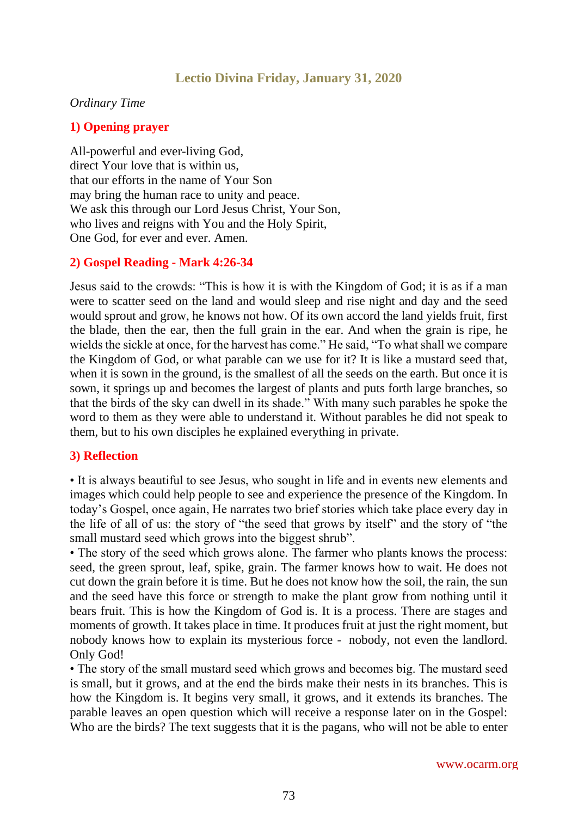# **Lectio Divina Friday, January 31, 2020**

#### *Ordinary Time*

## **1) Opening prayer**

All-powerful and ever-living God, direct Your love that is within us, that our efforts in the name of Your Son may bring the human race to unity and peace. We ask this through our Lord Jesus Christ, Your Son, who lives and reigns with You and the Holy Spirit, One God, for ever and ever. Amen.

## **2) Gospel Reading - Mark 4:26-34**

Jesus said to the crowds: "This is how it is with the Kingdom of God; it is as if a man were to scatter seed on the land and would sleep and rise night and day and the seed would sprout and grow, he knows not how. Of its own accord the land yields fruit, first the blade, then the ear, then the full grain in the ear. And when the grain is ripe, he wields the sickle at once, for the harvest has come." He said, "To what shall we compare the Kingdom of God, or what parable can we use for it? It is like a mustard seed that, when it is sown in the ground, is the smallest of all the seeds on the earth. But once it is sown, it springs up and becomes the largest of plants and puts forth large branches, so that the birds of the sky can dwell in its shade." With many such parables he spoke the word to them as they were able to understand it. Without parables he did not speak to them, but to his own disciples he explained everything in private.

#### **3) Reflection**

• It is always beautiful to see Jesus, who sought in life and in events new elements and images which could help people to see and experience the presence of the Kingdom. In today's Gospel, once again, He narrates two brief stories which take place every day in the life of all of us: the story of "the seed that grows by itself" and the story of "the small mustard seed which grows into the biggest shrub".

• The story of the seed which grows alone. The farmer who plants knows the process: seed, the green sprout, leaf, spike, grain. The farmer knows how to wait. He does not cut down the grain before it is time. But he does not know how the soil, the rain, the sun and the seed have this force or strength to make the plant grow from nothing until it bears fruit. This is how the Kingdom of God is. It is a process. There are stages and moments of growth. It takes place in time. It produces fruit at just the right moment, but nobody knows how to explain its mysterious force - nobody, not even the landlord. Only God!

• The story of the small mustard seed which grows and becomes big. The mustard seed is small, but it grows, and at the end the birds make their nests in its branches. This is how the Kingdom is. It begins very small, it grows, and it extends its branches. The parable leaves an open question which will receive a response later on in the Gospel: Who are the birds? The text suggests that it is the pagans, who will not be able to enter